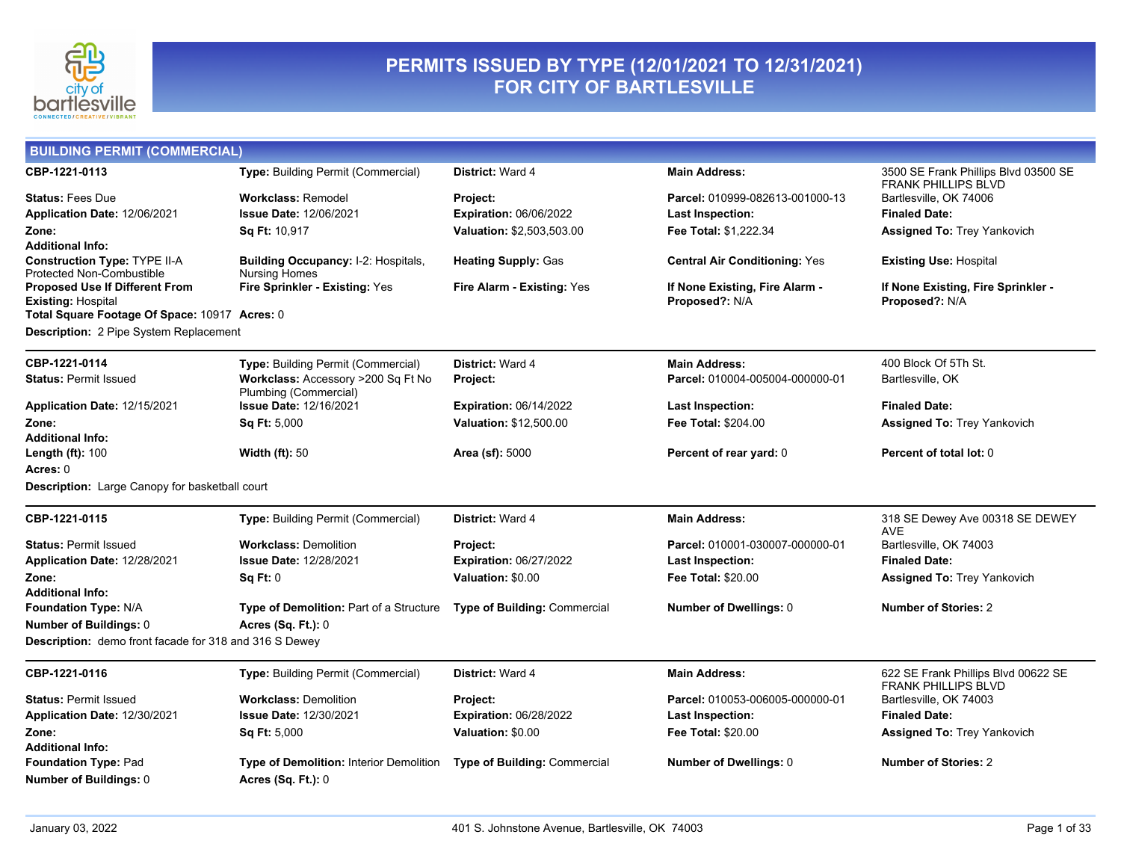

## **PERMITS ISSUED BY TYPE (12/01/2021 TO 12/31/2021) FOR CITY OF BARTLESVILLE**

| <b>BUILDING PERMIT (COMMERCIAL)</b>                         |                                                             |                               |                                      |                                                                   |
|-------------------------------------------------------------|-------------------------------------------------------------|-------------------------------|--------------------------------------|-------------------------------------------------------------------|
| CBP-1221-0113                                               | Type: Building Permit (Commercial)                          | <b>District: Ward 4</b>       | <b>Main Address:</b>                 | 3500 SE Frank Phillips Blvd 03500 SE                              |
| <b>Status: Fees Due</b>                                     | <b>Workclass: Remodel</b>                                   | Project:                      | Parcel: 010999-082613-001000-13      | <b>FRANK PHILLIPS BLVD</b><br>Bartlesville, OK 74006              |
| Application Date: 12/06/2021                                | <b>Issue Date: 12/06/2021</b>                               | <b>Expiration: 06/06/2022</b> | <b>Last Inspection:</b>              | <b>Finaled Date:</b>                                              |
| Zone:                                                       | <b>Sq Ft: 10,917</b>                                        | Valuation: \$2,503,503.00     | Fee Total: \$1,222.34                | <b>Assigned To: Trey Yankovich</b>                                |
| Additional Info:                                            |                                                             |                               |                                      |                                                                   |
| Construction Type: TYPE II-A                                | Building Occupancy: I-2: Hospitals,                         | <b>Heating Supply: Gas</b>    | <b>Central Air Conditioning: Yes</b> | <b>Existing Use: Hospital</b>                                     |
| Protected Non-Combustible<br>Proposed Use If Different From | <b>Nursing Homes</b><br>Fire Sprinkler - Existing: Yes      | Fire Alarm - Existing: Yes    | If None Existing, Fire Alarm -       | If None Existing, Fire Sprinkler -                                |
| <b>Existing: Hospital</b>                                   |                                                             |                               | Proposed?: N/A                       | Proposed?: N/A                                                    |
| Total Square Footage Of Space: 10917 Acres: 0               |                                                             |                               |                                      |                                                                   |
| Description: 2 Pipe System Replacement                      |                                                             |                               |                                      |                                                                   |
| CBP-1221-0114                                               | Type: Building Permit (Commercial)                          | <b>District: Ward 4</b>       | <b>Main Address:</b>                 | 400 Block Of 5Th St.                                              |
| <b>Status: Permit Issued</b>                                | Workclass: Accessory >200 Sq Ft No<br>Plumbing (Commercial) | Project:                      | Parcel: 010004-005004-000000-01      | Bartlesville, OK                                                  |
| Application Date: 12/15/2021                                | <b>Issue Date: 12/16/2021</b>                               | <b>Expiration: 06/14/2022</b> | <b>Last Inspection:</b>              | <b>Finaled Date:</b>                                              |
| Zone:                                                       | <b>Sq Ft: 5,000</b>                                         | <b>Valuation: \$12,500.00</b> | <b>Fee Total: \$204.00</b>           | <b>Assigned To: Trey Yankovich</b>                                |
| Additional Info:                                            |                                                             |                               |                                      |                                                                   |
| Length (ft): 100                                            | Width $(ft)$ : 50                                           | Area (sf): 5000               | Percent of rear yard: 0              | Percent of total lot: 0                                           |
| Acres: 0                                                    |                                                             |                               |                                      |                                                                   |
| <b>Description:</b> Large Canopy for basketball court       |                                                             |                               |                                      |                                                                   |
| CBP-1221-0115                                               | Type: Building Permit (Commercial)                          | <b>District: Ward 4</b>       | <b>Main Address:</b>                 | 318 SE Dewey Ave 00318 SE DEWEY<br><b>AVE</b>                     |
| <b>Status: Permit Issued</b>                                | <b>Workclass: Demolition</b>                                | Project:                      | Parcel: 010001-030007-000000-01      | Bartlesville, OK 74003                                            |
| Application Date: 12/28/2021                                | <b>Issue Date: 12/28/2021</b>                               | Expiration: 06/27/2022        | <b>Last Inspection:</b>              | <b>Finaled Date:</b>                                              |
| Zone:                                                       | <b>Sq Ft: 0</b>                                             | Valuation: \$0.00             | Fee Total: \$20.00                   | <b>Assigned To: Trey Yankovich</b>                                |
| Additional Info:                                            |                                                             |                               |                                      |                                                                   |
| Foundation Type: N/A                                        | Type of Demolition: Part of a Structure                     | Type of Building: Commercial  | Number of Dwellings: 0               | <b>Number of Stories: 2</b>                                       |
| Number of Buildings: 0                                      | Acres (Sq. Ft.): 0                                          |                               |                                      |                                                                   |
| Description: demo front facade for 318 and 316 S Dewey      |                                                             |                               |                                      |                                                                   |
| CBP-1221-0116                                               | <b>Type: Building Permit (Commercial)</b>                   | <b>District: Ward 4</b>       | <b>Main Address:</b>                 | 622 SE Frank Phillips Blvd 00622 SE<br><b>FRANK PHILLIPS BLVD</b> |
| <b>Status: Permit Issued</b>                                | <b>Workclass: Demolition</b>                                | Project:                      | Parcel: 010053-006005-000000-01      | Bartlesville, OK 74003                                            |
| Application Date: 12/30/2021                                | <b>Issue Date: 12/30/2021</b>                               | <b>Expiration: 06/28/2022</b> | <b>Last Inspection:</b>              | <b>Finaled Date:</b>                                              |
| Zone:                                                       | <b>Sq Ft: 5,000</b>                                         | Valuation: \$0.00             | Fee Total: \$20.00                   | <b>Assigned To: Trey Yankovich</b>                                |
| <b>Additional Info:</b>                                     |                                                             |                               |                                      |                                                                   |
| Foundation Type: Pad                                        | Type of Demolition: Interior Demolition                     | Type of Building: Commercial  | Number of Dwellings: 0               | <b>Number of Stories: 2</b>                                       |
| <b>Number of Buildings: 0</b>                               | <b>Acres (Sq. Ft.): 0</b>                                   |                               |                                      |                                                                   |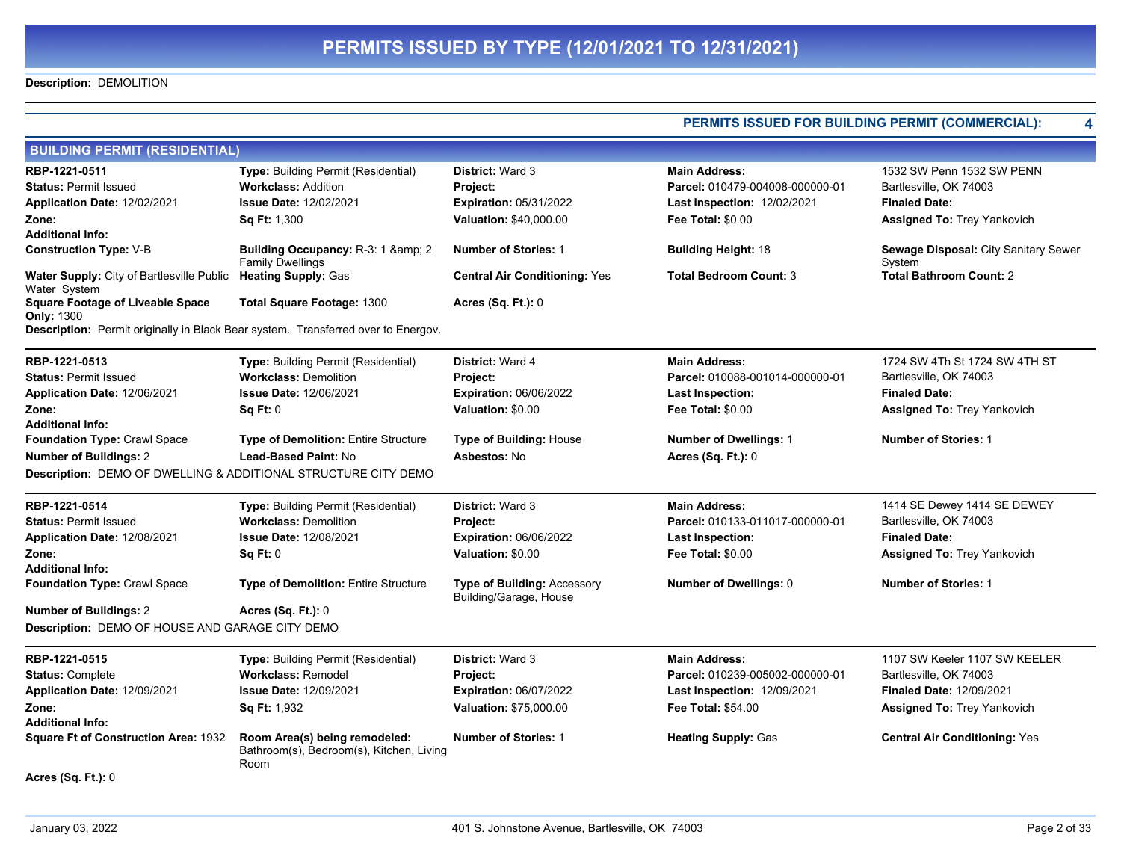### **Description:** DEMOLITION

|                                                                                   | PERMITS ISSUED FOR BUILDING PERMIT (COMMERCIAL):                                  |                                                              |                                    |                                                |
|-----------------------------------------------------------------------------------|-----------------------------------------------------------------------------------|--------------------------------------------------------------|------------------------------------|------------------------------------------------|
| <b>BUILDING PERMIT (RESIDENTIAL)</b>                                              |                                                                                   |                                                              |                                    |                                                |
| RBP-1221-0511                                                                     | Type: Building Permit (Residential)                                               | <b>District: Ward 3</b>                                      | <b>Main Address:</b>               | 1532 SW Penn 1532 SW PENN                      |
| <b>Status: Permit Issued</b>                                                      | <b>Workclass: Addition</b>                                                        | Project:                                                     | Parcel: 010479-004008-000000-01    | Bartlesville, OK 74003                         |
| Application Date: 12/02/2021                                                      | <b>Issue Date: 12/02/2021</b>                                                     | <b>Expiration: 05/31/2022</b>                                | <b>Last Inspection: 12/02/2021</b> | <b>Finaled Date:</b>                           |
| Zone:                                                                             | <b>Sq Ft: 1,300</b>                                                               | Valuation: \$40,000.00                                       | <b>Fee Total: \$0.00</b>           | Assigned To: Trey Yankovich                    |
| <b>Additional Info:</b>                                                           |                                                                                   |                                                              |                                    |                                                |
| <b>Construction Type: V-B</b>                                                     | Building Occupancy: R-3: 1 & amp; 2<br><b>Family Dwellings</b>                    | <b>Number of Stories: 1</b>                                  | <b>Building Height: 18</b>         | Sewage Disposal: City Sanitary Sewer<br>System |
| Water Supply: City of Bartlesville Public Heating Supply: Gas<br>Water System     |                                                                                   | <b>Central Air Conditioning: Yes</b>                         | <b>Total Bedroom Count: 3</b>      | <b>Total Bathroom Count: 2</b>                 |
| <b>Square Footage of Liveable Space</b><br><b>Only: 1300</b>                      | <b>Total Square Footage: 1300</b>                                                 | <b>Acres (Sq. Ft.): 0</b>                                    |                                    |                                                |
| Description: Permit originally in Black Bear system. Transferred over to Energov. |                                                                                   |                                                              |                                    |                                                |
| RBP-1221-0513                                                                     | Type: Building Permit (Residential)                                               | District: Ward 4                                             | <b>Main Address:</b>               | 1724 SW 4Th St 1724 SW 4TH ST                  |
| <b>Status: Permit Issued</b>                                                      | <b>Workclass: Demolition</b>                                                      | <b>Project:</b>                                              | Parcel: 010088-001014-000000-01    | Bartlesville, OK 74003                         |
| Application Date: 12/06/2021                                                      | <b>Issue Date: 12/06/2021</b>                                                     | <b>Expiration: 06/06/2022</b>                                | Last Inspection:                   | <b>Finaled Date:</b>                           |
| Zone:                                                                             | Sq Ft: 0                                                                          | Valuation: \$0.00                                            | <b>Fee Total: \$0.00</b>           | <b>Assigned To: Trey Yankovich</b>             |
| <b>Additional Info:</b>                                                           |                                                                                   |                                                              |                                    |                                                |
| Foundation Type: Crawl Space                                                      | Type of Demolition: Entire Structure                                              | Type of Building: House                                      | Number of Dwellings: 1             | <b>Number of Stories: 1</b>                    |
| <b>Number of Buildings: 2</b>                                                     | <b>Lead-Based Paint: No</b>                                                       | Asbestos: No                                                 | Acres (Sq. Ft.): 0                 |                                                |
| Description: DEMO OF DWELLING & ADDITIONAL STRUCTURE CITY DEMO                    |                                                                                   |                                                              |                                    |                                                |
| RBP-1221-0514                                                                     | Type: Building Permit (Residential)                                               | <b>District: Ward 3</b>                                      | <b>Main Address:</b>               | 1414 SE Dewey 1414 SE DEWEY                    |
| <b>Status: Permit Issued</b>                                                      | <b>Workclass: Demolition</b>                                                      | Project:                                                     | Parcel: 010133-011017-000000-01    | Bartlesville, OK 74003                         |
| Application Date: 12/08/2021                                                      | <b>Issue Date: 12/08/2021</b>                                                     | <b>Expiration: 06/06/2022</b>                                | Last Inspection:                   | <b>Finaled Date:</b>                           |
| Zone:                                                                             | <b>Sq Ft: 0</b>                                                                   | Valuation: \$0.00                                            | <b>Fee Total: \$0.00</b>           | Assigned To: Trey Yankovich                    |
| <b>Additional Info:</b>                                                           |                                                                                   |                                                              |                                    |                                                |
| Foundation Type: Crawl Space                                                      | <b>Type of Demolition: Entire Structure</b>                                       | <b>Type of Building: Accessory</b><br>Building/Garage, House | Number of Dwellings: 0             | <b>Number of Stories: 1</b>                    |
| <b>Number of Buildings: 2</b>                                                     | Acres (Sq. Ft.): 0                                                                |                                                              |                                    |                                                |
| Description: DEMO OF HOUSE AND GARAGE CITY DEMO                                   |                                                                                   |                                                              |                                    |                                                |
| RBP-1221-0515                                                                     | <b>Type:</b> Building Permit (Residential)                                        | <b>District: Ward 3</b>                                      | <b>Main Address:</b>               | 1107 SW Keeler 1107 SW KEELER                  |
| <b>Status: Complete</b>                                                           | <b>Workclass: Remodel</b>                                                         | Project:                                                     | Parcel: 010239-005002-000000-01    | Bartlesville, OK 74003                         |
| Application Date: 12/09/2021                                                      | <b>Issue Date: 12/09/2021</b>                                                     | <b>Expiration: 06/07/2022</b>                                | <b>Last Inspection: 12/09/2021</b> | <b>Finaled Date: 12/09/2021</b>                |
| Zone:                                                                             | <b>Sq Ft: 1,932</b>                                                               | <b>Valuation: \$75,000.00</b>                                | <b>Fee Total: \$54.00</b>          | <b>Assigned To: Trey Yankovich</b>             |
| <b>Additional Info:</b>                                                           |                                                                                   |                                                              |                                    |                                                |
| Square Ft of Construction Area: 1932                                              | Room Area(s) being remodeled:<br>Bathroom(s), Bedroom(s), Kitchen, Living<br>Room | <b>Number of Stories: 1</b>                                  | <b>Heating Supply: Gas</b>         | <b>Central Air Conditioning: Yes</b>           |
| <b>Acres (Sq. Ft.): 0</b>                                                         |                                                                                   |                                                              |                                    |                                                |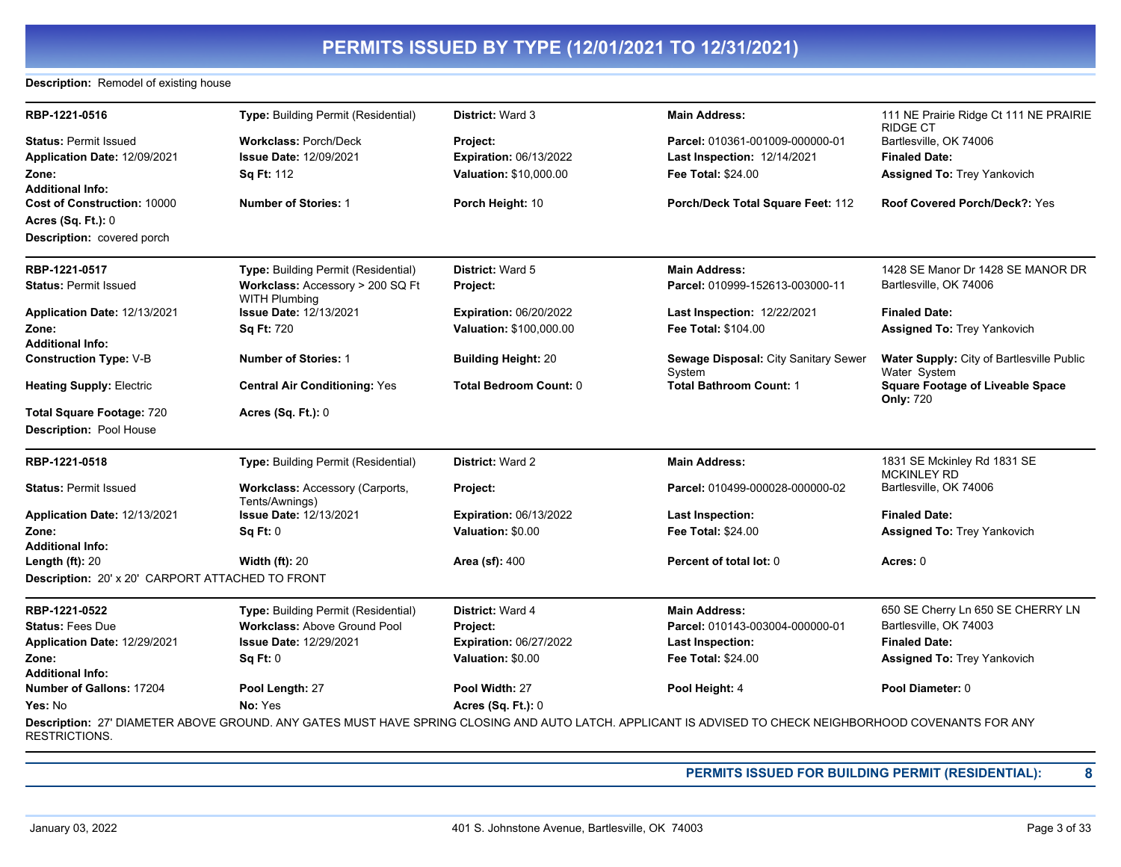### **Description:** Remodel of existing house

| RBP-1221-0516                                    | Type: Building Permit (Residential)                      | <b>District: Ward 3</b>       | <b>Main Address:</b>                                                                                                                                    | 111 NE Prairie Ridge Ct 111 NE PRAIRIE<br><b>RIDGE CT</b>   |
|--------------------------------------------------|----------------------------------------------------------|-------------------------------|---------------------------------------------------------------------------------------------------------------------------------------------------------|-------------------------------------------------------------|
| <b>Status: Permit Issued</b>                     | <b>Workclass: Porch/Deck</b>                             | Project:                      | Parcel: 010361-001009-000000-01                                                                                                                         | Bartlesville, OK 74006                                      |
| Application Date: 12/09/2021                     | <b>Issue Date: 12/09/2021</b>                            | <b>Expiration: 06/13/2022</b> | Last Inspection: 12/14/2021                                                                                                                             | <b>Finaled Date:</b>                                        |
| Zone:                                            | Sq Ft: 112                                               | <b>Valuation: \$10,000.00</b> | <b>Fee Total: \$24.00</b>                                                                                                                               | Assigned To: Trey Yankovich                                 |
| <b>Additional Info:</b>                          |                                                          |                               |                                                                                                                                                         |                                                             |
| <b>Cost of Construction: 10000</b>               | <b>Number of Stories: 1</b>                              | Porch Height: 10              | Porch/Deck Total Square Feet: 112                                                                                                                       | <b>Roof Covered Porch/Deck?: Yes</b>                        |
| <b>Acres (Sq. Ft.): 0</b>                        |                                                          |                               |                                                                                                                                                         |                                                             |
| <b>Description:</b> covered porch                |                                                          |                               |                                                                                                                                                         |                                                             |
| RBP-1221-0517                                    | <b>Type: Building Permit (Residential)</b>               | <b>District: Ward 5</b>       | <b>Main Address:</b>                                                                                                                                    | 1428 SE Manor Dr 1428 SE MANOR DR                           |
| <b>Status: Permit Issued</b>                     | Workclass: Accessory > 200 SQ Ft<br><b>WITH Plumbing</b> | Project:                      | Parcel: 010999-152613-003000-11                                                                                                                         | Bartlesville, OK 74006                                      |
| Application Date: 12/13/2021                     | <b>Issue Date: 12/13/2021</b>                            | <b>Expiration: 06/20/2022</b> | Last Inspection: 12/22/2021                                                                                                                             | <b>Finaled Date:</b>                                        |
| Zone:                                            | Sq Ft: 720                                               | Valuation: \$100,000.00       | Fee Total: \$104.00                                                                                                                                     | Assigned To: Trey Yankovich                                 |
| <b>Additional Info:</b>                          |                                                          |                               |                                                                                                                                                         |                                                             |
| <b>Construction Type: V-B</b>                    | <b>Number of Stories: 1</b>                              | <b>Building Height: 20</b>    | Sewage Disposal: City Sanitary Sewer<br>System                                                                                                          | Water Supply: City of Bartlesville Public<br>Water System   |
| <b>Heating Supply: Electric</b>                  | <b>Central Air Conditioning: Yes</b>                     | Total Bedroom Count: 0        | <b>Total Bathroom Count: 1</b>                                                                                                                          | <b>Square Footage of Liveable Space</b><br><b>Only: 720</b> |
| <b>Total Square Footage: 720</b>                 | <b>Acres (Sq. Ft.): 0</b>                                |                               |                                                                                                                                                         |                                                             |
| <b>Description: Pool House</b>                   |                                                          |                               |                                                                                                                                                         |                                                             |
| RBP-1221-0518                                    | Type: Building Permit (Residential)                      | <b>District: Ward 2</b>       | <b>Main Address:</b>                                                                                                                                    | 1831 SE Mckinley Rd 1831 SE<br><b>MCKINLEY RD</b>           |
| <b>Status: Permit Issued</b>                     | Workclass: Accessory (Carports,<br>Tents/Awnings)        | Project:                      | Parcel: 010499-000028-000000-02                                                                                                                         | Bartlesville, OK 74006                                      |
| Application Date: 12/13/2021                     | <b>Issue Date: 12/13/2021</b>                            | <b>Expiration: 06/13/2022</b> | <b>Last Inspection:</b>                                                                                                                                 | <b>Finaled Date:</b>                                        |
| Zone:                                            | Sq Ft: 0                                                 | Valuation: \$0.00             | Fee Total: \$24.00                                                                                                                                      | <b>Assigned To: Trey Yankovich</b>                          |
| <b>Additional Info:</b>                          |                                                          |                               |                                                                                                                                                         |                                                             |
| Length $(ft)$ : 20                               | <b>Width (ft): 20</b>                                    | <b>Area (sf): 400</b>         | Percent of total lot: 0                                                                                                                                 | Acres: 0                                                    |
| Description: 20' x 20' CARPORT ATTACHED TO FRONT |                                                          |                               |                                                                                                                                                         |                                                             |
| RBP-1221-0522                                    | <b>Type: Building Permit (Residential)</b>               | <b>District: Ward 4</b>       | <b>Main Address:</b>                                                                                                                                    | 650 SE Cherry Ln 650 SE CHERRY LN                           |
| <b>Status: Fees Due</b>                          | <b>Workclass: Above Ground Pool</b>                      | Project:                      | Parcel: 010143-003004-000000-01                                                                                                                         | Bartlesville, OK 74003                                      |
| Application Date: 12/29/2021                     | <b>Issue Date: 12/29/2021</b>                            | <b>Expiration: 06/27/2022</b> | <b>Last Inspection:</b>                                                                                                                                 | <b>Finaled Date:</b>                                        |
| Zone:                                            | Sq Ft: 0                                                 | Valuation: \$0.00             | <b>Fee Total: \$24.00</b>                                                                                                                               | <b>Assigned To: Trey Yankovich</b>                          |
| <b>Additional Info:</b>                          |                                                          |                               |                                                                                                                                                         |                                                             |
| Number of Gallons: 17204                         | Pool Length: 27                                          | Pool Width: 27                | Pool Height: 4                                                                                                                                          | Pool Diameter: 0                                            |
| Yes: No                                          | No: Yes                                                  | Acres (Sq. Ft.): 0            |                                                                                                                                                         |                                                             |
| <b>RESTRICTIONS.</b>                             |                                                          |                               | Description: 27' DIAMETER ABOVE GROUND. ANY GATES MUST HAVE SPRING CLOSING AND AUTO LATCH. APPLICANT IS ADVISED TO CHECK NEIGHBORHOOD COVENANTS FOR ANY |                                                             |

**PERMITS ISSUED FOR BUILDING PERMIT (RESIDENTIAL): 8**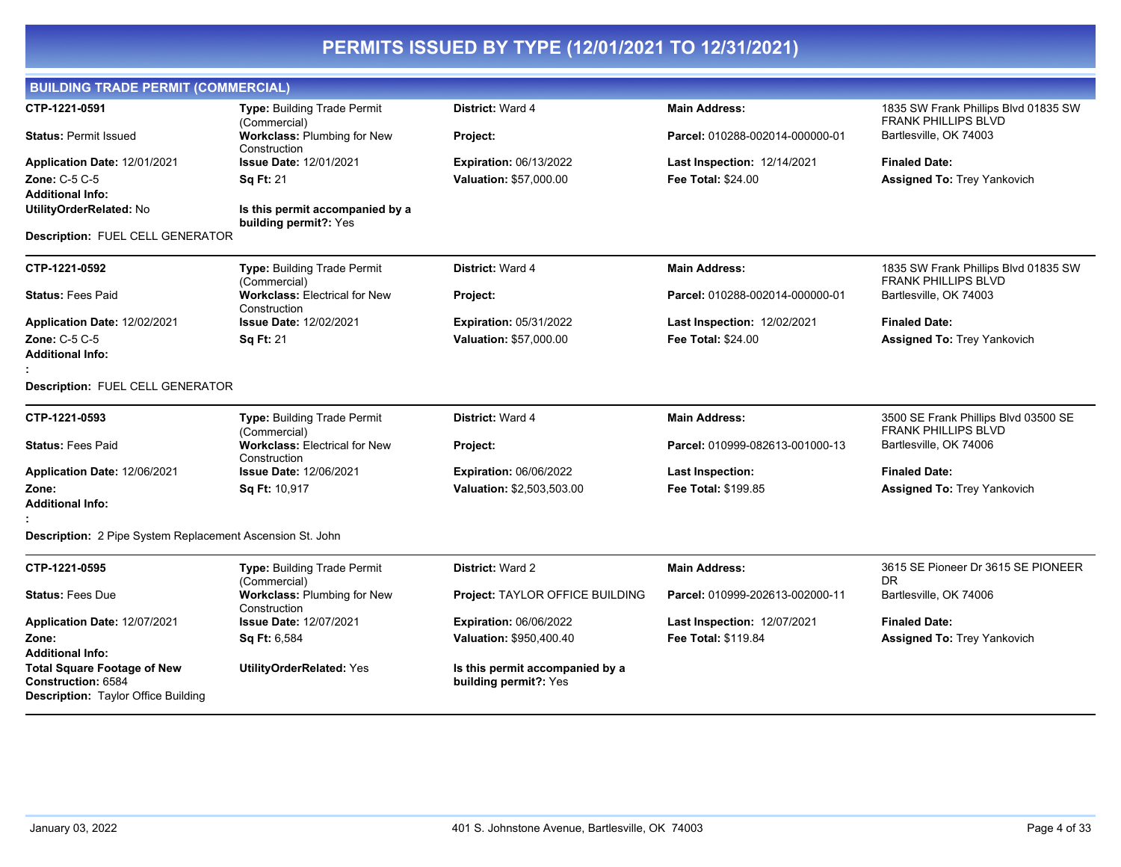| <b>BUILDING TRADE PERMIT (COMMERCIAL)</b>                                                              |                                                          |                                                          |                                    |                                                                    |
|--------------------------------------------------------------------------------------------------------|----------------------------------------------------------|----------------------------------------------------------|------------------------------------|--------------------------------------------------------------------|
| CTP-1221-0591                                                                                          | <b>Type: Building Trade Permit</b><br>(Commercial)       | District: Ward 4                                         | <b>Main Address:</b>               | 1835 SW Frank Phillips Blvd 01835 SW<br><b>FRANK PHILLIPS BLVD</b> |
| <b>Status: Permit Issued</b>                                                                           | Workclass: Plumbing for New<br>Construction              | Project:                                                 | Parcel: 010288-002014-000000-01    | Bartlesville, OK 74003                                             |
| Application Date: 12/01/2021                                                                           | <b>Issue Date: 12/01/2021</b>                            | <b>Expiration: 06/13/2022</b>                            | <b>Last Inspection: 12/14/2021</b> | <b>Finaled Date:</b>                                               |
| <b>Zone: C-5 C-5</b><br><b>Additional Info:</b>                                                        | <b>Sq Ft: 21</b>                                         | <b>Valuation: \$57,000.00</b>                            | <b>Fee Total: \$24.00</b>          | <b>Assigned To: Trey Yankovich</b>                                 |
| UtilityOrderRelated: No                                                                                | Is this permit accompanied by a<br>building permit?: Yes |                                                          |                                    |                                                                    |
| Description: FUEL CELL GENERATOR                                                                       |                                                          |                                                          |                                    |                                                                    |
| CTP-1221-0592                                                                                          | Type: Building Trade Permit<br>(Commercial)              | District: Ward 4                                         | <b>Main Address:</b>               | 1835 SW Frank Phillips Blvd 01835 SW<br><b>FRANK PHILLIPS BLVD</b> |
| <b>Status: Fees Paid</b>                                                                               | <b>Workclass: Electrical for New</b><br>Construction     | Project:                                                 | Parcel: 010288-002014-000000-01    | Bartlesville, OK 74003                                             |
| <b>Application Date: 12/02/2021</b>                                                                    | <b>Issue Date: 12/02/2021</b>                            | <b>Expiration: 05/31/2022</b>                            | Last Inspection: 12/02/2021        | <b>Finaled Date:</b>                                               |
| Zone: C-5 C-5                                                                                          | <b>Sq Ft: 21</b>                                         | Valuation: \$57,000.00                                   | <b>Fee Total: \$24.00</b>          | <b>Assigned To: Trey Yankovich</b>                                 |
| <b>Additional Info:</b>                                                                                |                                                          |                                                          |                                    |                                                                    |
| Description: FUEL CELL GENERATOR                                                                       |                                                          |                                                          |                                    |                                                                    |
| CTP-1221-0593                                                                                          | <b>Type: Building Trade Permit</b><br>(Commercial)       | <b>District: Ward 4</b>                                  | <b>Main Address:</b>               | 3500 SE Frank Phillips Blvd 03500 SE<br><b>FRANK PHILLIPS BLVD</b> |
| <b>Status: Fees Paid</b>                                                                               | <b>Workclass: Electrical for New</b><br>Construction     | Project:                                                 | Parcel: 010999-082613-001000-13    | Bartlesville, OK 74006                                             |
| Application Date: 12/06/2021                                                                           | <b>Issue Date: 12/06/2021</b>                            | <b>Expiration: 06/06/2022</b>                            | <b>Last Inspection:</b>            | <b>Finaled Date:</b>                                               |
| Zone:                                                                                                  | Sq Ft: 10,917                                            | Valuation: \$2,503,503.00                                | <b>Fee Total: \$199.85</b>         | <b>Assigned To: Trey Yankovich</b>                                 |
| Additional Info:                                                                                       |                                                          |                                                          |                                    |                                                                    |
| Description: 2 Pipe System Replacement Ascension St. John                                              |                                                          |                                                          |                                    |                                                                    |
| CTP-1221-0595                                                                                          | Type: Building Trade Permit<br>(Commercial)              | <b>District: Ward 2</b>                                  | <b>Main Address:</b>               | 3615 SE Pioneer Dr 3615 SE PIONEER<br>DR.                          |
| <b>Status: Fees Due</b>                                                                                | <b>Workclass: Plumbing for New</b><br>Construction       | Project: TAYLOR OFFICE BUILDING                          | Parcel: 010999-202613-002000-11    | Bartlesville, OK 74006                                             |
| Application Date: 12/07/2021                                                                           | <b>Issue Date: 12/07/2021</b>                            | <b>Expiration: 06/06/2022</b>                            | Last Inspection: 12/07/2021        | <b>Finaled Date:</b>                                               |
| Zone:<br>Additional Info:                                                                              | Sq Ft: 6,584                                             | Valuation: \$950,400.40                                  | Fee Total: \$119.84                | <b>Assigned To: Trey Yankovich</b>                                 |
| <b>Total Square Footage of New</b><br>Construction: 6584<br><b>Description: Taylor Office Building</b> | <b>UtilityOrderRelated: Yes</b>                          | Is this permit accompanied by a<br>building permit?: Yes |                                    |                                                                    |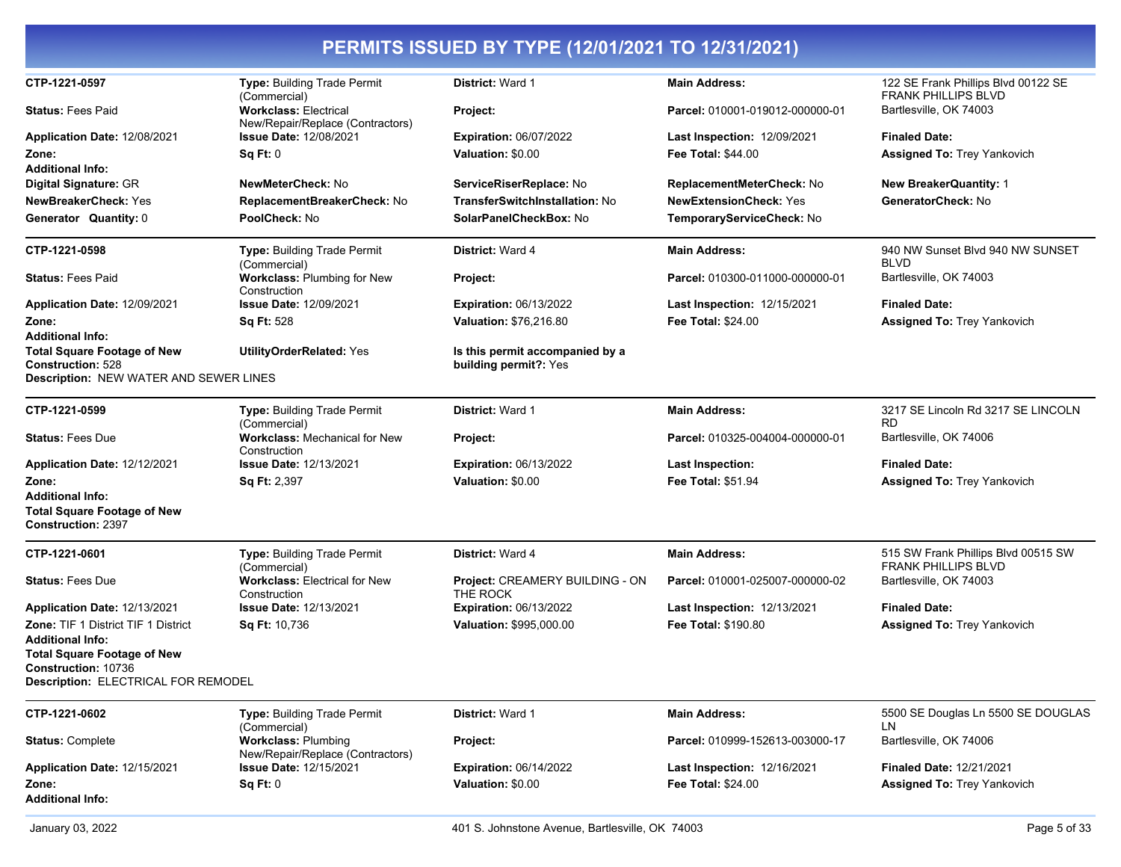| CTP-1221-0597                                                                                            | Type: Building Trade Permit<br>(Commercial)                      | District: Ward 1                                         | <b>Main Address:</b>               | 122 SE Frank Phillips Blvd 00122 SE<br><b>FRANK PHILLIPS BLVD</b> |
|----------------------------------------------------------------------------------------------------------|------------------------------------------------------------------|----------------------------------------------------------|------------------------------------|-------------------------------------------------------------------|
| <b>Status: Fees Paid</b>                                                                                 | <b>Workclass: Electrical</b><br>New/Repair/Replace (Contractors) | Project:                                                 | Parcel: 010001-019012-000000-01    | Bartlesville, OK 74003                                            |
| Application Date: 12/08/2021                                                                             | <b>Issue Date: 12/08/2021</b>                                    | <b>Expiration: 06/07/2022</b>                            | Last Inspection: 12/09/2021        | <b>Finaled Date:</b>                                              |
| Zone:                                                                                                    | Sq Ft: 0                                                         | Valuation: \$0.00                                        | <b>Fee Total: \$44.00</b>          | <b>Assigned To: Trey Yankovich</b>                                |
| <b>Additional Info:</b>                                                                                  |                                                                  |                                                          |                                    |                                                                   |
| Digital Signature: GR                                                                                    | NewMeterCheck: No                                                | ServiceRiserReplace: No                                  | ReplacementMeterCheck: No          | New BreakerQuantity: 1                                            |
| <b>NewBreakerCheck: Yes</b>                                                                              | ReplacementBreakerCheck: No                                      | <b>TransferSwitchInstallation: No</b>                    | <b>NewExtensionCheck: Yes</b>      | GeneratorCheck: No                                                |
| Generator Quantity: 0                                                                                    | PoolCheck: No                                                    | SolarPanelCheckBox: No                                   | TemporaryServiceCheck: No          |                                                                   |
| CTP-1221-0598                                                                                            | Type: Building Trade Permit<br>(Commercial)                      | District: Ward 4                                         | <b>Main Address:</b>               | 940 NW Sunset Blvd 940 NW SUNSET<br><b>BLVD</b>                   |
| <b>Status: Fees Paid</b>                                                                                 | <b>Workclass: Plumbing for New</b><br>Construction               | Project:                                                 | Parcel: 010300-011000-000000-01    | Bartlesville, OK 74003                                            |
| Application Date: 12/09/2021                                                                             | <b>Issue Date: 12/09/2021</b>                                    | <b>Expiration: 06/13/2022</b>                            | Last Inspection: 12/15/2021        | <b>Finaled Date:</b>                                              |
| Zone:                                                                                                    | <b>Sq Ft: 528</b>                                                | <b>Valuation: \$76,216.80</b>                            | <b>Fee Total: \$24.00</b>          | <b>Assigned To: Trey Yankovich</b>                                |
| <b>Additional Info:</b>                                                                                  |                                                                  |                                                          |                                    |                                                                   |
| <b>Total Square Footage of New</b><br><b>Construction: 528</b><br>Description: NEW WATER AND SEWER LINES | <b>UtilityOrderRelated: Yes</b>                                  | Is this permit accompanied by a<br>building permit?: Yes |                                    |                                                                   |
|                                                                                                          |                                                                  |                                                          |                                    |                                                                   |
| CTP-1221-0599                                                                                            | Type: Building Trade Permit<br>(Commercial)                      | <b>District: Ward 1</b>                                  | <b>Main Address:</b>               | 3217 SE Lincoln Rd 3217 SE LINCOLN<br><b>RD</b>                   |
| <b>Status: Fees Due</b>                                                                                  | <b>Workclass: Mechanical for New</b><br>Construction             | Project:                                                 | Parcel: 010325-004004-000000-01    | Bartlesville, OK 74006                                            |
| Application Date: 12/12/2021                                                                             | <b>Issue Date: 12/13/2021</b>                                    | <b>Expiration: 06/13/2022</b>                            | <b>Last Inspection:</b>            | <b>Finaled Date:</b>                                              |
| Zone:                                                                                                    | Sq Ft: 2,397                                                     | Valuation: \$0.00                                        | Fee Total: \$51.94                 | Assigned To: Trey Yankovich                                       |
| <b>Additional Info:</b>                                                                                  |                                                                  |                                                          |                                    |                                                                   |
| <b>Total Square Footage of New</b><br><b>Construction: 2397</b>                                          |                                                                  |                                                          |                                    |                                                                   |
| CTP-1221-0601                                                                                            | Type: Building Trade Permit<br>(Commercial)                      | District: Ward 4                                         | <b>Main Address:</b>               | 515 SW Frank Phillips Blvd 00515 SW<br><b>FRANK PHILLIPS BLVD</b> |
| <b>Status: Fees Due</b>                                                                                  | <b>Workclass: Electrical for New</b><br>Construction             | Project: CREAMERY BUILDING - ON<br>THE ROCK              | Parcel: 010001-025007-000000-02    | Bartlesville, OK 74003                                            |
| Application Date: 12/13/2021                                                                             | <b>Issue Date: 12/13/2021</b>                                    | <b>Expiration: 06/13/2022</b>                            | <b>Last Inspection: 12/13/2021</b> | <b>Finaled Date:</b>                                              |
| <b>Zone: TIF 1 District TIF 1 District</b>                                                               | <b>Sq Ft: 10,736</b>                                             | Valuation: \$995,000.00                                  | <b>Fee Total: \$190.80</b>         | <b>Assigned To: Trey Yankovich</b>                                |
| <b>Additional Info:</b>                                                                                  |                                                                  |                                                          |                                    |                                                                   |
| <b>Total Square Footage of New</b>                                                                       |                                                                  |                                                          |                                    |                                                                   |
| Construction: 10736                                                                                      |                                                                  |                                                          |                                    |                                                                   |
| <b>Description: ELECTRICAL FOR REMODEL</b>                                                               |                                                                  |                                                          |                                    |                                                                   |
| CTP-1221-0602                                                                                            | Type: Building Trade Permit<br>(Commercial)                      | District: Ward 1                                         | <b>Main Address:</b>               | 5500 SE Douglas Ln 5500 SE DOUGLAS<br>LN                          |
| <b>Status: Complete</b>                                                                                  | <b>Workclass: Plumbing</b><br>New/Repair/Replace (Contractors)   | Project:                                                 | Parcel: 010999-152613-003000-17    | Bartlesville, OK 74006                                            |
| Application Date: 12/15/2021                                                                             | <b>Issue Date: 12/15/2021</b>                                    | <b>Expiration: 06/14/2022</b>                            | Last Inspection: 12/16/2021        | <b>Finaled Date: 12/21/2021</b>                                   |
| Zone:                                                                                                    | Sq Ft: 0                                                         | Valuation: \$0.00                                        | <b>Fee Total: \$24.00</b>          | <b>Assigned To: Trey Yankovich</b>                                |
| <b>Additional Info:</b>                                                                                  |                                                                  |                                                          |                                    |                                                                   |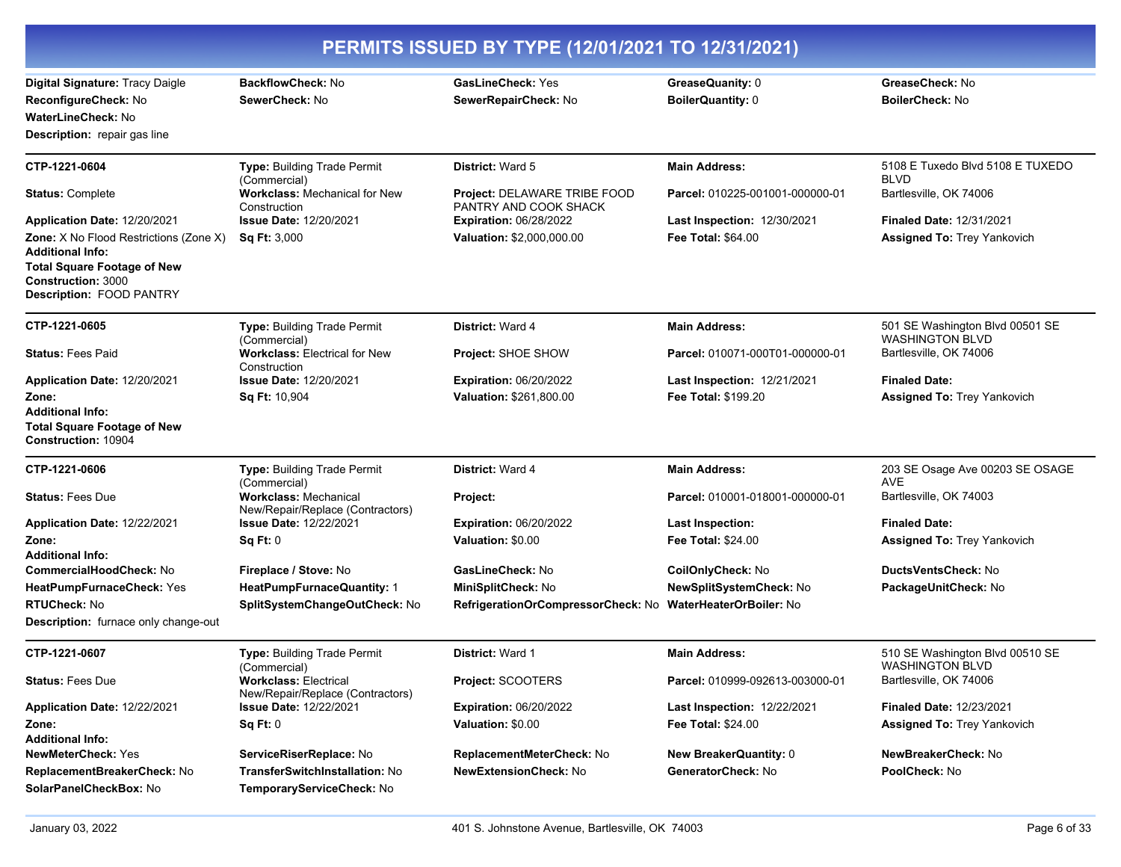| PERMITS ISSUED BY TYPE (12/01/2021 TO 12/31/2021)                                           |                                                                      |                                                              |                                    |                                                     |
|---------------------------------------------------------------------------------------------|----------------------------------------------------------------------|--------------------------------------------------------------|------------------------------------|-----------------------------------------------------|
| Digital Signature: Tracy Daigle                                                             | <b>BackflowCheck: No</b>                                             | <b>GasLineCheck: Yes</b>                                     | GreaseQuanity: 0                   | GreaseCheck: No                                     |
| ReconfigureCheck: No                                                                        | SewerCheck: No                                                       | SewerRepairCheck: No                                         | BoilerQuantity: 0                  | BoilerCheck: No                                     |
| <b>WaterLineCheck: No</b>                                                                   |                                                                      |                                                              |                                    |                                                     |
| <b>Description:</b> repair gas line                                                         |                                                                      |                                                              |                                    |                                                     |
| CTP-1221-0604                                                                               | Type: Building Trade Permit<br>(Commercial)                          | <b>District: Ward 5</b>                                      | <b>Main Address:</b>               | 5108 E Tuxedo Blvd 5108 E TUXEDO<br><b>BLVD</b>     |
| <b>Status: Complete</b>                                                                     | <b>Workclass: Mechanical for New</b><br>Construction                 | <b>Project: DELAWARE TRIBE FOOD</b><br>PANTRY AND COOK SHACK | Parcel: 010225-001001-000000-01    | Bartlesville, OK 74006                              |
| Application Date: 12/20/2021                                                                | <b>Issue Date: 12/20/2021</b>                                        | <b>Expiration: 06/28/2022</b>                                | Last Inspection: 12/30/2021        | <b>Finaled Date: 12/31/2021</b>                     |
| Zone: X No Flood Restrictions (Zone X)<br><b>Additional Info:</b>                           | <b>Sq Ft: 3,000</b>                                                  | Valuation: \$2,000,000.00                                    | <b>Fee Total: \$64.00</b>          | <b>Assigned To: Trey Yankovich</b>                  |
| <b>Total Square Footage of New</b><br><b>Construction: 3000</b><br>Description: FOOD PANTRY |                                                                      |                                                              |                                    |                                                     |
| CTP-1221-0605                                                                               | Type: Building Trade Permit                                          | <b>District: Ward 4</b>                                      | <b>Main Address:</b>               | 501 SE Washington Blvd 00501 SE                     |
| <b>Status: Fees Paid</b>                                                                    | (Commercial)<br><b>Workclass: Electrical for New</b><br>Construction | Project: SHOE SHOW                                           | Parcel: 010071-000T01-000000-01    | <b>WASHINGTON BLVD</b><br>Bartlesville, OK 74006    |
| Application Date: 12/20/2021                                                                | <b>Issue Date: 12/20/2021</b>                                        | <b>Expiration: 06/20/2022</b>                                | Last Inspection: 12/21/2021        | <b>Finaled Date:</b>                                |
| Zone:                                                                                       | Sq Ft: 10,904                                                        | Valuation: \$261,800.00                                      | Fee Total: \$199.20                | <b>Assigned To: Trey Yankovich</b>                  |
| <b>Additional Info:</b><br><b>Total Square Footage of New</b><br>Construction: 10904        |                                                                      |                                                              |                                    |                                                     |
| CTP-1221-0606                                                                               | Type: Building Trade Permit<br>(Commercial)                          | <b>District: Ward 4</b>                                      | <b>Main Address:</b>               | 203 SE Osage Ave 00203 SE OSAGE<br><b>AVE</b>       |
| <b>Status: Fees Due</b>                                                                     | <b>Workclass: Mechanical</b><br>New/Repair/Replace (Contractors)     | Project:                                                     | Parcel: 010001-018001-000000-01    | Bartlesville, OK 74003                              |
| Application Date: 12/22/2021                                                                | <b>Issue Date: 12/22/2021</b>                                        | <b>Expiration: 06/20/2022</b>                                | <b>Last Inspection:</b>            | <b>Finaled Date:</b>                                |
| Zone:                                                                                       | Sq Ft: 0                                                             | Valuation: \$0.00                                            | <b>Fee Total: \$24.00</b>          | <b>Assigned To: Trey Yankovich</b>                  |
| <b>Additional Info:</b>                                                                     |                                                                      |                                                              |                                    |                                                     |
| <b>CommercialHoodCheck: No</b>                                                              | Fireplace / Stove: No                                                | GasLineCheck: No                                             | CoilOnlyCheck: No                  | <b>DuctsVentsCheck: No</b>                          |
| HeatPumpFurnaceCheck: Yes                                                                   | HeatPumpFurnaceQuantity: 1                                           | MiniSplitCheck: No                                           | NewSplitSystemCheck: No            | PackageUnitCheck: No                                |
| <b>RTUCheck: No</b>                                                                         | SplitSystemChangeOutCheck: No                                        | RefrigerationOrCompressorCheck: No                           | <b>WaterHeaterOrBoiler: No</b>     |                                                     |
| <b>Description:</b> furnace only change-out                                                 |                                                                      |                                                              |                                    |                                                     |
| CTP-1221-0607                                                                               | <b>Type: Building Trade Permit</b><br>(Commercial)                   | District: Ward 1                                             | <b>Main Address:</b>               | 510 SE Washington Blvd 00510 SE<br>WASHING ION BLVD |
| <b>Status: Fees Due</b>                                                                     | <b>Workclass: Electrical</b><br>New/Repair/Replace (Contractors)     | Project: SCOOTERS                                            | Parcel: 010999-092613-003000-01    | Bartlesville, OK 74006                              |
| Application Date: 12/22/2021                                                                | <b>Issue Date: 12/22/2021</b>                                        | <b>Expiration: 06/20/2022</b>                                | <b>Last Inspection: 12/22/2021</b> | <b>Finaled Date: 12/23/2021</b>                     |
| Zone:                                                                                       | Sq Ft: 0                                                             | Valuation: \$0.00                                            | Fee Total: \$24.00                 | <b>Assigned To: Trey Yankovich</b>                  |
| <b>Additional Info:</b>                                                                     |                                                                      |                                                              |                                    |                                                     |
| <b>NewMeterCheck: Yes</b>                                                                   | ServiceRiserReplace: No                                              | ReplacementMeterCheck: No                                    | <b>New BreakerQuantity: 0</b>      | NewBreakerCheck: No                                 |
| ReplacementBreakerCheck: No<br>SolarPanelCheckBox: No                                       | <b>TransferSwitchInstallation: No</b><br>TemporaryServiceCheck: No   | <b>NewExtensionCheck: No</b>                                 | GeneratorCheck: No                 | PoolCheck: No                                       |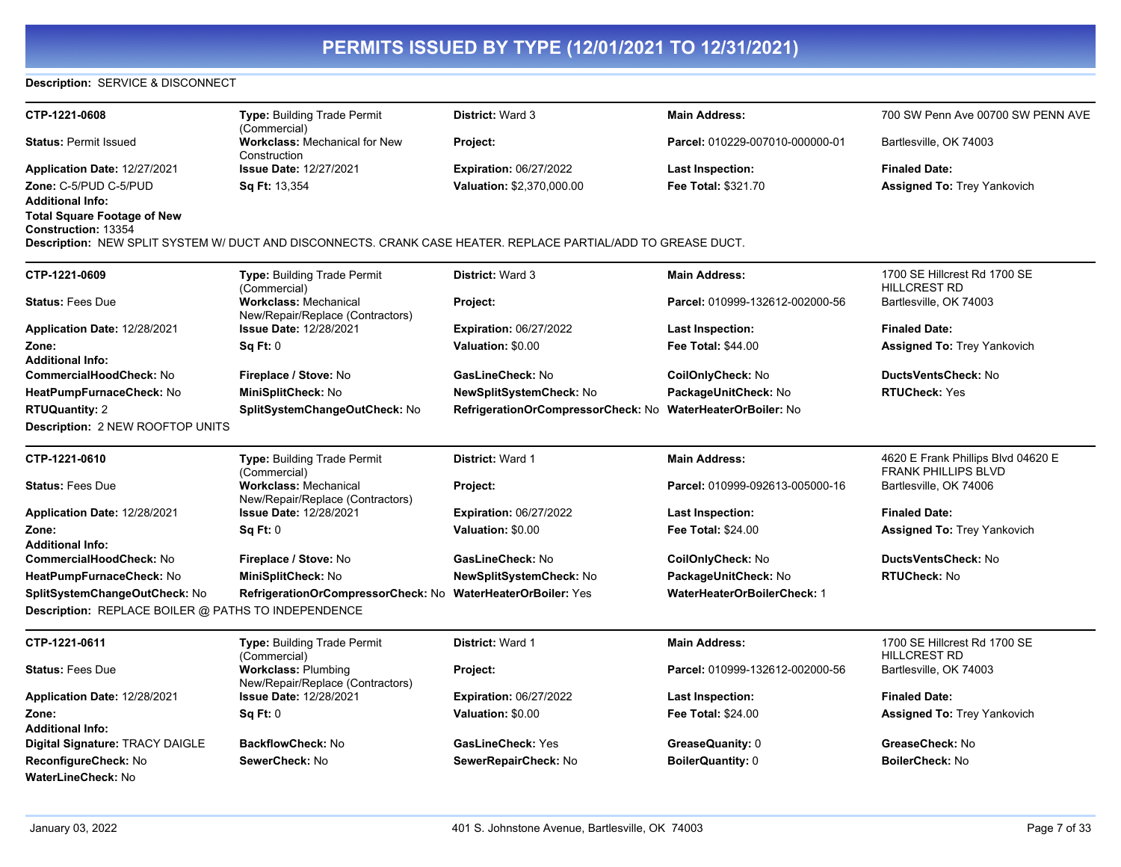### **Description:** SERVICE & DISCONNECT

| CTP-1221-0608                                             | Type: Building Trade Permit<br>(Commercial)                                                                   | <b>District: Ward 3</b>            | <b>Main Address:</b>               | 700 SW Penn Ave 00700 SW PENN AVE                    |
|-----------------------------------------------------------|---------------------------------------------------------------------------------------------------------------|------------------------------------|------------------------------------|------------------------------------------------------|
| <b>Status: Permit Issued</b>                              | <b>Workclass: Mechanical for New</b><br>Construction                                                          | Project:                           | Parcel: 010229-007010-000000-01    | Bartlesville, OK 74003                               |
| Application Date: 12/27/2021                              | <b>Issue Date: 12/27/2021</b>                                                                                 | <b>Expiration: 06/27/2022</b>      | <b>Last Inspection:</b>            | <b>Finaled Date:</b>                                 |
| Zone: C-5/PUD C-5/PUD                                     | Sq Ft: 13,354                                                                                                 | Valuation: \$2,370,000.00          | Fee Total: \$321.70                | <b>Assigned To: Trey Yankovich</b>                   |
| <b>Additional Info:</b>                                   |                                                                                                               |                                    |                                    |                                                      |
| <b>Total Square Footage of New</b><br>Construction: 13354 |                                                                                                               |                                    |                                    |                                                      |
|                                                           | Description: NEW SPLIT SYSTEM W/ DUCT AND DISCONNECTS. CRANK CASE HEATER. REPLACE PARTIAL/ADD TO GREASE DUCT. |                                    |                                    |                                                      |
| CTP-1221-0609                                             | Type: Building Trade Permit<br>(Commercial)                                                                   | <b>District: Ward 3</b>            | <b>Main Address:</b>               | 1700 SE Hillcrest Rd 1700 SE<br><b>HILLCREST RD</b>  |
| <b>Status: Fees Due</b>                                   | <b>Workclass: Mechanical</b><br>New/Repair/Replace (Contractors)                                              | Project:                           | Parcel: 010999-132612-002000-56    | Bartlesville, OK 74003                               |
| Application Date: 12/28/2021                              | <b>Issue Date: 12/28/2021</b>                                                                                 | <b>Expiration: 06/27/2022</b>      | <b>Last Inspection:</b>            | <b>Finaled Date:</b>                                 |
| Zone:                                                     | <b>Sq Ft: 0</b>                                                                                               | Valuation: \$0.00                  | Fee Total: \$44.00                 | <b>Assigned To: Trey Yankovich</b>                   |
| <b>Additional Info:</b>                                   |                                                                                                               |                                    |                                    |                                                      |
| CommercialHoodCheck: No                                   | Fireplace / Stove: No                                                                                         | GasLineCheck: No                   | CoilOnlyCheck: No                  | <b>DuctsVentsCheck: No</b>                           |
| HeatPumpFurnaceCheck: No                                  | MiniSplitCheck: No                                                                                            | NewSplitSystemCheck: No            | PackageUnitCheck: No               | <b>RTUCheck: Yes</b>                                 |
| <b>RTUQuantity: 2</b>                                     | SplitSystemChangeOutCheck: No                                                                                 | RefrigerationOrCompressorCheck: No | <b>WaterHeaterOrBoiler: No</b>     |                                                      |
| <b>Description: 2 NEW ROOFTOP UNITS</b>                   |                                                                                                               |                                    |                                    |                                                      |
| CTP-1221-0610                                             | Type: Building Trade Permit                                                                                   | District: Ward 1                   | <b>Main Address:</b>               | 4620 E Frank Phillips Blvd 04620 E                   |
| <b>Status: Fees Due</b>                                   | (Commercial)<br><b>Workclass: Mechanical</b><br>New/Repair/Replace (Contractors)                              | Project:                           | Parcel: 010999-092613-005000-16    | <b>FRANK PHILLIPS BLVD</b><br>Bartlesville, OK 74006 |
| Application Date: 12/28/2021                              | <b>Issue Date: 12/28/2021</b>                                                                                 | <b>Expiration: 06/27/2022</b>      | <b>Last Inspection:</b>            | <b>Finaled Date:</b>                                 |
| Zone:                                                     | Sq Ft: 0                                                                                                      | Valuation: \$0.00                  | Fee Total: \$24.00                 | <b>Assigned To: Trey Yankovich</b>                   |
| <b>Additional Info:</b>                                   |                                                                                                               |                                    |                                    |                                                      |
| CommercialHoodCheck: No                                   | Fireplace / Stove: No                                                                                         | GasLineCheck: No                   | CoilOnlyCheck: No                  | DuctsVentsCheck: No                                  |
| HeatPumpFurnaceCheck: No                                  | MiniSplitCheck: No                                                                                            | <b>NewSplitSystemCheck: No</b>     | PackageUnitCheck: No               | <b>RTUCheck: No</b>                                  |
| SplitSystemChangeOutCheck: No                             | RefrigerationOrCompressorCheck: No WaterHeaterOrBoiler: Yes                                                   |                                    | <b>WaterHeaterOrBoilerCheck: 1</b> |                                                      |
| Description: REPLACE BOILER @ PATHS TO INDEPENDENCE       |                                                                                                               |                                    |                                    |                                                      |
| CTP-1221-0611                                             | Type: Building Trade Permit                                                                                   | District: Ward 1                   | <b>Main Address:</b>               | 1700 SE Hillcrest Rd 1700 SE                         |
|                                                           | (Commercial)                                                                                                  |                                    |                                    | <b>HILLCREST RD</b>                                  |
| <b>Status: Fees Due</b>                                   | <b>Workclass: Plumbing</b><br>New/Repair/Replace (Contractors)                                                | Project:                           | Parcel: 010999-132612-002000-56    | Bartlesville, OK 74003                               |
| Application Date: 12/28/2021                              | <b>Issue Date: 12/28/2021</b>                                                                                 | <b>Expiration: 06/27/2022</b>      | <b>Last Inspection:</b>            | <b>Finaled Date:</b>                                 |
| Zone:                                                     | Sq Ft: 0                                                                                                      | Valuation: \$0.00                  | <b>Fee Total: \$24.00</b>          | <b>Assigned To: Trey Yankovich</b>                   |
| <b>Additional Info:</b>                                   |                                                                                                               |                                    |                                    |                                                      |
| Digital Signature: TRACY DAIGLE                           | <b>BackflowCheck: No</b>                                                                                      | <b>GasLineCheck: Yes</b>           | GreaseQuanity: 0                   | GreaseCheck: No                                      |
| ReconfigureCheck: No                                      | SewerCheck: No                                                                                                | SewerRepairCheck: No               | <b>BoilerQuantity: 0</b>           | <b>BoilerCheck: No</b>                               |
| <b>WaterLineCheck: No</b>                                 |                                                                                                               |                                    |                                    |                                                      |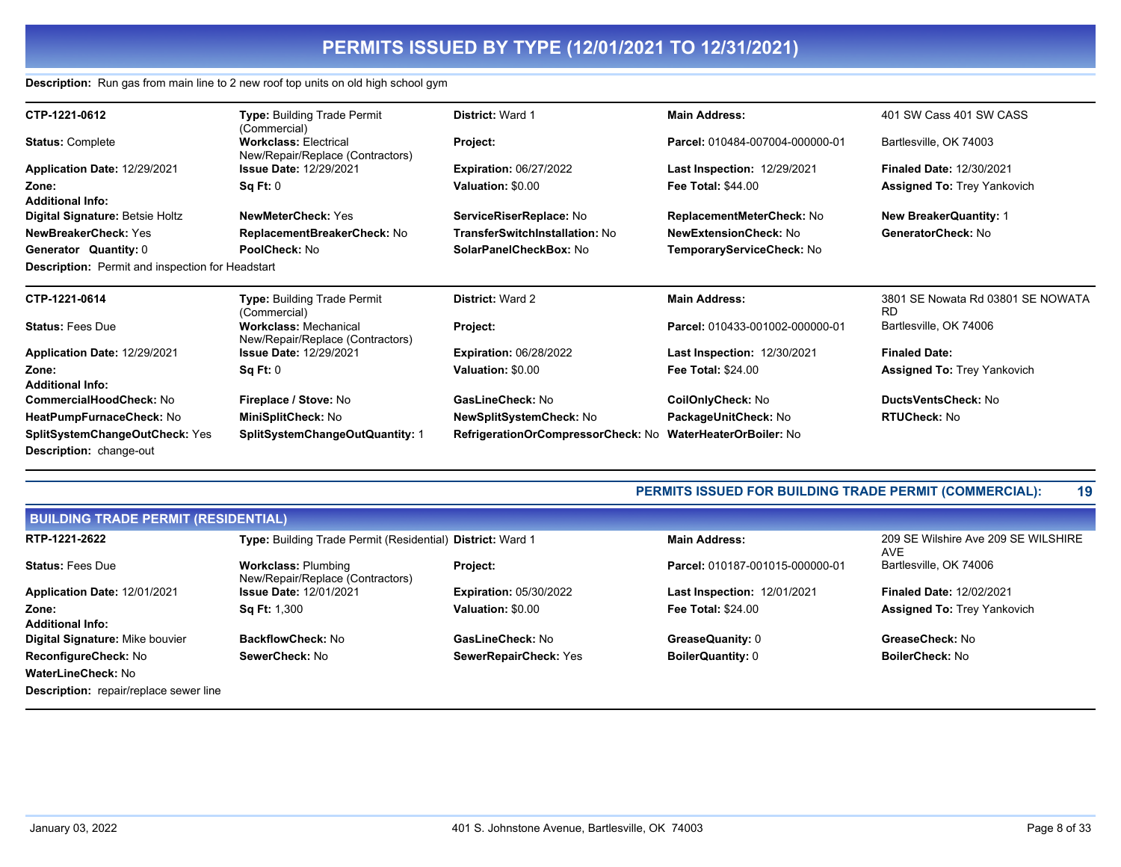### **Description:** Run gas from main line to 2 new roof top units on old high school gym

| CTP-1221-0612                                                           | <b>Type: Building Trade Permit</b><br>(Commercial)               | <b>District: Ward 1</b>            | <b>Main Address:</b>               | 401 SW Cass 401 SW CASS                        |
|-------------------------------------------------------------------------|------------------------------------------------------------------|------------------------------------|------------------------------------|------------------------------------------------|
| <b>Status: Complete</b>                                                 | <b>Workclass: Electrical</b><br>New/Repair/Replace (Contractors) | Project:                           | Parcel: 010484-007004-000000-01    | Bartlesville, OK 74003                         |
| Application Date: 12/29/2021                                            | <b>Issue Date: 12/29/2021</b>                                    | <b>Expiration: 06/27/2022</b>      | <b>Last Inspection: 12/29/2021</b> | <b>Finaled Date: 12/30/2021</b>                |
| Zone:                                                                   | Sq Ft: 0                                                         | Valuation: \$0.00                  | <b>Fee Total: \$44.00</b>          | <b>Assigned To: Trey Yankovich</b>             |
| <b>Additional Info:</b>                                                 |                                                                  |                                    |                                    |                                                |
| Digital Signature: Betsie Holtz                                         | <b>NewMeterCheck: Yes</b>                                        | ServiceRiserReplace: No            | ReplacementMeterCheck: No          | <b>New BreakerQuantity: 1</b>                  |
| <b>NewBreakerCheck: Yes</b>                                             | ReplacementBreakerCheck: No                                      | TransferSwitchInstallation: No     | <b>NewExtensionCheck: No</b>       | GeneratorCheck: No                             |
| Generator Quantity: 0                                                   | <b>PoolCheck: No</b>                                             | SolarPanelCheckBox: No             | TemporaryServiceCheck: No          |                                                |
| <b>Description:</b> Permit and inspection for Headstart                 |                                                                  |                                    |                                    |                                                |
| CTP-1221-0614                                                           | <b>Type: Building Trade Permit</b><br>(Commercial)               | <b>District: Ward 2</b>            | <b>Main Address:</b>               | 3801 SE Nowata Rd 03801 SE NOWATA<br><b>RD</b> |
| <b>Status: Fees Due</b>                                                 | <b>Workclass: Mechanical</b><br>New/Repair/Replace (Contractors) | Project:                           | Parcel: 010433-001002-000000-01    | Bartlesville, OK 74006                         |
| Application Date: 12/29/2021                                            | <b>Issue Date: 12/29/2021</b>                                    | <b>Expiration: 06/28/2022</b>      | <b>Last Inspection: 12/30/2021</b> | <b>Finaled Date:</b>                           |
| Zone:                                                                   | Sq Ft: 0                                                         | Valuation: \$0.00                  | <b>Fee Total: \$24.00</b>          | <b>Assigned To: Trey Yankovich</b>             |
| <b>Additional Info:</b>                                                 |                                                                  |                                    |                                    |                                                |
| <b>CommercialHoodCheck: No</b>                                          | Fireplace / Stove: No                                            | GasLineCheck: No                   | <b>CoilOnlyCheck: No</b>           | DuctsVentsCheck: No                            |
| HeatPumpFurnaceCheck: No                                                | MiniSplitCheck: No                                               | <b>NewSplitSystemCheck: No</b>     | PackageUnitCheck: No               | <b>RTUCheck: No</b>                            |
| <b>SplitSystemChangeOutCheck: Yes</b><br><b>Description: change-out</b> | SplitSystemChangeOutQuantity: 1                                  | RefrigerationOrCompressorCheck: No | <b>WaterHeaterOrBoiler: No</b>     |                                                |

## **PERMITS ISSUED FOR BUILDING TRADE PERMIT (COMMERCIAL): 19**

| <b>BUILDING TRADE PERMIT (RESIDENTIAL)</b>    |                                                                |                               |                                    |                                                   |  |
|-----------------------------------------------|----------------------------------------------------------------|-------------------------------|------------------------------------|---------------------------------------------------|--|
| RTP-1221-2622                                 | Type: Building Trade Permit (Residential) District: Ward 1     |                               | <b>Main Address:</b>               | 209 SE Wilshire Ave 209 SE WILSHIRE<br><b>AVE</b> |  |
| <b>Status: Fees Due</b>                       | <b>Workclass: Plumbing</b><br>New/Repair/Replace (Contractors) | <b>Project:</b>               | Parcel: 010187-001015-000000-01    | Bartlesville, OK 74006                            |  |
| Application Date: 12/01/2021                  | <b>Issue Date: 12/01/2021</b>                                  | <b>Expiration: 05/30/2022</b> | <b>Last Inspection: 12/01/2021</b> | <b>Finaled Date: 12/02/2021</b>                   |  |
| Zone:                                         | <b>Sq Ft: 1,300</b>                                            | Valuation: \$0.00             | <b>Fee Total: \$24.00</b>          | <b>Assigned To: Trey Yankovich</b>                |  |
| <b>Additional Info:</b>                       |                                                                |                               |                                    |                                                   |  |
| <b>Digital Signature: Mike bouvier</b>        | BackflowCheck: No                                              | GasLineCheck: No              | GreaseQuanity: 0                   | GreaseCheck: No                                   |  |
| ReconfigureCheck: No                          | SewerCheck: No                                                 | SewerRepairCheck: Yes         | <b>BoilerQuantity: 0</b>           | <b>BoilerCheck: No</b>                            |  |
| WaterLineCheck: No                            |                                                                |                               |                                    |                                                   |  |
| <b>Description:</b> repair/replace sewer line |                                                                |                               |                                    |                                                   |  |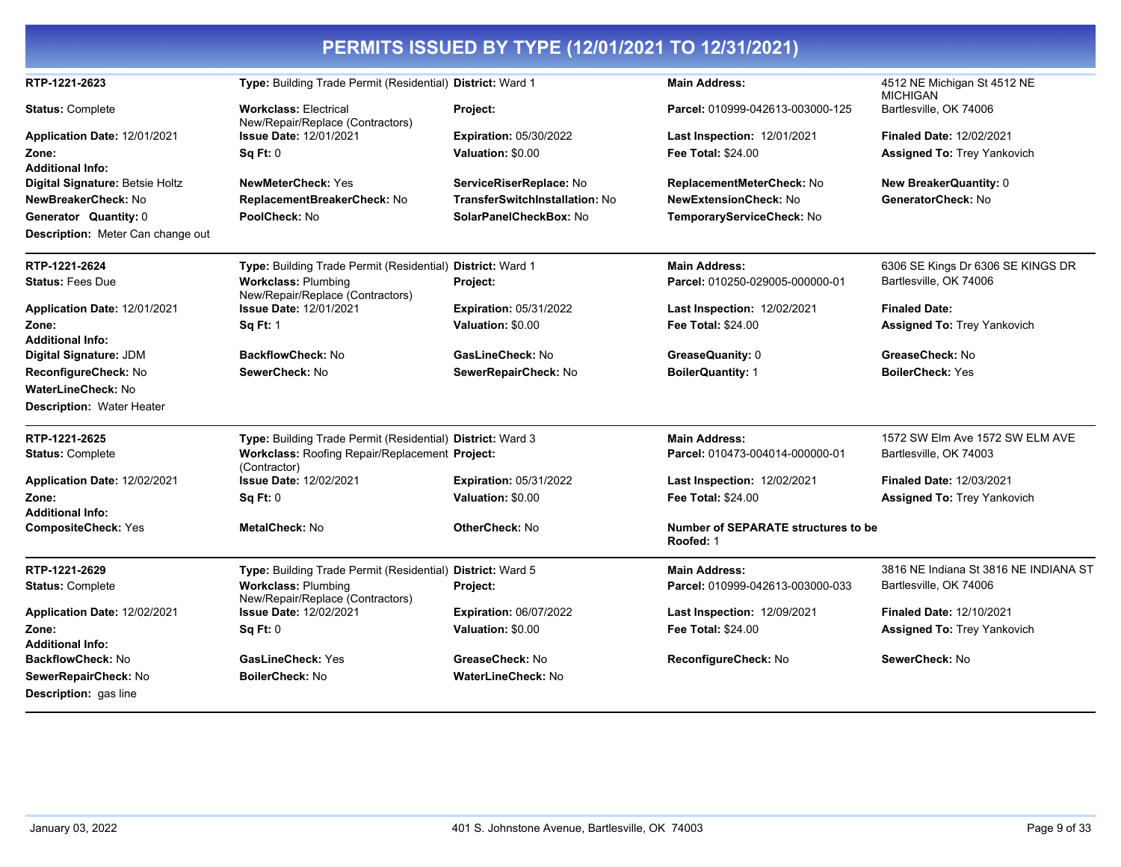|                                          |                                                                  | PERMITS ISSUED BY TYPE (12/01/2021 TO 12/31/2021) |                                                         |                                                |
|------------------------------------------|------------------------------------------------------------------|---------------------------------------------------|---------------------------------------------------------|------------------------------------------------|
| RTP-1221-2623                            | Type: Building Trade Permit (Residential) District: Ward 1       |                                                   | <b>Main Address:</b>                                    | 4512 NE Michigan St 4512 NE<br><b>MICHIGAN</b> |
| <b>Status: Complete</b>                  | <b>Workclass: Electrical</b><br>New/Repair/Replace (Contractors) | Project:                                          | Parcel: 010999-042613-003000-125                        | Bartlesville, OK 74006                         |
| Application Date: 12/01/2021             | <b>Issue Date: 12/01/2021</b>                                    | <b>Expiration: 05/30/2022</b>                     | Last Inspection: 12/01/2021                             | <b>Finaled Date: 12/02/2021</b>                |
| Zone:                                    | Sq Ft: 0                                                         | Valuation: \$0.00                                 | <b>Fee Total: \$24.00</b>                               | <b>Assigned To: Trey Yankovich</b>             |
| <b>Additional Info:</b>                  |                                                                  |                                                   |                                                         |                                                |
| Digital Signature: Betsie Holtz          | <b>NewMeterCheck: Yes</b>                                        | ServiceRiserReplace: No                           | ReplacementMeterCheck: No                               | <b>New BreakerQuantity: 0</b>                  |
| NewBreakerCheck: No                      | ReplacementBreakerCheck: No                                      | <b>TransferSwitchInstallation: No</b>             | <b>NewExtensionCheck: No</b>                            | GeneratorCheck: No                             |
| Generator Quantity: 0                    | PoolCheck: No                                                    | SolarPanelCheckBox: No                            | TemporaryServiceCheck: No                               |                                                |
| <b>Description:</b> Meter Can change out |                                                                  |                                                   |                                                         |                                                |
| RTP-1221-2624                            | Type: Building Trade Permit (Residential) District: Ward 1       |                                                   | <b>Main Address:</b>                                    | 6306 SE Kings Dr 6306 SE KINGS DR              |
| <b>Status: Fees Due</b>                  | <b>Workclass: Plumbing</b><br>New/Repair/Replace (Contractors)   | Project:                                          | Parcel: 010250-029005-000000-01                         | Bartlesville, OK 74006                         |
| Application Date: 12/01/2021             | <b>Issue Date: 12/01/2021</b>                                    | <b>Expiration: 05/31/2022</b>                     | <b>Last Inspection: 12/02/2021</b>                      | <b>Finaled Date:</b>                           |
| Zone:                                    | <b>Sq Ft: 1</b>                                                  | Valuation: \$0.00                                 | <b>Fee Total: \$24.00</b>                               | <b>Assigned To: Trey Yankovich</b>             |
| <b>Additional Info:</b>                  |                                                                  |                                                   |                                                         |                                                |
| Digital Signature: JDM                   | <b>BackflowCheck: No</b>                                         | GasLineCheck: No                                  | GreaseQuanity: 0                                        | GreaseCheck: No                                |
| ReconfigureCheck: No                     | SewerCheck: No                                                   | SewerRepairCheck: No                              | <b>BoilerQuantity: 1</b>                                | <b>BoilerCheck: Yes</b>                        |
| WaterLineCheck: No                       |                                                                  |                                                   |                                                         |                                                |
| <b>Description: Water Heater</b>         |                                                                  |                                                   |                                                         |                                                |
| RTP-1221-2625                            | Type: Building Trade Permit (Residential) District: Ward 3       |                                                   | <b>Main Address:</b>                                    | 1572 SW Elm Ave 1572 SW ELM AVE                |
| <b>Status: Complete</b>                  | Workclass: Roofing Repair/Replacement Project:<br>(Contractor)   |                                                   | Parcel: 010473-004014-000000-01                         | Bartlesville, OK 74003                         |
| Application Date: 12/02/2021             | <b>Issue Date: 12/02/2021</b>                                    | <b>Expiration: 05/31/2022</b>                     | <b>Last Inspection: 12/02/2021</b>                      | <b>Finaled Date: 12/03/2021</b>                |
| Zone:                                    | Sq Ft: 0                                                         | Valuation: \$0.00                                 | <b>Fee Total: \$24.00</b>                               | <b>Assigned To: Trey Yankovich</b>             |
| <b>Additional Info:</b>                  |                                                                  |                                                   |                                                         |                                                |
| <b>CompositeCheck: Yes</b>               | MetalCheck: No                                                   | <b>OtherCheck: No</b>                             | <b>Number of SEPARATE structures to be</b><br>Roofed: 1 |                                                |
| RTP-1221-2629                            | Type: Building Trade Permit (Residential) District: Ward 5       |                                                   | <b>Main Address:</b>                                    | 3816 NE Indiana St 3816 NE INDIANA ST          |
| <b>Status: Complete</b>                  | <b>Workclass: Plumbing</b><br>New/Repair/Replace (Contractors)   | Project:                                          | Parcel: 010999-042613-003000-033                        | Bartlesville, OK 74006                         |
| Application Date: 12/02/2021             | <b>Issue Date: 12/02/2021</b>                                    | <b>Expiration: 06/07/2022</b>                     | Last Inspection: 12/09/2021                             | <b>Finaled Date: 12/10/2021</b>                |
| Zone:                                    | Sq Ft: 0                                                         | Valuation: \$0.00                                 | <b>Fee Total: \$24.00</b>                               | <b>Assigned To: Trey Yankovich</b>             |
| <b>Additional Info:</b>                  |                                                                  |                                                   |                                                         |                                                |
| <b>BackflowCheck: No</b>                 | <b>GasLineCheck: Yes</b>                                         | GreaseCheck: No                                   | ReconfigureCheck: No                                    | SewerCheck: No                                 |
| SewerRepairCheck: No                     | <b>BoilerCheck: No</b>                                           | <b>WaterLineCheck: No</b>                         |                                                         |                                                |
| Description: gas line                    |                                                                  |                                                   |                                                         |                                                |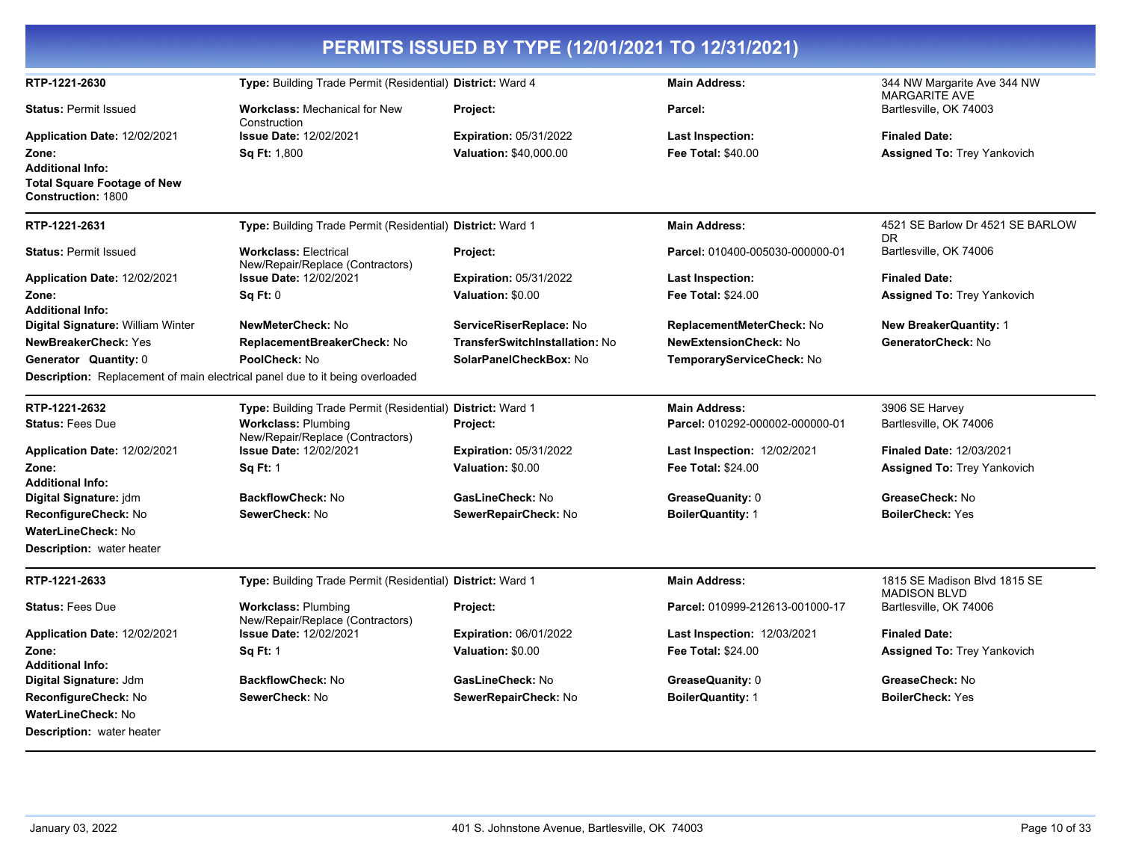| PERMITS ISSUED BY TYPE (12/01/2021 TO 12/31/2021)                                          |                                                                  |                                       |                                    |                                                     |
|--------------------------------------------------------------------------------------------|------------------------------------------------------------------|---------------------------------------|------------------------------------|-----------------------------------------------------|
| RTP-1221-2630                                                                              | Type: Building Trade Permit (Residential) District: Ward 4       |                                       | <b>Main Address:</b>               | 344 NW Margarite Ave 344 NW<br>MARGARITE AVE        |
| <b>Status: Permit Issued</b>                                                               | <b>Workclass:</b> Mechanical for New<br>Construction             | Project:                              | Parcel:                            | Bartlesville, OK 74003                              |
| Application Date: 12/02/2021                                                               | Issue Date: 12/02/2021                                           | <b>Expiration: 05/31/2022</b>         | Last Inspection:                   | <b>Finaled Date:</b>                                |
| Zone:                                                                                      | <b>Sq Ft: 1,800</b>                                              | <b>Valuation: \$40,000.00</b>         | <b>Fee Total: \$40.00</b>          | <b>Assigned To: Trey Yankovich</b>                  |
| <b>Additional Info:</b><br><b>Total Square Footage of New</b><br><b>Construction: 1800</b> |                                                                  |                                       |                                    |                                                     |
| RTP-1221-2631                                                                              | Type: Building Trade Permit (Residential) District: Ward 1       |                                       | <b>Main Address:</b>               | 4521 SE Barlow Dr 4521 SE BARLOW<br>DR.             |
| <b>Status: Permit Issued</b>                                                               | <b>Workclass: Electrical</b><br>New/Repair/Replace (Contractors) | Project:                              | Parcel: 010400-005030-000000-01    | Bartlesville, OK 74006                              |
| Application Date: 12/02/2021                                                               | <b>Issue Date: 12/02/2021</b>                                    | <b>Expiration: 05/31/2022</b>         | Last Inspection:                   | <b>Finaled Date:</b>                                |
| Zone:                                                                                      | Sq Ft: 0                                                         | Valuation: \$0.00                     | <b>Fee Total: \$24.00</b>          | <b>Assigned To: Trey Yankovich</b>                  |
| <b>Additional Info:</b>                                                                    |                                                                  |                                       |                                    |                                                     |
| Digital Signature: William Winter                                                          | NewMeterCheck: No                                                | ServiceRiserReplace: No               | ReplacementMeterCheck: No          | <b>New BreakerQuantity: 1</b>                       |
| NewBreakerCheck: Yes                                                                       | ReplacementBreakerCheck: No                                      | <b>TransferSwitchInstallation: No</b> | <b>NewExtensionCheck: No</b>       | GeneratorCheck: No                                  |
| Generator Quantity: 0                                                                      | PoolCheck: No                                                    | SolarPanelCheckBox: No                | TemporaryServiceCheck: No          |                                                     |
| <b>Description:</b> Replacement of main electrical panel due to it being overloaded        |                                                                  |                                       |                                    |                                                     |
| RTP-1221-2632                                                                              | Type: Building Trade Permit (Residential) District: Ward 1       |                                       | <b>Main Address:</b>               | 3906 SE Harvey                                      |
| <b>Status: Fees Due</b>                                                                    | <b>Workclass: Plumbing</b><br>New/Repair/Replace (Contractors)   | Project:                              | Parcel: 010292-000002-000000-01    | Bartlesville, OK 74006                              |
| Application Date: 12/02/2021                                                               | <b>Issue Date: 12/02/2021</b>                                    | <b>Expiration: 05/31/2022</b>         | <b>Last Inspection: 12/02/2021</b> | <b>Finaled Date: 12/03/2021</b>                     |
| Zone:                                                                                      | <b>Sq Ft: 1</b>                                                  | Valuation: \$0.00                     | <b>Fee Total: \$24.00</b>          | <b>Assigned To: Trey Yankovich</b>                  |
| <b>Additional Info:</b>                                                                    |                                                                  |                                       |                                    |                                                     |
| Digital Signature: jdm                                                                     | <b>BackflowCheck: No</b>                                         | GasLineCheck: No                      | GreaseQuanity: 0                   | GreaseCheck: No                                     |
| ReconfigureCheck: No                                                                       | SewerCheck: No                                                   | SewerRepairCheck: No                  | <b>BoilerQuantity: 1</b>           | <b>BoilerCheck: Yes</b>                             |
| <b>WaterLineCheck: No</b>                                                                  |                                                                  |                                       |                                    |                                                     |
| Description: water heater                                                                  |                                                                  |                                       |                                    |                                                     |
| RTP-1221-2633                                                                              | Type: Building Trade Permit (Residential) District: Ward 1       |                                       | <b>Main Address:</b>               | 1815 SE Madison Blvd 1815 SE<br><b>MADISON BLVD</b> |
| <b>Status: Fees Due</b>                                                                    | <b>Workclass: Plumbing</b><br>New/Repair/Replace (Contractors)   | Project:                              | Parcel: 010999-212613-001000-17    | Bartlesville, OK 74006                              |
| Application Date: 12/02/2021                                                               | Issue Date: 12/02/2021                                           | <b>Expiration: 06/01/2022</b>         | <b>Last Inspection: 12/03/2021</b> | <b>Finaled Date:</b>                                |
| Zone:<br><b>Additional Info:</b>                                                           | <b>Sq Ft: 1</b>                                                  | Valuation: \$0.00                     | <b>Fee Total: \$24.00</b>          | <b>Assigned To: Trey Yankovich</b>                  |
| Digital Signature: Jdm                                                                     | <b>BackflowCheck: No</b>                                         | GasLineCheck: No                      | GreaseQuanity: 0                   | GreaseCheck: No                                     |
| ReconfigureCheck: No                                                                       | SewerCheck: No                                                   | SewerRepairCheck: No                  | <b>BoilerQuantity: 1</b>           | <b>BoilerCheck: Yes</b>                             |
| WaterLineCheck: No                                                                         |                                                                  |                                       |                                    |                                                     |
| <b>Description:</b> water heater                                                           |                                                                  |                                       |                                    |                                                     |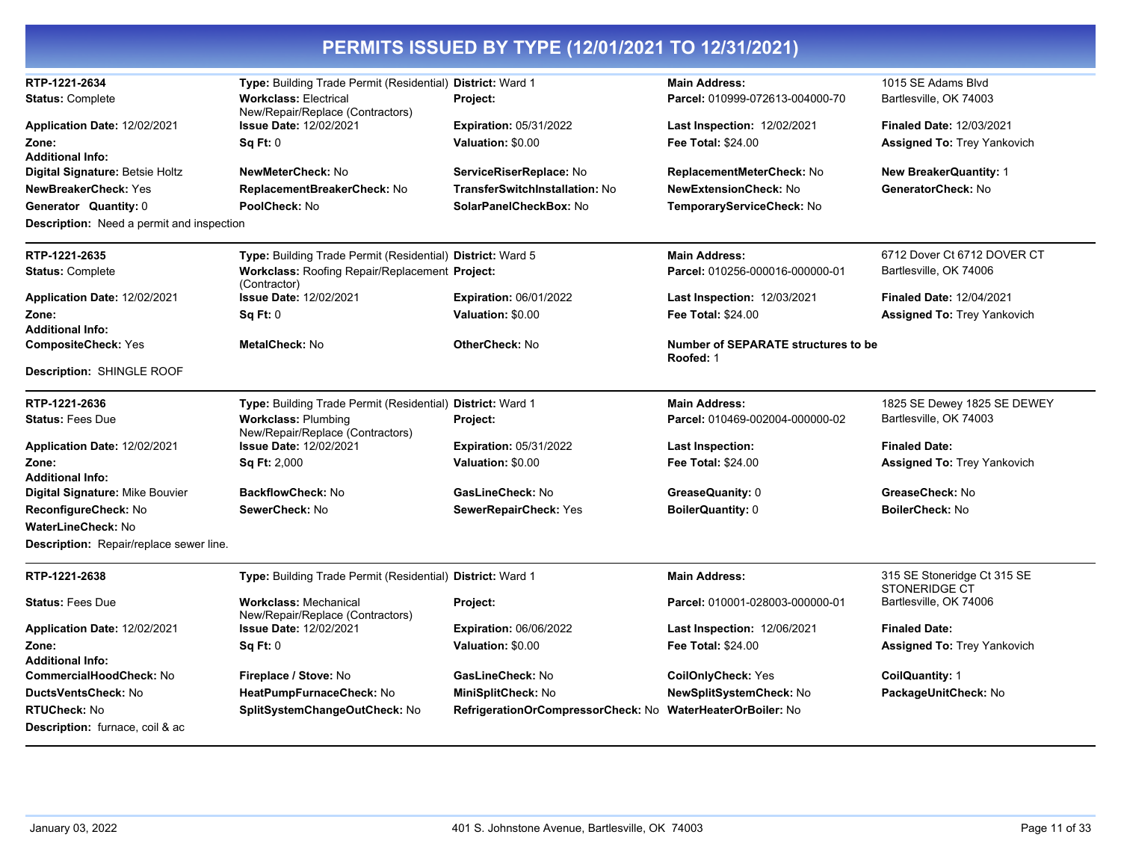| RTP-1221-2634<br><b>Status: Complete</b><br>Application Date: 12/02/2021<br>Zone:<br><b>Additional Info:</b><br>Digital Signature: Betsie Holtz<br><b>NewBreakerCheck: Yes</b><br>Generator Quantity: 0<br><b>Description:</b> Need a permit and inspection | Type: Building Trade Permit (Residential) District: Ward 1<br><b>Workclass: Electrical</b><br>New/Repair/Replace (Contractors)<br><b>Issue Date: 12/02/2021</b><br>Sq Ft: 0<br>NewMeterCheck: No<br>ReplacementBreakerCheck: No<br>PoolCheck: No | <b>Project:</b><br><b>Expiration: 05/31/2022</b><br>Valuation: \$0.00<br>ServiceRiserReplace: No<br><b>TransferSwitchInstallation: No</b><br>SolarPanelCheckBox: No | <b>Main Address:</b><br>Parcel: 010999-072613-004000-70<br>Last Inspection: 12/02/2021<br><b>Fee Total: \$24.00</b><br>ReplacementMeterCheck: No<br><b>NewExtensionCheck: No</b><br>TemporaryServiceCheck: No | 1015 SE Adams Blvd<br>Bartlesville, OK 74003<br><b>Finaled Date: 12/03/2021</b><br><b>Assigned To: Trey Yankovich</b><br>New BreakerQuantity: 1<br>GeneratorCheck: No |
|-------------------------------------------------------------------------------------------------------------------------------------------------------------------------------------------------------------------------------------------------------------|--------------------------------------------------------------------------------------------------------------------------------------------------------------------------------------------------------------------------------------------------|---------------------------------------------------------------------------------------------------------------------------------------------------------------------|---------------------------------------------------------------------------------------------------------------------------------------------------------------------------------------------------------------|-----------------------------------------------------------------------------------------------------------------------------------------------------------------------|
| RTP-1221-2635<br><b>Status: Complete</b>                                                                                                                                                                                                                    | Type: Building Trade Permit (Residential) District: Ward 5<br>Workclass: Roofing Repair/Replacement Project:<br>(Contractor)                                                                                                                     |                                                                                                                                                                     | <b>Main Address:</b><br>Parcel: 010256-000016-000000-01                                                                                                                                                       | 6712 Dover Ct 6712 DOVER CT<br>Bartlesville, OK 74006                                                                                                                 |
| Application Date: 12/02/2021<br>Zone:<br><b>Additional Info:</b>                                                                                                                                                                                            | <b>Issue Date: 12/02/2021</b><br>Sq Ft: 0                                                                                                                                                                                                        | <b>Expiration: 06/01/2022</b><br>Valuation: \$0.00                                                                                                                  | <b>Last Inspection: 12/03/2021</b><br><b>Fee Total: \$24.00</b>                                                                                                                                               | <b>Finaled Date: 12/04/2021</b><br><b>Assigned To: Trey Yankovich</b>                                                                                                 |
| <b>CompositeCheck: Yes</b><br><b>Description: SHINGLE ROOF</b>                                                                                                                                                                                              | MetalCheck: No                                                                                                                                                                                                                                   | OtherCheck: No                                                                                                                                                      | Number of SEPARATE structures to be<br>Roofed: 1                                                                                                                                                              |                                                                                                                                                                       |
| RTP-1221-2636<br><b>Status: Fees Due</b>                                                                                                                                                                                                                    | Type: Building Trade Permit (Residential) District: Ward 1<br><b>Workclass: Plumbing</b><br>New/Repair/Replace (Contractors)                                                                                                                     | Project:                                                                                                                                                            | <b>Main Address:</b><br>Parcel: 010469-002004-000000-02                                                                                                                                                       | 1825 SE Dewey 1825 SE DEWEY<br>Bartlesville, OK 74003                                                                                                                 |
| Application Date: 12/02/2021<br>Zone:<br><b>Additional Info:</b>                                                                                                                                                                                            | <b>Issue Date: 12/02/2021</b><br><b>Sq Ft: 2,000</b>                                                                                                                                                                                             | <b>Expiration: 05/31/2022</b><br>Valuation: \$0.00                                                                                                                  | Last Inspection:<br><b>Fee Total: \$24.00</b>                                                                                                                                                                 | <b>Finaled Date:</b><br><b>Assigned To: Trey Yankovich</b>                                                                                                            |
| <b>Digital Signature: Mike Bouvier</b><br>ReconfigureCheck: No<br><b>WaterLineCheck: No</b><br>Description: Repair/replace sewer line.                                                                                                                      | BackflowCheck: No<br>SewerCheck: No                                                                                                                                                                                                              | GasLineCheck: No<br>SewerRepairCheck: Yes                                                                                                                           | GreaseQuanity: 0<br><b>BoilerQuantity: 0</b>                                                                                                                                                                  | GreaseCheck: No<br>BoilerCheck: No                                                                                                                                    |
| RTP-1221-2638                                                                                                                                                                                                                                               | Type: Building Trade Permit (Residential) District: Ward 1                                                                                                                                                                                       |                                                                                                                                                                     | <b>Main Address:</b>                                                                                                                                                                                          | 315 SE Stoneridge Ct 315 SE<br><b>STONERIDGE CT</b>                                                                                                                   |
| <b>Status: Fees Due</b>                                                                                                                                                                                                                                     | <b>Workclass: Mechanical</b><br>New/Repair/Replace (Contractors)                                                                                                                                                                                 | Project:                                                                                                                                                            | Parcel: 010001-028003-000000-01                                                                                                                                                                               | Bartlesville, OK 74006                                                                                                                                                |
| Application Date: 12/02/2021<br>Zone:<br><b>Additional Info:</b>                                                                                                                                                                                            | <b>Issue Date: 12/02/2021</b><br><b>Sq Ft: 0</b>                                                                                                                                                                                                 | <b>Expiration: 06/06/2022</b><br>Valuation: \$0.00                                                                                                                  | <b>Last Inspection: 12/06/2021</b><br>Fee Total: \$24.00                                                                                                                                                      | <b>Finaled Date:</b><br><b>Assigned To: Trey Yankovich</b>                                                                                                            |
| CommercialHoodCheck: No<br>DuctsVentsCheck: No<br><b>RTUCheck: No</b><br><b>Description:</b> furnace, coil & ac                                                                                                                                             | Fireplace / Stove: No<br>HeatPumpFurnaceCheck: No<br>SplitSystemChangeOutCheck: No                                                                                                                                                               | GasLineCheck: No<br>MiniSplitCheck: No<br>RefrigerationOrCompressorCheck: No                                                                                        | CoilOnlyCheck: Yes<br>NewSplitSystemCheck: No<br><b>WaterHeaterOrBoiler: No</b>                                                                                                                               | CoilQuantity: 1<br>PackageUnitCheck: No                                                                                                                               |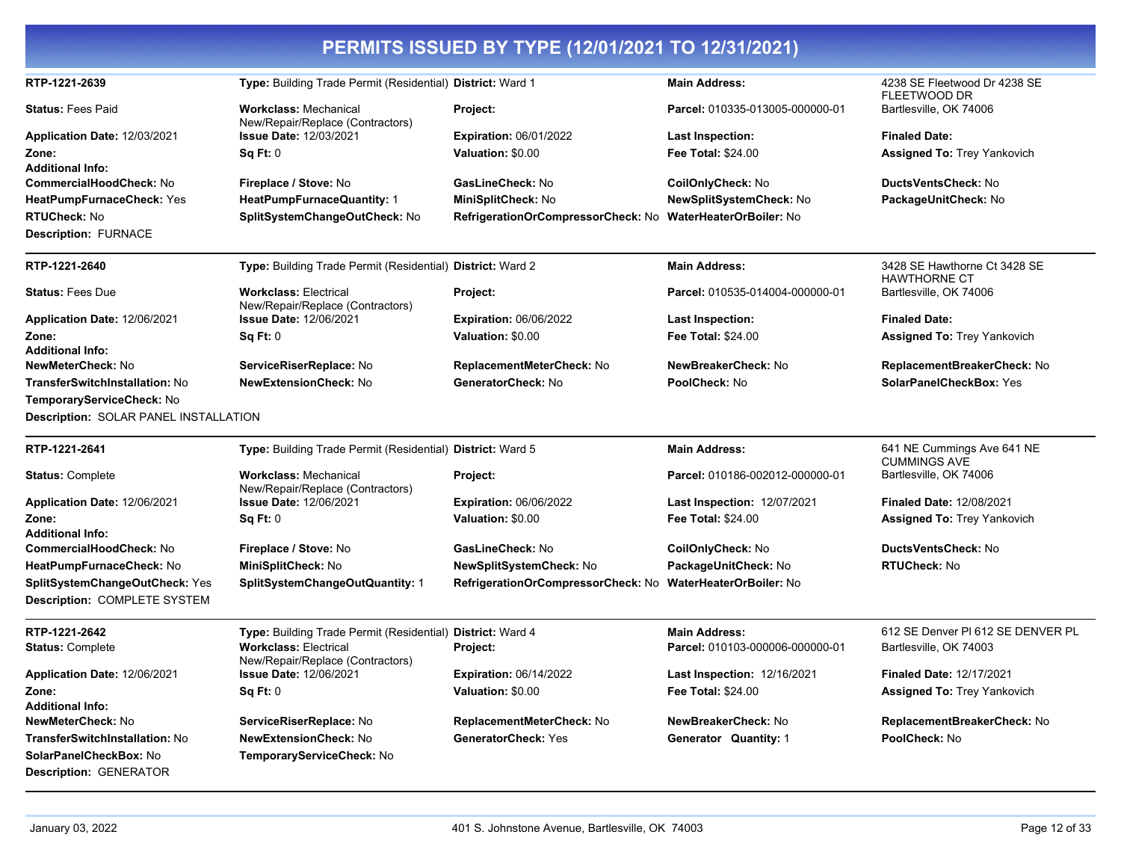| RTP-1221-2639                                | Type: Building Trade Permit (Residential) District: Ward 1       |                                                            | <b>Main Address:</b>            | 4238 SE Fleetwood Dr 4238 SE<br><b>FLEETWOOD DR</b> |
|----------------------------------------------|------------------------------------------------------------------|------------------------------------------------------------|---------------------------------|-----------------------------------------------------|
| <b>Status: Fees Paid</b>                     | <b>Workclass: Mechanical</b><br>New/Repair/Replace (Contractors) | Project:                                                   | Parcel: 010335-013005-000000-01 | Bartlesville, OK 74006                              |
| Application Date: 12/03/2021                 | <b>Issue Date: 12/03/2021</b>                                    | <b>Expiration: 06/01/2022</b>                              | <b>Last Inspection:</b>         | <b>Finaled Date:</b>                                |
| Zone:                                        | <b>Sq Ft: 0</b>                                                  | Valuation: \$0.00                                          | <b>Fee Total: \$24.00</b>       | <b>Assigned To: Trey Yankovich</b>                  |
| <b>Additional Info:</b>                      |                                                                  |                                                            |                                 |                                                     |
| <b>CommercialHoodCheck: No</b>               | Fireplace / Stove: No                                            | GasLineCheck: No                                           | CoilOnlyCheck: No               | <b>DuctsVentsCheck: No</b>                          |
| HeatPumpFurnaceCheck: Yes                    | <b>HeatPumpFurnaceQuantity: 1</b>                                | MiniSplitCheck: No                                         | NewSplitSystemCheck: No         | PackageUnitCheck: No                                |
| <b>RTUCheck: No</b>                          | SplitSystemChangeOutCheck: No                                    | RefrigerationOrCompressorCheck: No WaterHeaterOrBoiler: No |                                 |                                                     |
| <b>Description: FURNACE</b>                  |                                                                  |                                                            |                                 |                                                     |
| RTP-1221-2640                                | Type: Building Trade Permit (Residential) District: Ward 2       |                                                            | <b>Main Address:</b>            | 3428 SE Hawthorne Ct 3428 SE                        |
| <b>Status: Fees Due</b>                      | <b>Workclass: Electrical</b><br>New/Repair/Replace (Contractors) | Project:                                                   | Parcel: 010535-014004-000000-01 | <b>HAWTHORNE CT</b><br>Bartlesville, OK 74006       |
| Application Date: 12/06/2021                 | <b>Issue Date: 12/06/2021</b>                                    | <b>Expiration: 06/06/2022</b>                              | Last Inspection:                | <b>Finaled Date:</b>                                |
| Zone:                                        | Sq Ft: 0                                                         | Valuation: \$0.00                                          | <b>Fee Total: \$24.00</b>       | <b>Assigned To: Trey Yankovich</b>                  |
| <b>Additional Info:</b>                      |                                                                  |                                                            |                                 |                                                     |
| <b>NewMeterCheck: No</b>                     | ServiceRiserReplace: No                                          | <b>ReplacementMeterCheck: No</b>                           | NewBreakerCheck: No             | ReplacementBreakerCheck: No                         |
| <b>TransferSwitchInstallation: No</b>        | <b>NewExtensionCheck: No</b>                                     | GeneratorCheck: No                                         | PoolCheck: No                   | SolarPanelCheckBox: Yes                             |
| TemporaryServiceCheck: No                    |                                                                  |                                                            |                                 |                                                     |
| <b>Description: SOLAR PANEL INSTALLATION</b> |                                                                  |                                                            |                                 |                                                     |
| RTP-1221-2641                                | Type: Building Trade Permit (Residential) District: Ward 5       |                                                            | <b>Main Address:</b>            | 641 NE Cummings Ave 641 NE                          |
|                                              |                                                                  |                                                            |                                 | <b>CUMMINGS AVE</b>                                 |
| <b>Status: Complete</b>                      | <b>Workclass: Mechanical</b><br>New/Repair/Replace (Contractors) | Project:                                                   | Parcel: 010186-002012-000000-01 | Bartlesville, OK 74006                              |
| Application Date: 12/06/2021                 | <b>Issue Date: 12/06/2021</b>                                    | <b>Expiration: 06/06/2022</b>                              | Last Inspection: 12/07/2021     | <b>Finaled Date: 12/08/2021</b>                     |
| Zone:                                        | Sq Ft: 0                                                         | Valuation: \$0.00                                          | <b>Fee Total: \$24.00</b>       | <b>Assigned To: Trey Yankovich</b>                  |
| <b>Additional Info:</b>                      |                                                                  |                                                            |                                 |                                                     |
| <b>CommercialHoodCheck: No</b>               | Fireplace / Stove: No                                            | GasLineCheck: No                                           | CoilOnlyCheck: No               | DuctsVentsCheck: No                                 |
| HeatPumpFurnaceCheck: No                     | MiniSplitCheck: No                                               | NewSplitSystemCheck: No                                    | PackageUnitCheck: No            | <b>RTUCheck: No</b>                                 |
| SplitSystemChangeOutCheck: Yes               | SplitSystemChangeOutQuantity: 1                                  | RefrigerationOrCompressorCheck: No                         | <b>WaterHeaterOrBoiler: No</b>  |                                                     |
| Description: COMPLETE SYSTEM                 |                                                                  |                                                            |                                 |                                                     |
| RTP-1221-2642                                | Type: Building Trade Permit (Residential) District: Ward 4       |                                                            | <b>Main Address:</b>            | 612 SE Denver PI 612 SE DENVER PL                   |
| <b>Status: Complete</b>                      | <b>Workclass: Electrical</b><br>New/Repair/Replace (Contractors) | Project:                                                   | Parcel: 010103-000006-000000-01 | Bartlesville, OK 74003                              |
| Application Date: 12/06/2021                 | <b>Issue Date: 12/06/2021</b>                                    | <b>Expiration: 06/14/2022</b>                              | Last Inspection: 12/16/2021     | <b>Finaled Date: 12/17/2021</b>                     |
| Zone:                                        | Sq Ft: 0                                                         | Valuation: \$0.00                                          | <b>Fee Total: \$24.00</b>       | <b>Assigned To: Trey Yankovich</b>                  |
| <b>Additional Info:</b>                      |                                                                  |                                                            |                                 |                                                     |
| <b>NewMeterCheck: No</b>                     | ServiceRiserReplace: No                                          | ReplacementMeterCheck: No                                  | NewBreakerCheck: No             | ReplacementBreakerCheck: No                         |
| TransferSwitchInstallation: No               | <b>NewExtensionCheck: No</b>                                     | GeneratorCheck: Yes                                        | Generator Quantity: 1           | PoolCheck: No                                       |
| SolarPanelCheckBox: No                       | TemporaryServiceCheck: No                                        |                                                            |                                 |                                                     |
| <b>Description: GENERATOR</b>                |                                                                  |                                                            |                                 |                                                     |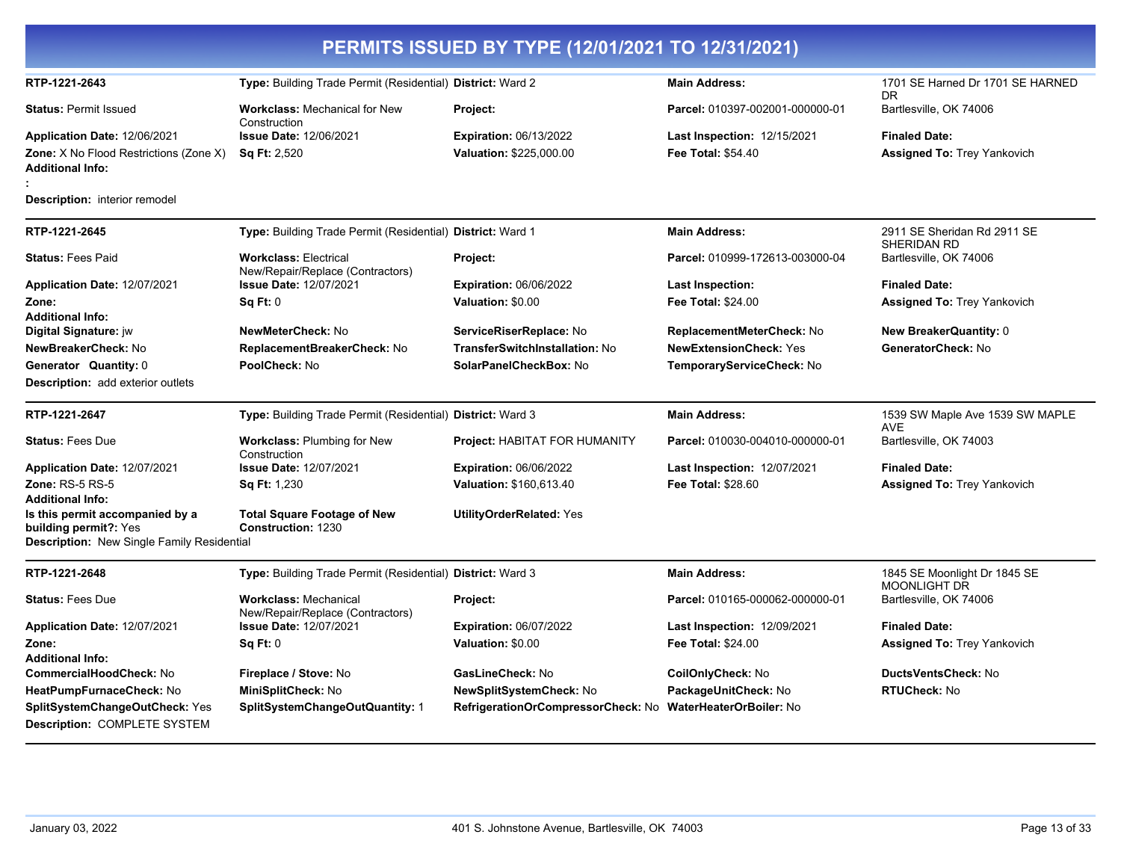| PERMITS ISSUED BY TYPE (12/01/2021 TO 12/31/2021)                                                             |                                                                   |                                    |                                    |                                               |  |
|---------------------------------------------------------------------------------------------------------------|-------------------------------------------------------------------|------------------------------------|------------------------------------|-----------------------------------------------|--|
| RTP-1221-2643                                                                                                 | Type: Building Trade Permit (Residential) District: Ward 2        |                                    | <b>Main Address:</b>               | 1701 SE Harned Dr 1701 SE HARNED<br><b>DR</b> |  |
| <b>Status: Permit Issued</b>                                                                                  | <b>Workclass: Mechanical for New</b><br>Construction              | Project:                           | Parcel: 010397-002001-000000-01    | Bartlesville, OK 74006                        |  |
| Application Date: 12/06/2021                                                                                  | <b>Issue Date: 12/06/2021</b>                                     | <b>Expiration: 06/13/2022</b>      | <b>Last Inspection: 12/15/2021</b> | <b>Finaled Date:</b>                          |  |
| <b>Zone:</b> X No Flood Restrictions (Zone X)<br><b>Additional Info:</b>                                      | <b>Sq Ft: 2,520</b>                                               | Valuation: \$225,000.00            | <b>Fee Total: \$54.40</b>          | <b>Assigned To: Trey Yankovich</b>            |  |
| <b>Description:</b> interior remodel                                                                          |                                                                   |                                    |                                    |                                               |  |
| RTP-1221-2645                                                                                                 | Type: Building Trade Permit (Residential) District: Ward 1        |                                    | <b>Main Address:</b>               | 2911 SE Sheridan Rd 2911 SE<br>SHERIDAN RD    |  |
| <b>Status: Fees Paid</b>                                                                                      | <b>Workclass: Electrical</b><br>New/Repair/Replace (Contractors)  | Project:                           | Parcel: 010999-172613-003000-04    | Bartlesville, OK 74006                        |  |
| Application Date: 12/07/2021                                                                                  | <b>Issue Date: 12/07/2021</b>                                     | <b>Expiration: 06/06/2022</b>      | Last Inspection:                   | <b>Finaled Date:</b>                          |  |
| Zone:                                                                                                         | Sa Ft: 0                                                          | Valuation: \$0.00                  | <b>Fee Total: \$24.00</b>          | Assigned To: Trey Yankovich                   |  |
| <b>Additional Info:</b><br>Digital Signature: jw                                                              | NewMeterCheck: No                                                 | ServiceRiserReplace: No            | ReplacementMeterCheck: No          | New BreakerQuantity: 0                        |  |
| NewBreakerCheck: No                                                                                           | ReplacementBreakerCheck: No                                       | TransferSwitchInstallation: No     | <b>NewExtensionCheck: Yes</b>      | GeneratorCheck: No                            |  |
| Generator Quantity: 0                                                                                         | PoolCheck: No                                                     | SolarPanelCheckBox: No             | TemporaryServiceCheck: No          |                                               |  |
| <b>Description:</b> add exterior outlets                                                                      |                                                                   |                                    |                                    |                                               |  |
| RTP-1221-2647                                                                                                 | Type: Building Trade Permit (Residential) District: Ward 3        |                                    | <b>Main Address:</b>               | 1539 SW Maple Ave 1539 SW MAPLE<br>AVE        |  |
| <b>Status: Fees Due</b>                                                                                       | Workclass: Plumbing for New<br>Construction                       | Project: HABITAT FOR HUMANITY      | Parcel: 010030-004010-000000-01    | Bartlesville, OK 74003                        |  |
| Application Date: 12/07/2021                                                                                  | <b>Issue Date: 12/07/2021</b>                                     | <b>Expiration: 06/06/2022</b>      | <b>Last Inspection: 12/07/2021</b> | <b>Finaled Date:</b>                          |  |
| <b>Zone: RS-5 RS-5</b><br><b>Additional Info:</b>                                                             | <b>Sq Ft: 1,230</b>                                               | Valuation: \$160,613.40            | <b>Fee Total: \$28.60</b>          | <b>Assigned To: Trey Yankovich</b>            |  |
| Is this permit accompanied by a<br>building permit?: Yes<br><b>Description:</b> New Single Family Residential | <b>Total Square Footage of New</b><br>Construction: 1230          | <b>UtilityOrderRelated: Yes</b>    |                                    |                                               |  |
| RTP-1221-2648                                                                                                 | Type: Building Trade Permit (Residential) District: Ward 3        |                                    | <b>Main Address:</b>               | 1845 SE Moonlight Dr 1845 SE                  |  |
| <b>Status: Fees Due</b>                                                                                       | <b>Workclass: Mechanical</b>                                      | Project:                           | Parcel: 010165-000062-000000-01    | <b>MOONLIGHT DR</b><br>Bartlesville, OK 74006 |  |
| Application Date: 12/07/2021                                                                                  | New/Repair/Replace (Contractors)<br><b>Issue Date: 12/07/2021</b> | <b>Expiration: 06/07/2022</b>      | <b>Last Inspection: 12/09/2021</b> | <b>Finaled Date:</b>                          |  |
| Zone:                                                                                                         | Sa Ft: 0                                                          | Valuation: \$0.00                  | <b>Fee Total: \$24.00</b>          | <b>Assigned To: Trey Yankovich</b>            |  |
| <b>Additional Info:</b>                                                                                       |                                                                   |                                    |                                    |                                               |  |
| CommercialHoodCheck: No                                                                                       | Fireplace / Stove: No                                             | GasLineCheck: No                   | CoilOnlyCheck: No                  | DuctsVentsCheck: No                           |  |
| HeatPumpFurnaceCheck: No                                                                                      | MiniSplitCheck: No                                                | NewSplitSystemCheck: No            | PackageUnitCheck: No               | <b>RTUCheck: No</b>                           |  |
| SplitSystemChangeOutCheck: Yes<br><b>Description: COMPLETE SYSTEM</b>                                         | SplitSystemChangeOutQuantity: 1                                   | RefrigerationOrCompressorCheck: No | <b>WaterHeaterOrBoiler: No</b>     |                                               |  |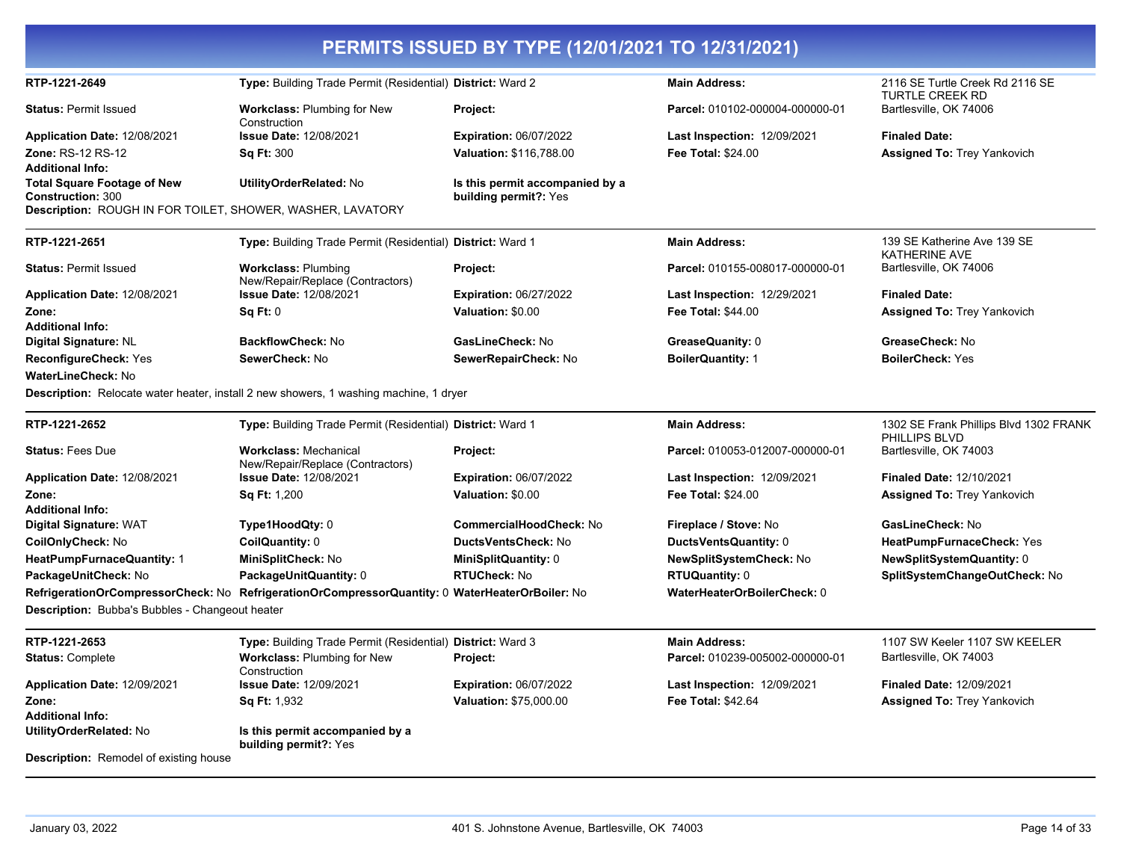| PERMITS ISSUED BY TYPE (12/01/2021 TO 12/31/2021)              |                                                                                                 |                                                          |                                                |                                                         |  |
|----------------------------------------------------------------|-------------------------------------------------------------------------------------------------|----------------------------------------------------------|------------------------------------------------|---------------------------------------------------------|--|
| RTP-1221-2649                                                  | Type: Building Trade Permit (Residential) District: Ward 2                                      |                                                          | <b>Main Address:</b>                           | 2116 SE Turtle Creek Rd 2116 SE<br>TURTLE CREEK RD      |  |
| <b>Status: Permit Issued</b>                                   | <b>Workclass: Plumbing for New</b><br>Construction                                              | Project:                                                 | Parcel: 010102-000004-000000-01                | Bartlesville, OK 74006                                  |  |
| Application Date: 12/08/2021                                   | <b>Issue Date: 12/08/2021</b>                                                                   | <b>Expiration: 06/07/2022</b>                            | Last Inspection: 12/09/2021                    | <b>Finaled Date:</b>                                    |  |
| <b>Zone: RS-12 RS-12</b>                                       | <b>Sq Ft: 300</b>                                                                               | <b>Valuation: \$116,788.00</b>                           | <b>Fee Total: \$24.00</b>                      | <b>Assigned To: Trey Yankovich</b>                      |  |
| <b>Additional Info:</b>                                        |                                                                                                 |                                                          |                                                |                                                         |  |
| <b>Total Square Footage of New</b><br><b>Construction: 300</b> | UtilityOrderRelated: No                                                                         | Is this permit accompanied by a<br>building permit?: Yes |                                                |                                                         |  |
| Description: ROUGH IN FOR TOILET, SHOWER, WASHER, LAVATORY     |                                                                                                 |                                                          |                                                |                                                         |  |
| RTP-1221-2651                                                  | Type: Building Trade Permit (Residential) District: Ward 1                                      |                                                          | <b>Main Address:</b>                           | 139 SE Katherine Ave 139 SE<br><b>KATHERINE AVE</b>     |  |
| <b>Status: Permit Issued</b>                                   | <b>Workclass: Plumbing</b><br>New/Repair/Replace (Contractors)                                  | Project:                                                 | Parcel: 010155-008017-000000-01                | Bartlesville, OK 74006                                  |  |
| Application Date: 12/08/2021                                   | <b>Issue Date: 12/08/2021</b>                                                                   | <b>Expiration: 06/27/2022</b>                            | <b>Last Inspection: 12/29/2021</b>             | <b>Finaled Date:</b>                                    |  |
| Zone:                                                          | Sq Ft: 0                                                                                        | Valuation: \$0.00                                        | <b>Fee Total: \$44.00</b>                      | <b>Assigned To: Trey Yankovich</b>                      |  |
| <b>Additional Info:</b>                                        |                                                                                                 |                                                          |                                                |                                                         |  |
| Digital Signature: NL                                          | <b>BackflowCheck: No</b>                                                                        | GasLineCheck: No                                         | GreaseQuanity: 0                               | GreaseCheck: No                                         |  |
| <b>ReconfigureCheck: Yes</b>                                   | SewerCheck: No                                                                                  | SewerRepairCheck: No                                     | <b>BoilerQuantity: 1</b>                       | <b>BoilerCheck: Yes</b>                                 |  |
| <b>WaterLineCheck: No</b>                                      |                                                                                                 |                                                          |                                                |                                                         |  |
|                                                                | Description: Relocate water heater, install 2 new showers, 1 washing machine, 1 dryer           |                                                          |                                                |                                                         |  |
| RTP-1221-2652                                                  | Type: Building Trade Permit (Residential) District: Ward 1                                      |                                                          | <b>Main Address:</b>                           | 1302 SE Frank Phillips Blvd 1302 FRANK<br>PHILLIPS BLVD |  |
| <b>Status: Fees Due</b>                                        | <b>Workclass: Mechanical</b><br>New/Repair/Replace (Contractors)                                | Project:                                                 | Parcel: 010053-012007-000000-01                | Bartlesville, OK 74003                                  |  |
| Application Date: 12/08/2021                                   | <b>Issue Date: 12/08/2021</b>                                                                   | <b>Expiration: 06/07/2022</b>                            | <b>Last Inspection: 12/09/2021</b>             | Finaled Date: 12/10/2021                                |  |
| Zone:                                                          | <b>Sq Ft: 1,200</b>                                                                             | Valuation: \$0.00                                        | <b>Fee Total: \$24.00</b>                      | <b>Assigned To: Trey Yankovich</b>                      |  |
| <b>Additional Info:</b>                                        |                                                                                                 | <b>CommercialHoodCheck: No</b>                           |                                                | GasLineCheck: No                                        |  |
| Digital Signature: WAT<br>CoilOnlyCheck: No                    | Type1HoodQty: 0<br>CoilQuantity: 0                                                              | DuctsVentsCheck: No                                      | Fireplace / Stove: No<br>DuctsVentsQuantity: 0 | HeatPumpFurnaceCheck: Yes                               |  |
| HeatPumpFurnaceQuantity: 1                                     | MiniSplitCheck: No                                                                              | MiniSplitQuantity: 0                                     | NewSplitSystemCheck: No                        | NewSplitSystemQuantity: 0                               |  |
| PackageUnitCheck: No                                           | PackageUnitQuantity: 0                                                                          | <b>RTUCheck: No</b>                                      | <b>RTUQuantity: 0</b>                          | SplitSystemChangeOutCheck: No                           |  |
|                                                                | RefrigerationOrCompressorCheck: No RefrigerationOrCompressorQuantity: 0 WaterHeaterOrBoiler: No |                                                          | WaterHeaterOrBoilerCheck: 0                    |                                                         |  |
| Description: Bubba's Bubbles - Changeout heater                |                                                                                                 |                                                          |                                                |                                                         |  |
| RTP-1221-2653                                                  | Type: Building Trade Permit (Residential) District: Ward 3                                      |                                                          | <b>Main Address:</b>                           | 1107 SW Keeler 1107 SW KEELER                           |  |
| <b>Status: Complete</b>                                        | Workclass: Plumbing for New<br>Construction                                                     | Project:                                                 | Parcel: 010239-005002-000000-01                | Bartlesville, OK 74003                                  |  |
| Application Date: 12/09/2021                                   | <b>Issue Date: 12/09/2021</b>                                                                   | <b>Expiration: 06/07/2022</b>                            | <b>Last Inspection: 12/09/2021</b>             | <b>Finaled Date: 12/09/2021</b>                         |  |
| Zone:                                                          | <b>Sq Ft: 1,932</b>                                                                             | Valuation: \$75,000.00                                   | <b>Fee Total: \$42.64</b>                      | <b>Assigned To: Trey Yankovich</b>                      |  |
| <b>Additional Info:</b>                                        |                                                                                                 |                                                          |                                                |                                                         |  |
| UtilityOrderRelated: No                                        | Is this permit accompanied by a<br>building permit?: Yes                                        |                                                          |                                                |                                                         |  |
| <b>Description:</b> Remodel of existing house                  |                                                                                                 |                                                          |                                                |                                                         |  |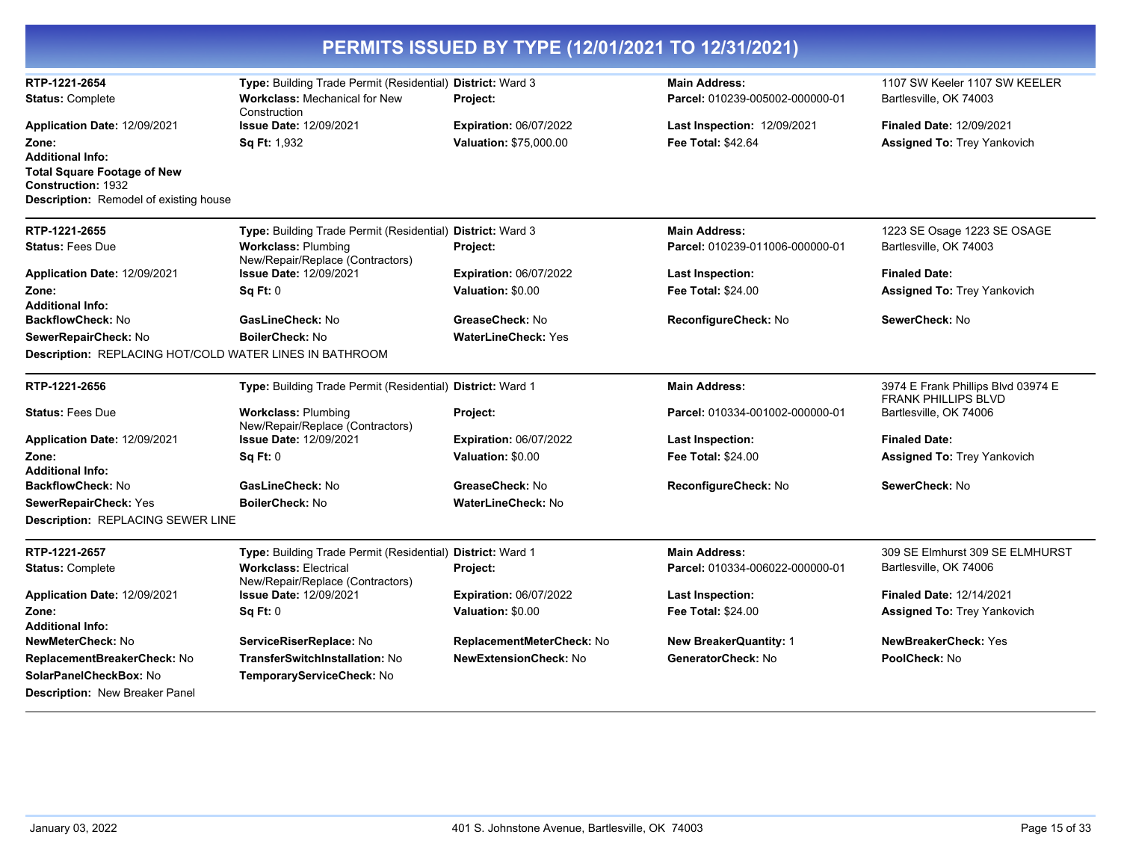| PERMITS ISSUED BY TYPE (12/01/2021 TO 12/31/2021)               |                                                                  |                               |                                 |                                                                  |
|-----------------------------------------------------------------|------------------------------------------------------------------|-------------------------------|---------------------------------|------------------------------------------------------------------|
| RTP-1221-2654                                                   | Type: Building Trade Permit (Residential) District: Ward 3       |                               | <b>Main Address:</b>            | 1107 SW Keeler 1107 SW KEELER                                    |
| <b>Status: Complete</b>                                         | <b>Workclass: Mechanical for New</b><br>Construction             | Project:                      | Parcel: 010239-005002-000000-01 | Bartlesville, OK 74003                                           |
| Application Date: 12/09/2021                                    | <b>Issue Date: 12/09/2021</b>                                    | <b>Expiration: 06/07/2022</b> | Last Inspection: 12/09/2021     | <b>Finaled Date: 12/09/2021</b>                                  |
| Zone:                                                           | Sq Ft: 1,932                                                     | Valuation: \$75,000.00        | Fee Total: \$42.64              | <b>Assigned To: Trey Yankovich</b>                               |
| <b>Additional Info:</b>                                         |                                                                  |                               |                                 |                                                                  |
| <b>Total Square Footage of New</b><br><b>Construction: 1932</b> |                                                                  |                               |                                 |                                                                  |
| <b>Description:</b> Remodel of existing house                   |                                                                  |                               |                                 |                                                                  |
| RTP-1221-2655                                                   | Type: Building Trade Permit (Residential) District: Ward 3       |                               | <b>Main Address:</b>            | 1223 SE Osage 1223 SE OSAGE                                      |
| <b>Status: Fees Due</b>                                         | <b>Workclass: Plumbing</b><br>New/Repair/Replace (Contractors)   | Project:                      | Parcel: 010239-011006-000000-01 | Bartlesville, OK 74003                                           |
| Application Date: 12/09/2021                                    | <b>Issue Date: 12/09/2021</b>                                    | <b>Expiration: 06/07/2022</b> | Last Inspection:                | <b>Finaled Date:</b>                                             |
| Zone:                                                           | Sq Ft: 0                                                         | Valuation: \$0.00             | <b>Fee Total: \$24.00</b>       | <b>Assigned To: Trey Yankovich</b>                               |
| <b>Additional Info:</b>                                         |                                                                  |                               |                                 |                                                                  |
| BackflowCheck: No                                               | GasLineCheck: No                                                 | GreaseCheck: No               | ReconfigureCheck: No            | SewerCheck: No                                                   |
| SewerRepairCheck: No                                            | BoilerCheck: No                                                  | <b>WaterLineCheck: Yes</b>    |                                 |                                                                  |
| Description: REPLACING HOT/COLD WATER LINES IN BATHROOM         |                                                                  |                               |                                 |                                                                  |
| RTP-1221-2656                                                   | Type: Building Trade Permit (Residential) District: Ward 1       |                               | <b>Main Address:</b>            | 3974 E Frank Phillips Blvd 03974 E<br><b>FRANK PHILLIPS BLVD</b> |
| <b>Status: Fees Due</b>                                         | <b>Workclass: Plumbing</b><br>New/Repair/Replace (Contractors)   | Project:                      | Parcel: 010334-001002-000000-01 | Bartlesville, OK 74006                                           |
| Application Date: 12/09/2021                                    | <b>Issue Date: 12/09/2021</b>                                    | <b>Expiration: 06/07/2022</b> | Last Inspection:                | <b>Finaled Date:</b>                                             |
| Zone:                                                           | Sq Ft: 0                                                         | Valuation: \$0.00             | <b>Fee Total: \$24.00</b>       | <b>Assigned To: Trey Yankovich</b>                               |
| <b>Additional Info:</b>                                         |                                                                  |                               |                                 |                                                                  |
| BackflowCheck: No                                               | GasLineCheck: No                                                 | GreaseCheck: No               | ReconfigureCheck: No            | SewerCheck: No                                                   |
| <b>SewerRepairCheck: Yes</b>                                    | <b>BoilerCheck: No</b>                                           | <b>WaterLineCheck: No</b>     |                                 |                                                                  |
| Description: REPLACING SEWER LINE                               |                                                                  |                               |                                 |                                                                  |
| RTP-1221-2657                                                   | Type: Building Trade Permit (Residential) District: Ward 1       |                               | <b>Main Address:</b>            | 309 SE Elmhurst 309 SE ELMHURST                                  |
| <b>Status: Complete</b>                                         | <b>Workclass: Electrical</b><br>New/Repair/Replace (Contractors) | Project:                      | Parcel: 010334-006022-000000-01 | Bartlesville, OK 74006                                           |
| Application Date: 12/09/2021                                    | <b>Issue Date: 12/09/2021</b>                                    | <b>Expiration: 06/07/2022</b> | Last Inspection:                | <b>Finaled Date: 12/14/2021</b>                                  |
| Zone:                                                           | Sq Ft: 0                                                         | Valuation: \$0.00             | Fee Total: \$24.00              | Assigned To: Trey Yankovich                                      |
| <b>Additional Info:</b>                                         |                                                                  |                               |                                 |                                                                  |
| <b>NewMeterCheck: No</b>                                        | ServiceRiserReplace: No                                          | ReplacementMeterCheck: No     | <b>New BreakerQuantity: 1</b>   | NewBreakerCheck: Yes                                             |
| ReplacementBreakerCheck: No                                     | TransferSwitchInstallation: No                                   | <b>NewExtensionCheck: No</b>  | GeneratorCheck: No              | PoolCheck: No                                                    |
| SolarPanelCheckBox: No                                          | TemporaryServiceCheck: No                                        |                               |                                 |                                                                  |
| <b>Description: New Breaker Panel</b>                           |                                                                  |                               |                                 |                                                                  |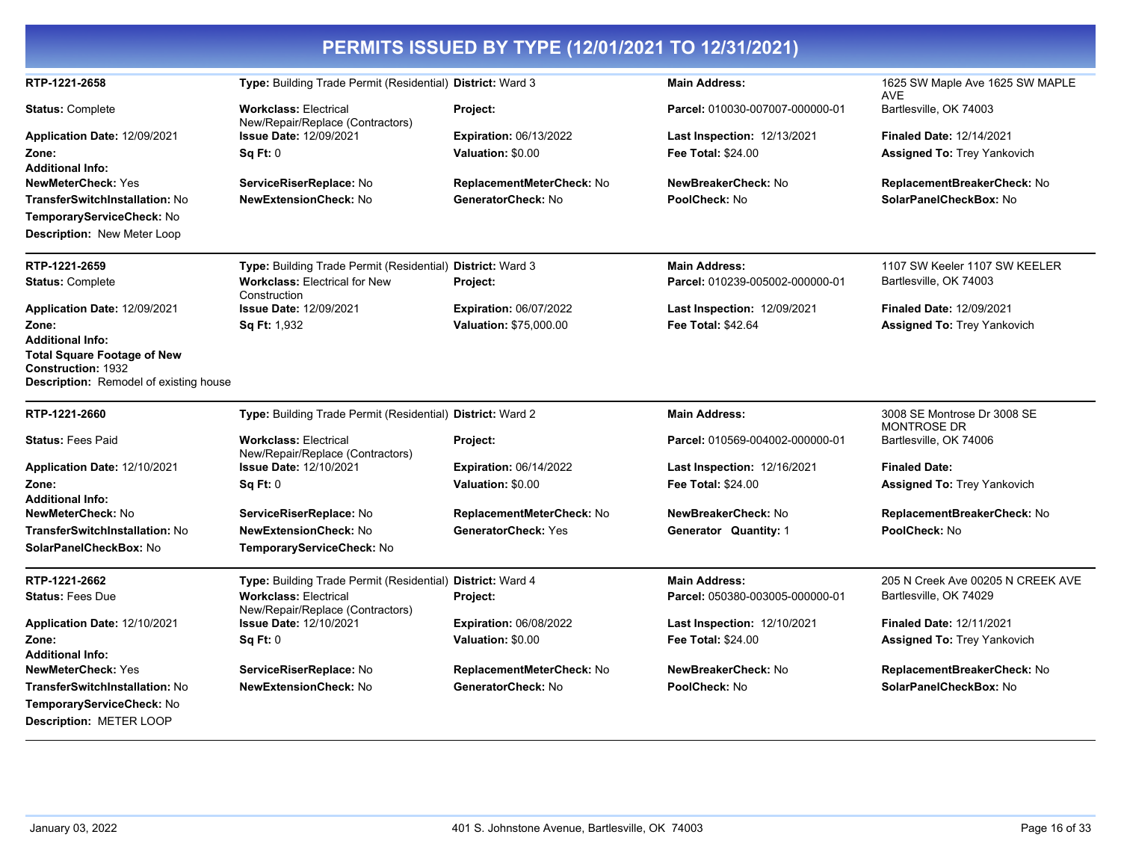| PERMITS ISSUED BY TYPE (12/01/2021 TO 12/31/2021)                   |                                                                  |                               |                                    |                                                   |  |
|---------------------------------------------------------------------|------------------------------------------------------------------|-------------------------------|------------------------------------|---------------------------------------------------|--|
| RTP-1221-2658                                                       | Type: Building Trade Permit (Residential) District: Ward 3       |                               | <b>Main Address:</b>               | 1625 SW Maple Ave 1625 SW MAPLE<br>AVE            |  |
| <b>Status: Complete</b>                                             | <b>Workclass: Electrical</b><br>New/Repair/Replace (Contractors) | Project:                      | Parcel: 010030-007007-000000-01    | Bartlesville, OK 74003                            |  |
| Application Date: 12/09/2021                                        | <b>Issue Date: 12/09/2021</b>                                    | <b>Expiration: 06/13/2022</b> | Last Inspection: 12/13/2021        | Finaled Date: 12/14/2021                          |  |
| Zone:                                                               | Sq Ft: 0                                                         | Valuation: \$0.00             | <b>Fee Total: \$24.00</b>          | <b>Assigned To: Trey Yankovich</b>                |  |
| Additional Info:                                                    |                                                                  |                               |                                    |                                                   |  |
| NewMeterCheck: Yes                                                  | ServiceRiserReplace: No                                          | ReplacementMeterCheck: No     | NewBreakerCheck: No                | ReplacementBreakerCheck: No                       |  |
| TransferSwitchInstallation: No                                      | <b>NewExtensionCheck: No</b>                                     | GeneratorCheck: No            | PoolCheck: No                      | SolarPanelCheckBox: No                            |  |
| TemporaryServiceCheck: No                                           |                                                                  |                               |                                    |                                                   |  |
| Description: New Meter Loop                                         |                                                                  |                               |                                    |                                                   |  |
| RTP-1221-2659                                                       | Type: Building Trade Permit (Residential) District: Ward 3       |                               | <b>Main Address:</b>               | 1107 SW Keeler 1107 SW KEELER                     |  |
| <b>Status: Complete</b>                                             | <b>Workclass: Electrical for New</b><br>Construction             | Project:                      | Parcel: 010239-005002-000000-01    | Bartlesville, OK 74003                            |  |
| <b>Application Date: 12/09/2021</b>                                 | <b>Issue Date: 12/09/2021</b>                                    | <b>Expiration: 06/07/2022</b> | <b>Last Inspection: 12/09/2021</b> | <b>Finaled Date: 12/09/2021</b>                   |  |
| Zone:                                                               | <b>Sq Ft: 1,932</b>                                              | <b>Valuation: \$75,000.00</b> | <b>Fee Total: \$42.64</b>          | <b>Assigned To: Trey Yankovich</b>                |  |
| <b>Additional Info:</b>                                             |                                                                  |                               |                                    |                                                   |  |
| <b>Total Square Footage of New</b>                                  |                                                                  |                               |                                    |                                                   |  |
| <b>Construction: 1932</b><br>Description: Remodel of existing house |                                                                  |                               |                                    |                                                   |  |
| RTP-1221-2660                                                       | Type: Building Trade Permit (Residential) District: Ward 2       |                               | <b>Main Address:</b>               | 3008 SE Montrose Dr 3008 SE<br><b>MONTROSE DR</b> |  |
| <b>Status: Fees Paid</b>                                            | <b>Workclass: Electrical</b><br>New/Repair/Replace (Contractors) | Project:                      | Parcel: 010569-004002-000000-01    | Bartlesville, OK 74006                            |  |
| <b>Application Date: 12/10/2021</b>                                 | Issue Date: 12/10/2021                                           | <b>Expiration: 06/14/2022</b> | <b>Last Inspection: 12/16/2021</b> | <b>Finaled Date:</b>                              |  |
| Zone:                                                               | Sq Ft: 0                                                         | Valuation: \$0.00             | <b>Fee Total: \$24.00</b>          | <b>Assigned To: Trey Yankovich</b>                |  |
| Additional Info:                                                    |                                                                  |                               |                                    |                                                   |  |
| <b>NewMeterCheck: No</b>                                            | ServiceRiserReplace: No                                          | ReplacementMeterCheck: No     | NewBreakerCheck: No                | ReplacementBreakerCheck: No                       |  |
| TransferSwitchInstallation: No                                      | <b>NewExtensionCheck: No</b>                                     | <b>GeneratorCheck: Yes</b>    | Generator Quantity: 1              | PoolCheck: No                                     |  |
| SolarPanelCheckBox: No                                              | TemporaryServiceCheck: No                                        |                               |                                    |                                                   |  |
| RTP-1221-2662                                                       | Type: Building Trade Permit (Residential) District: Ward 4       |                               | <b>Main Address:</b>               | 205 N Creek Ave 00205 N CREEK AVE                 |  |
| <b>Status: Fees Due</b>                                             | <b>Workclass: Electrical</b><br>New/Repair/Replace (Contractors) | Project:                      | Parcel: 050380-003005-000000-01    | Bartlesville, OK 74029                            |  |
| Application Date: 12/10/2021                                        | <b>Issue Date: 12/10/2021</b>                                    | <b>Expiration: 06/08/2022</b> | <b>Last Inspection: 12/10/2021</b> | <b>Finaled Date: 12/11/2021</b>                   |  |
| Zone:                                                               | Sq Ft: 0                                                         | Valuation: \$0.00             | Fee Total: \$24.00                 | <b>Assigned To: Trey Yankovich</b>                |  |
| <b>Additional Info:</b>                                             |                                                                  |                               |                                    |                                                   |  |
| NewMeterCheck: Yes                                                  | ServiceRiserReplace: No                                          | ReplacementMeterCheck: No     | NewBreakerCheck: No                | ReplacementBreakerCheck: No                       |  |
| TransferSwitchInstallation: No                                      | <b>NewExtensionCheck: No</b>                                     | GeneratorCheck: No            | PoolCheck: No                      | SolarPanelCheckBox: No                            |  |
| TemporaryServiceCheck: No                                           |                                                                  |                               |                                    |                                                   |  |
| Description: METER LOOP                                             |                                                                  |                               |                                    |                                                   |  |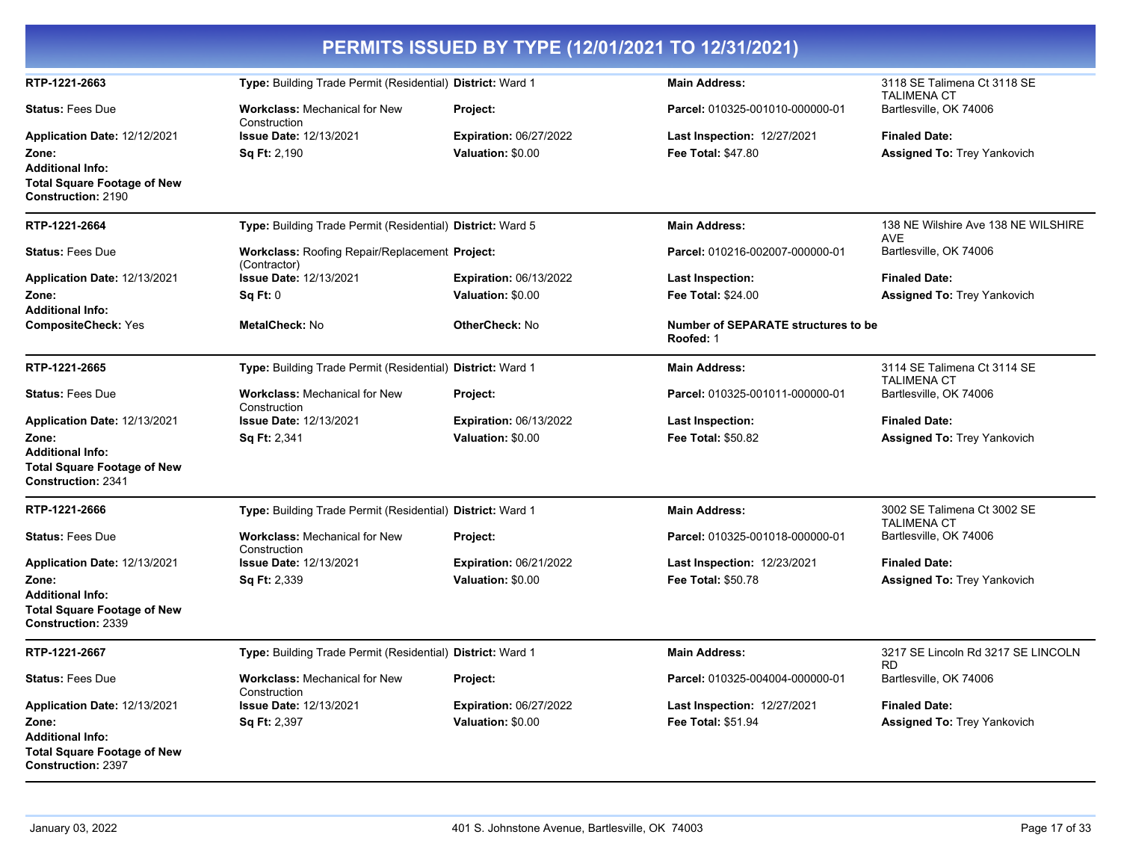| PERMITS ISSUED BY TYPE (12/01/2021 TO 12/31/2021)                                                                                   |                                                                      |                                                    |                                                                 |                                                            |
|-------------------------------------------------------------------------------------------------------------------------------------|----------------------------------------------------------------------|----------------------------------------------------|-----------------------------------------------------------------|------------------------------------------------------------|
| RTP-1221-2663                                                                                                                       | Type: Building Trade Permit (Residential) District: Ward 1           |                                                    | <b>Main Address:</b>                                            | 3118 SE Talimena Ct 3118 SE                                |
| <b>Status: Fees Due</b>                                                                                                             | <b>Workclass: Mechanical for New</b><br>Construction                 | Project:                                           | Parcel: 010325-001010-000000-01                                 | <b>TALIMENA CT</b><br>Bartlesville, OK 74006               |
| Application Date: 12/12/2021<br>Zone:<br><b>Additional Info:</b><br><b>Total Square Footage of New</b>                              | <b>Issue Date: 12/13/2021</b><br><b>Sq Ft: 2,190</b>                 | Expiration: 06/27/2022<br>Valuation: \$0.00        | <b>Last Inspection: 12/27/2021</b><br><b>Fee Total: \$47.80</b> | <b>Finaled Date:</b><br>Assigned To: Trey Yankovich        |
| <b>Construction: 2190</b>                                                                                                           |                                                                      |                                                    |                                                                 |                                                            |
| RTP-1221-2664                                                                                                                       | Type: Building Trade Permit (Residential) District: Ward 5           |                                                    | <b>Main Address:</b>                                            | 138 NE Wilshire Ave 138 NE WILSHIRE<br><b>AVE</b>          |
| <b>Status: Fees Due</b>                                                                                                             | Workclass: Roofing Repair/Replacement Project:<br>(Contractor)       |                                                    | Parcel: 010216-002007-000000-01                                 | Bartlesville, OK 74006                                     |
| Application Date: 12/13/2021                                                                                                        | <b>Issue Date: 12/13/2021</b>                                        | <b>Expiration: 06/13/2022</b>                      | <b>Last Inspection:</b>                                         | <b>Finaled Date:</b>                                       |
| Zone:<br><b>Additional Info:</b>                                                                                                    | Sq Ft: 0                                                             | Valuation: \$0.00                                  | Fee Total: \$24.00                                              | <b>Assigned To: Trey Yankovich</b>                         |
| <b>CompositeCheck: Yes</b>                                                                                                          | MetalCheck: No                                                       | <b>OtherCheck: No</b>                              | Number of SEPARATE structures to be<br>Roofed: 1                |                                                            |
| RTP-1221-2665                                                                                                                       | Type: Building Trade Permit (Residential) District: Ward 1           |                                                    | <b>Main Address:</b>                                            | 3114 SE Talimena Ct 3114 SE<br><b>TALIMENA CT</b>          |
| <b>Status: Fees Due</b>                                                                                                             | Workclass: Mechanical for New<br>Construction                        | Project:                                           | Parcel: 010325-001011-000000-01                                 | Bartlesville, OK 74006                                     |
| Application Date: 12/13/2021<br>Zone:<br><b>Additional Info:</b><br><b>Total Square Footage of New</b><br><b>Construction: 2341</b> | <b>Issue Date: 12/13/2021</b><br><b>Sq Ft: 2,341</b>                 | <b>Expiration: 06/13/2022</b><br>Valuation: \$0.00 | <b>Last Inspection:</b><br><b>Fee Total: \$50.82</b>            | <b>Finaled Date:</b><br><b>Assigned To: Trey Yankovich</b> |
| RTP-1221-2666                                                                                                                       | Type: Building Trade Permit (Residential) District: Ward 1           |                                                    | <b>Main Address:</b>                                            | 3002 SE Talimena Ct 3002 SE                                |
| <b>Status: Fees Due</b>                                                                                                             | <b>Workclass: Mechanical for New</b>                                 | Project:                                           | Parcel: 010325-001018-000000-01                                 | <b>TALIMENA CT</b><br>Bartlesville, OK 74006               |
| Application Date: 12/13/2021<br>Zone:<br><b>Additional Info:</b><br><b>Total Square Footage of New</b><br>Construction: 2339        | Construction<br><b>Issue Date: 12/13/2021</b><br><b>Sq Ft: 2,339</b> | <b>Expiration: 06/21/2022</b><br>Valuation: \$0.00 | <b>Last Inspection: 12/23/2021</b><br><b>Fee Total: \$50.78</b> | <b>Finaled Date:</b><br><b>Assigned To: Trey Yankovich</b> |
| RTP-1221-2667                                                                                                                       | Type: Building Trade Permit (Residential) District: Ward 1           |                                                    | <b>Main Address:</b>                                            | 3217 SE Lincoln Rd 3217 SE LINCOLN<br><b>RD</b>            |
| <b>Status: Fees Due</b>                                                                                                             | <b>Workclass:</b> Mechanical for New<br>Construction                 | Project:                                           | Parcel: 010325-004004-000000-01                                 | Bartlesville, OK 74006                                     |
| Application Date: 12/13/2021                                                                                                        | <b>Issue Date: 12/13/2021</b>                                        | Expiration: 06/27/2022                             | <b>Last Inspection: 12/27/2021</b>                              | <b>Finaled Date:</b>                                       |
| Zone:<br><b>Additional Info:</b><br><b>Total Square Footage of New</b><br><b>Construction: 2397</b>                                 | <b>Sq Ft: 2,397</b>                                                  | Valuation: \$0.00                                  | <b>Fee Total: \$51.94</b>                                       | <b>Assigned To: Trey Yankovich</b>                         |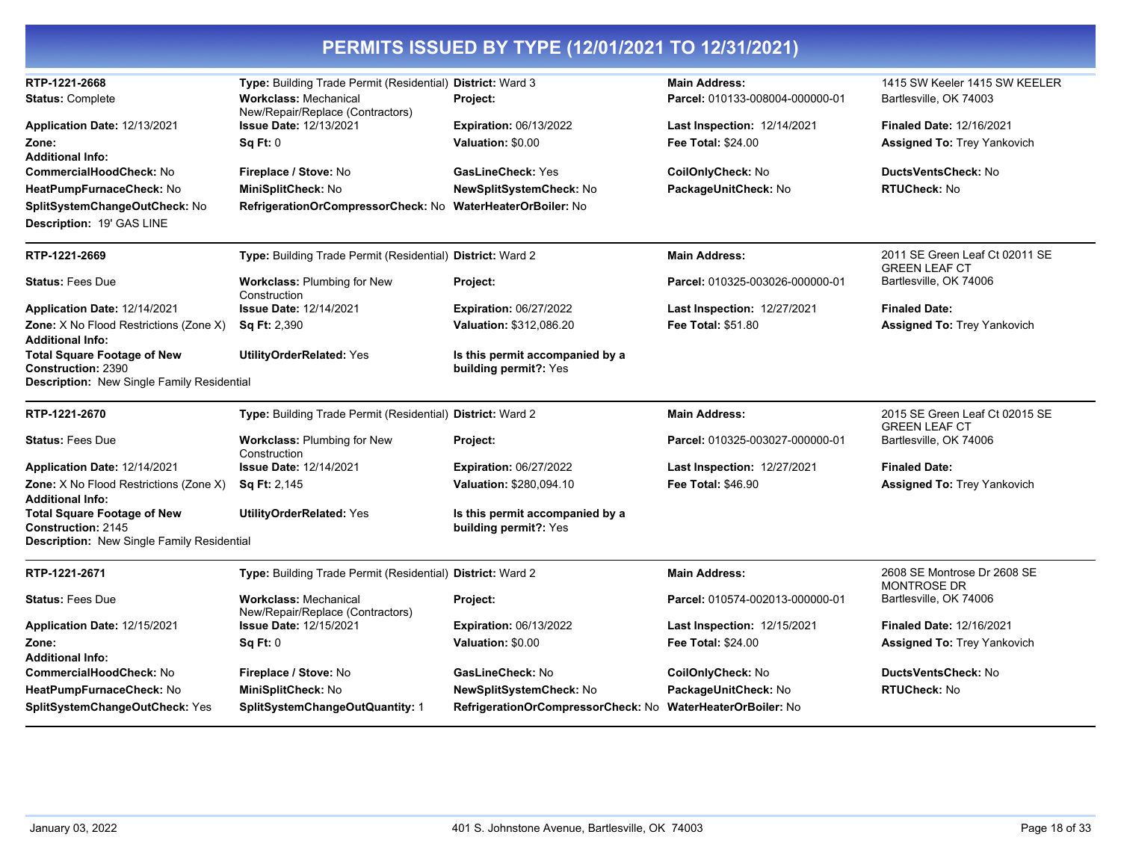| RTP-1221-2668<br><b>Status: Complete</b>                                                                          | Type: Building Trade Permit (Residential) District: Ward 3<br><b>Workclass: Mechanical</b><br>New/Repair/Replace (Contractors) | Project:                                                                                     | <b>Main Address:</b><br>Parcel: 010133-008004-000000-01         | 1415 SW Keeler 1415 SW KEELER<br>Bartlesville, OK 74003               |
|-------------------------------------------------------------------------------------------------------------------|--------------------------------------------------------------------------------------------------------------------------------|----------------------------------------------------------------------------------------------|-----------------------------------------------------------------|-----------------------------------------------------------------------|
| Application Date: 12/13/2021<br>Zone:<br>Additional Info:                                                         | <b>Issue Date: 12/13/2021</b><br>Sq Ft: 0                                                                                      | <b>Expiration: 06/13/2022</b><br>Valuation: \$0.00                                           | <b>Last Inspection: 12/14/2021</b><br><b>Fee Total: \$24.00</b> | <b>Finaled Date: 12/16/2021</b><br><b>Assigned To: Trey Yankovich</b> |
| CommercialHoodCheck: No<br>HeatPumpFurnaceCheck: No<br>SplitSystemChangeOutCheck: No<br>Description: 19' GAS LINE | Fireplace / Stove: No<br>MiniSplitCheck: No<br>RefrigerationOrCompressorCheck: No                                              | <b>GasLineCheck: Yes</b><br>NewSplitSystemCheck: No<br>WaterHeaterOrBoiler: No               | CoilOnlyCheck: No<br>PackageUnitCheck: No                       | DuctsVentsCheck: No<br><b>RTUCheck: No</b>                            |
| RTP-1221-2669                                                                                                     | Type: Building Trade Permit (Residential) District: Ward 2                                                                     |                                                                                              | <b>Main Address:</b>                                            | 2011 SE Green Leaf Ct 02011 SE<br><b>GREEN LEAF CT</b>                |
| <b>Status: Fees Due</b>                                                                                           | <b>Workclass: Plumbing for New</b><br>Construction                                                                             | Project:                                                                                     | Parcel: 010325-003026-000000-01                                 | Bartlesville, OK 74006                                                |
| Application Date: 12/14/2021                                                                                      | <b>Issue Date: 12/14/2021</b>                                                                                                  | <b>Expiration: 06/27/2022</b>                                                                | <b>Last Inspection: 12/27/2021</b>                              | <b>Finaled Date:</b>                                                  |
| Zone: X No Flood Restrictions (Zone X)<br><b>Additional Info:</b>                                                 | <b>Sq Ft: 2,390</b>                                                                                                            | Valuation: \$312,086.20                                                                      | <b>Fee Total: \$51.80</b>                                       | <b>Assigned To: Trey Yankovich</b>                                    |
| <b>Total Square Footage of New</b><br>Construction: 2390<br>Description: New Single Family Residential            | <b>UtilityOrderRelated: Yes</b>                                                                                                | Is this permit accompanied by a<br>building permit?: Yes                                     |                                                                 |                                                                       |
|                                                                                                                   |                                                                                                                                |                                                                                              |                                                                 |                                                                       |
| RTP-1221-2670                                                                                                     | Type: Building Trade Permit (Residential) District: Ward 2                                                                     |                                                                                              | <b>Main Address:</b>                                            | 2015 SE Green Leaf Ct 02015 SE<br><b>GREEN LEAF CT</b>                |
| <b>Status: Fees Due</b>                                                                                           | Workclass: Plumbing for New<br>Construction                                                                                    | <b>Project:</b>                                                                              | Parcel: 010325-003027-000000-01                                 | Bartlesville, OK 74006                                                |
| Application Date: 12/14/2021                                                                                      | <b>Issue Date: 12/14/2021</b>                                                                                                  | <b>Expiration: 06/27/2022</b>                                                                | Last Inspection: 12/27/2021                                     | <b>Finaled Date:</b>                                                  |
| Zone: X No Flood Restrictions (Zone X)<br>Additional Info:                                                        | <b>Sq Ft: 2,145</b>                                                                                                            | Valuation: \$280,094.10                                                                      | <b>Fee Total: \$46.90</b>                                       | <b>Assigned To: Trey Yankovich</b>                                    |
| <b>Total Square Footage of New</b><br>Construction: 2145<br>Description: New Single Family Residential            | <b>UtilityOrderRelated: Yes</b>                                                                                                | Is this permit accompanied by a<br>building permit?: Yes                                     |                                                                 |                                                                       |
| RTP-1221-2671                                                                                                     | Type: Building Trade Permit (Residential) District: Ward 2                                                                     |                                                                                              | <b>Main Address:</b>                                            | 2608 SE Montrose Dr 2608 SE<br><b>MONTROSE DR</b>                     |
| <b>Status: Fees Due</b>                                                                                           | <b>Workclass: Mechanical</b><br>New/Repair/Replace (Contractors)                                                               | Project:                                                                                     | Parcel: 010574-002013-000000-01                                 | Bartlesville, OK 74006                                                |
| Application Date: 12/15/2021                                                                                      | <b>Issue Date: 12/15/2021</b>                                                                                                  | Expiration: 06/13/2022                                                                       | <b>Last Inspection: 12/15/2021</b>                              | <b>Finaled Date: 12/16/2021</b>                                       |
| Zone:<br>Additional Info:                                                                                         | Sq Ft: 0                                                                                                                       | Valuation: \$0.00                                                                            | <b>Fee Total: \$24.00</b>                                       | <b>Assigned To: Trey Yankovich</b>                                    |
| CommercialHoodCheck: No                                                                                           | Fireplace / Stove: No                                                                                                          | GasLineCheck: No                                                                             | CoilOnlyCheck: No                                               | <b>DuctsVentsCheck: No</b>                                            |
| HeatPumpFurnaceCheck: No<br>SplitSystemChangeOutCheck: Yes                                                        | MiniSplitCheck: No<br>SplitSystemChangeOutQuantity: 1                                                                          | <b>NewSplitSystemCheck: No</b><br>RefrigerationOrCompressorCheck: No WaterHeaterOrBoiler: No | PackageUnitCheck: No                                            | <b>RTUCheck: No</b>                                                   |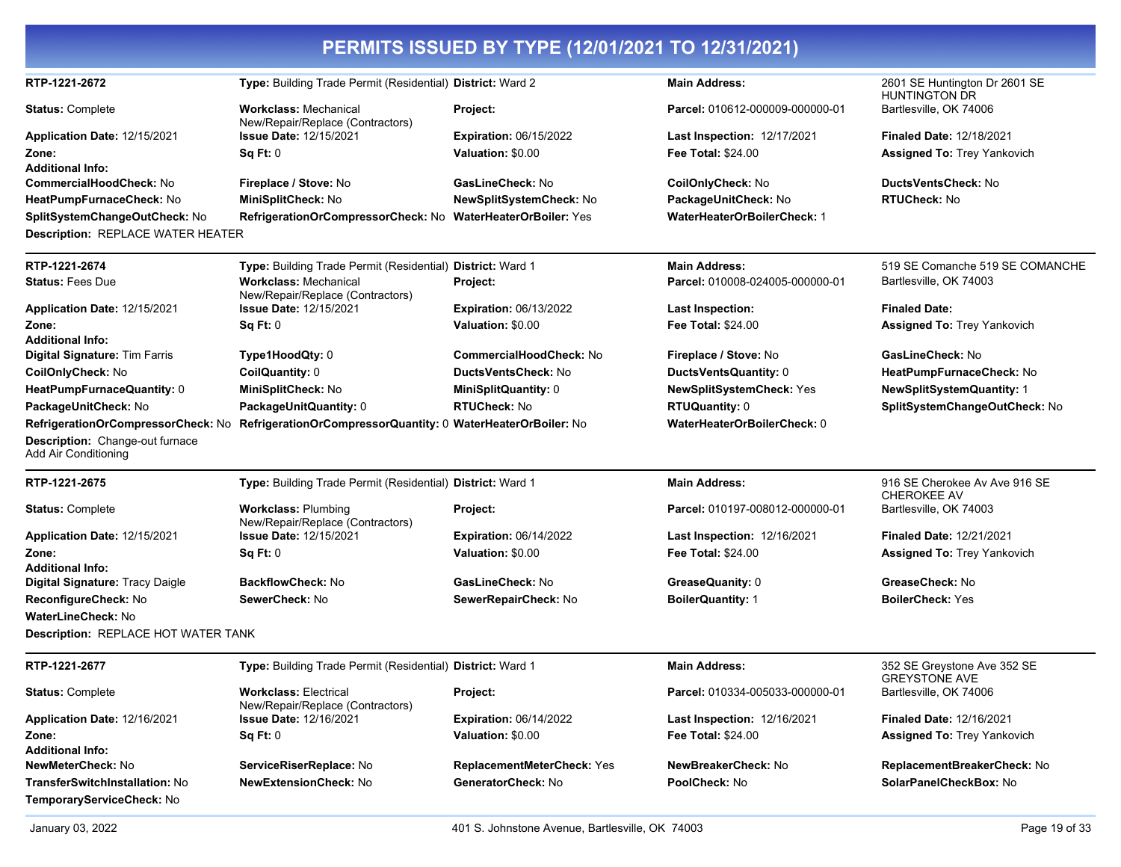|                                                         |                                                                                                 | PERMITS ISSUED BY TYPE (12/01/2021 TO 12/31/2021) |                                    |                                                       |
|---------------------------------------------------------|-------------------------------------------------------------------------------------------------|---------------------------------------------------|------------------------------------|-------------------------------------------------------|
| RTP-1221-2672                                           | Type: Building Trade Permit (Residential) District: Ward 2                                      |                                                   | <b>Main Address:</b>               | 2601 SE Huntington Dr 2601 SE<br><b>HUNTINGTON DR</b> |
| <b>Status: Complete</b>                                 | <b>Workclass: Mechanical</b><br>New/Repair/Replace (Contractors)                                | Project:                                          | Parcel: 010612-000009-000000-01    | Bartlesville, OK 74006                                |
| Application Date: 12/15/2021                            | <b>Issue Date: 12/15/2021</b>                                                                   | <b>Expiration: 06/15/2022</b>                     | <b>Last Inspection: 12/17/2021</b> | <b>Finaled Date: 12/18/2021</b>                       |
| Zone:                                                   | Sq Ft: 0                                                                                        | Valuation: \$0.00                                 | <b>Fee Total: \$24.00</b>          | <b>Assigned To: Trey Yankovich</b>                    |
| <b>Additional Info:</b>                                 |                                                                                                 |                                                   |                                    |                                                       |
| <b>CommercialHoodCheck: No</b>                          | Fireplace / Stove: No                                                                           | GasLineCheck: No                                  | CoilOnlyCheck: No                  | <b>DuctsVentsCheck: No</b>                            |
| HeatPumpFurnaceCheck: No                                | MiniSplitCheck: No                                                                              | <b>NewSplitSystemCheck: No</b>                    | PackageUnitCheck: No               | <b>RTUCheck: No</b>                                   |
| SplitSystemChangeOutCheck: No                           | RefrigerationOrCompressorCheck: No WaterHeaterOrBoiler: Yes                                     |                                                   | <b>WaterHeaterOrBoilerCheck: 1</b> |                                                       |
| Description: REPLACE WATER HEATER                       |                                                                                                 |                                                   |                                    |                                                       |
| RTP-1221-2674                                           | Type: Building Trade Permit (Residential)                                                       | District: Ward 1                                  | <b>Main Address:</b>               | 519 SE Comanche 519 SE COMANCHE                       |
| <b>Status: Fees Due</b>                                 | <b>Workclass: Mechanical</b><br>New/Repair/Replace (Contractors)                                | Project:                                          | Parcel: 010008-024005-000000-01    | Bartlesville, OK 74003                                |
| Application Date: 12/15/2021                            | <b>Issue Date: 12/15/2021</b>                                                                   | <b>Expiration: 06/13/2022</b>                     | <b>Last Inspection:</b>            | <b>Finaled Date:</b>                                  |
| Zone:                                                   | Sq Ft: 0                                                                                        | Valuation: \$0.00                                 | <b>Fee Total: \$24.00</b>          | <b>Assigned To: Trey Yankovich</b>                    |
| <b>Additional Info:</b>                                 |                                                                                                 |                                                   |                                    |                                                       |
| Digital Signature: Tim Farris                           | Type1HoodQty: 0                                                                                 | <b>CommercialHoodCheck: No</b>                    | Fireplace / Stove: No              | GasLineCheck: No                                      |
| CoilOnlyCheck: No                                       | CoilQuantity: 0                                                                                 | DuctsVentsCheck: No                               | DuctsVentsQuantity: 0              | HeatPumpFurnaceCheck: No                              |
| HeatPumpFurnaceQuantity: 0                              | MiniSplitCheck: No                                                                              | <b>MiniSplitQuantity: 0</b>                       | <b>NewSplitSystemCheck: Yes</b>    | <b>NewSplitSystemQuantity: 1</b>                      |
| PackageUnitCheck: No                                    | PackageUnitQuantity: 0                                                                          | <b>RTUCheck: No</b>                               | <b>RTUQuantity: 0</b>              | SplitSystemChangeOutCheck: No                         |
|                                                         | RefrigerationOrCompressorCheck: No RefrigerationOrCompressorQuantity: 0 WaterHeaterOrBoiler: No |                                                   | WaterHeaterOrBoilerCheck: 0        |                                                       |
| Description: Change-out furnace<br>Add Air Conditioning |                                                                                                 |                                                   |                                    |                                                       |
| RTP-1221-2675                                           | Type: Building Trade Permit (Residential) District: Ward 1                                      |                                                   | <b>Main Address:</b>               | 916 SE Cherokee Av Ave 916 SE<br><b>CHEROKEE AV</b>   |
| <b>Status: Complete</b>                                 | <b>Workclass: Plumbing</b><br>New/Repair/Replace (Contractors)                                  | Project:                                          | Parcel: 010197-008012-000000-01    | Bartlesville, OK 74003                                |
| Application Date: 12/15/2021                            | <b>Issue Date: 12/15/2021</b>                                                                   | <b>Expiration: 06/14/2022</b>                     | <b>Last Inspection: 12/16/2021</b> | <b>Finaled Date: 12/21/2021</b>                       |
| Zone:                                                   | Sq Ft: 0                                                                                        | Valuation: \$0.00                                 | <b>Fee Total: \$24.00</b>          | <b>Assigned To: Trey Yankovich</b>                    |
| <b>Additional Info:</b>                                 |                                                                                                 |                                                   |                                    |                                                       |
| Digital Signature: Tracy Daigle                         | <b>BackflowCheck: No</b>                                                                        | GasLineCheck: No                                  | GreaseQuanity: 0                   | GreaseCheck: No                                       |
| ReconfigureCheck: No                                    | SewerCheck: No                                                                                  | SewerRepairCheck: No                              | <b>BoilerQuantity: 1</b>           | <b>BoilerCheck: Yes</b>                               |
| <b>WaterLineCheck: No</b>                               |                                                                                                 |                                                   |                                    |                                                       |
| <b>Description: REPLACE HOT WATER TANK</b>              |                                                                                                 |                                                   |                                    |                                                       |
| RTP-1221-2677                                           | Type: Building Trade Permit (Residential) District: Ward 1                                      |                                                   | <b>Main Address:</b>               | 352 SE Greystone Ave 352 SE<br><b>GREYSTONE AVE</b>   |
| <b>Status: Complete</b>                                 | <b>Workclass: Electrical</b><br>New/Repair/Replace (Contractors)                                | Project:                                          | Parcel: 010334-005033-000000-01    | Bartlesville, OK 74006                                |
| Application Date: 12/16/2021                            | <b>Issue Date: 12/16/2021</b>                                                                   | <b>Expiration: 06/14/2022</b>                     | <b>Last Inspection: 12/16/2021</b> | <b>Finaled Date: 12/16/2021</b>                       |
| Zone:                                                   | Sq Ft: 0                                                                                        | Valuation: \$0.00                                 | Fee Total: \$24.00                 | <b>Assigned To: Trey Yankovich</b>                    |
| <b>Additional Info:</b>                                 |                                                                                                 |                                                   |                                    |                                                       |
| NewMeterCheck: No                                       | ServiceRiserReplace: No                                                                         | ReplacementMeterCheck: Yes                        | NewBreakerCheck: No                | ReplacementBreakerCheck: No                           |
| TransferSwitchInstallation: No                          | NewExtensionCheck: No                                                                           | GeneratorCheck: No                                | PoolCheck: No                      | SolarPanelCheckBox: No                                |
| TemporaryServiceCheck: No                               |                                                                                                 |                                                   |                                    |                                                       |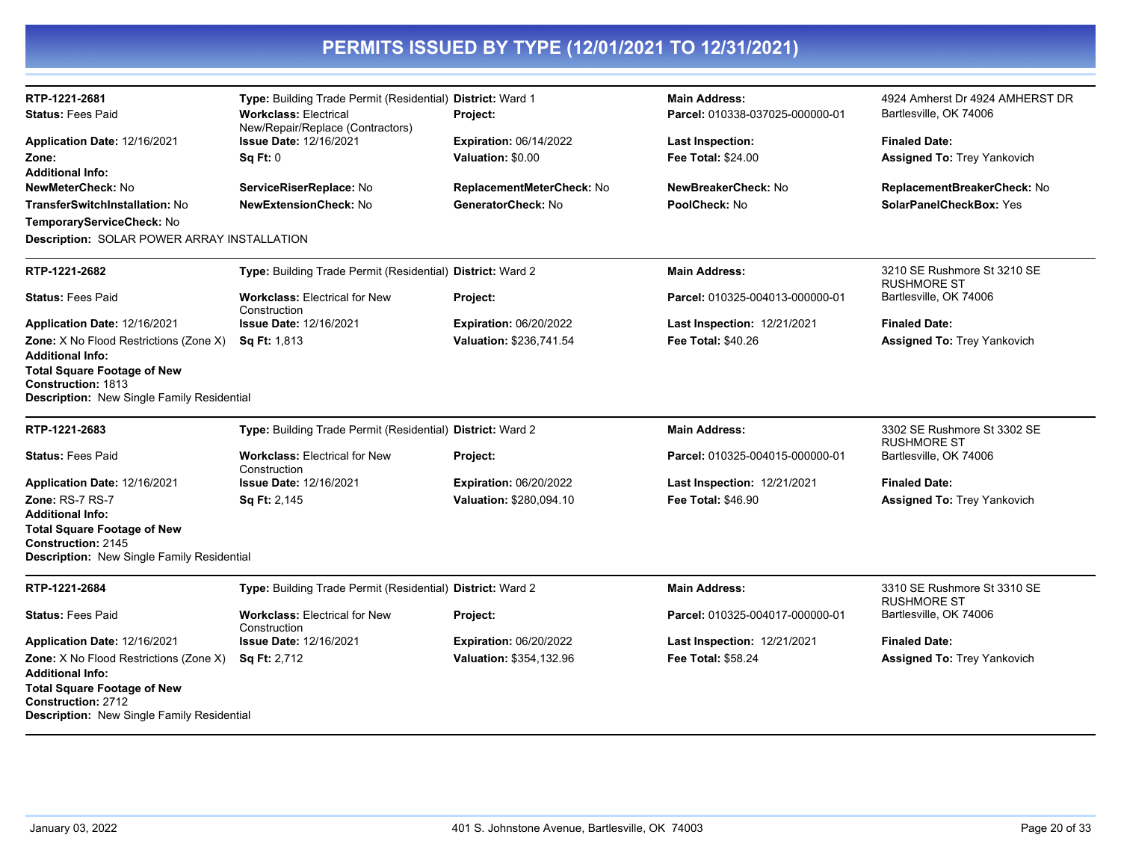| RTP-1221-2681                                                                                                                                                                      | Type: Building Trade Permit (Residential) District: Ward 1       |                               | <b>Main Address:</b>               | 4924 Amherst Dr 4924 AMHERST DR                   |
|------------------------------------------------------------------------------------------------------------------------------------------------------------------------------------|------------------------------------------------------------------|-------------------------------|------------------------------------|---------------------------------------------------|
| <b>Status: Fees Paid</b>                                                                                                                                                           | <b>Workclass: Electrical</b><br>New/Repair/Replace (Contractors) | <b>Project:</b>               | Parcel: 010338-037025-000000-01    | Bartlesville, OK 74006                            |
| Application Date: 12/16/2021                                                                                                                                                       | <b>Issue Date: 12/16/2021</b>                                    | <b>Expiration: 06/14/2022</b> | <b>Last Inspection:</b>            | <b>Finaled Date:</b>                              |
| Zone:                                                                                                                                                                              | Sq Ft: 0                                                         | Valuation: \$0.00             | Fee Total: \$24.00                 | <b>Assigned To: Trey Yankovich</b>                |
| <b>Additional Info:</b>                                                                                                                                                            |                                                                  |                               |                                    |                                                   |
| NewMeterCheck: No                                                                                                                                                                  | ServiceRiserReplace: No                                          | ReplacementMeterCheck: No     | NewBreakerCheck: No                | ReplacementBreakerCheck: No                       |
| <b>TransferSwitchInstallation: No</b>                                                                                                                                              | <b>NewExtensionCheck: No</b>                                     | GeneratorCheck: No            | PoolCheck: No                      | SolarPanelCheckBox: Yes                           |
| TemporaryServiceCheck: No                                                                                                                                                          |                                                                  |                               |                                    |                                                   |
| Description: SOLAR POWER ARRAY INSTALLATION                                                                                                                                        |                                                                  |                               |                                    |                                                   |
| RTP-1221-2682                                                                                                                                                                      | Type: Building Trade Permit (Residential) District: Ward 2       |                               | <b>Main Address:</b>               | 3210 SE Rushmore St 3210 SE<br><b>RUSHMORE ST</b> |
| <b>Status: Fees Paid</b>                                                                                                                                                           | <b>Workclass: Electrical for New</b><br>Construction             | Project:                      | Parcel: 010325-004013-000000-01    | Bartlesville, OK 74006                            |
| Application Date: 12/16/2021                                                                                                                                                       | <b>Issue Date: 12/16/2021</b>                                    | <b>Expiration: 06/20/2022</b> | Last Inspection: 12/21/2021        | <b>Finaled Date:</b>                              |
| <b>Zone:</b> X No Flood Restrictions (Zone X)<br><b>Additional Info:</b>                                                                                                           | Sq Ft: 1,813                                                     | Valuation: \$236,741.54       | <b>Fee Total: \$40.26</b>          | <b>Assigned To: Trey Yankovich</b>                |
| <b>Total Square Footage of New</b><br><b>Construction: 1813</b><br>Description: New Single Family Residential                                                                      |                                                                  |                               |                                    |                                                   |
| RTP-1221-2683                                                                                                                                                                      | Type: Building Trade Permit (Residential) District: Ward 2       |                               | <b>Main Address:</b>               | 3302 SE Rushmore St 3302 SE<br><b>RUSHMORE ST</b> |
| <b>Status: Fees Paid</b>                                                                                                                                                           | <b>Workclass: Electrical for New</b><br>Construction             | Project:                      | Parcel: 010325-004015-000000-01    | Bartlesville, OK 74006                            |
| Application Date: 12/16/2021                                                                                                                                                       | <b>Issue Date: 12/16/2021</b>                                    | <b>Expiration: 06/20/2022</b> | <b>Last Inspection: 12/21/2021</b> | <b>Finaled Date:</b>                              |
| Zone: RS-7 RS-7                                                                                                                                                                    | Sq Ft: 2,145                                                     | Valuation: \$280,094.10       | <b>Fee Total: \$46.90</b>          | <b>Assigned To: Trey Yankovich</b>                |
| <b>Additional Info:</b>                                                                                                                                                            |                                                                  |                               |                                    |                                                   |
| <b>Total Square Footage of New</b><br><b>Construction: 2145</b><br>Description: New Single Family Residential                                                                      |                                                                  |                               |                                    |                                                   |
| RTP-1221-2684                                                                                                                                                                      | Type: Building Trade Permit (Residential) District: Ward 2       |                               | <b>Main Address:</b>               | 3310 SE Rushmore St 3310 SE<br><b>RUSHMORE ST</b> |
| <b>Status: Fees Paid</b>                                                                                                                                                           | <b>Workclass: Electrical for New</b><br>Construction             | Project:                      | Parcel: 010325-004017-000000-01    | Bartlesville, OK 74006                            |
| Application Date: 12/16/2021                                                                                                                                                       | <b>Issue Date: 12/16/2021</b>                                    | <b>Expiration: 06/20/2022</b> | Last Inspection: 12/21/2021        | <b>Finaled Date:</b>                              |
| <b>Zone:</b> X No Flood Restrictions (Zone X)<br><b>Additional Info:</b><br><b>Total Square Footage of New</b><br>Construction: 2712<br>Description: New Single Family Residential | Sq Ft: 2,712                                                     | Valuation: \$354,132.96       | Fee Total: \$58.24                 | <b>Assigned To: Trey Yankovich</b>                |
|                                                                                                                                                                                    |                                                                  |                               |                                    |                                                   |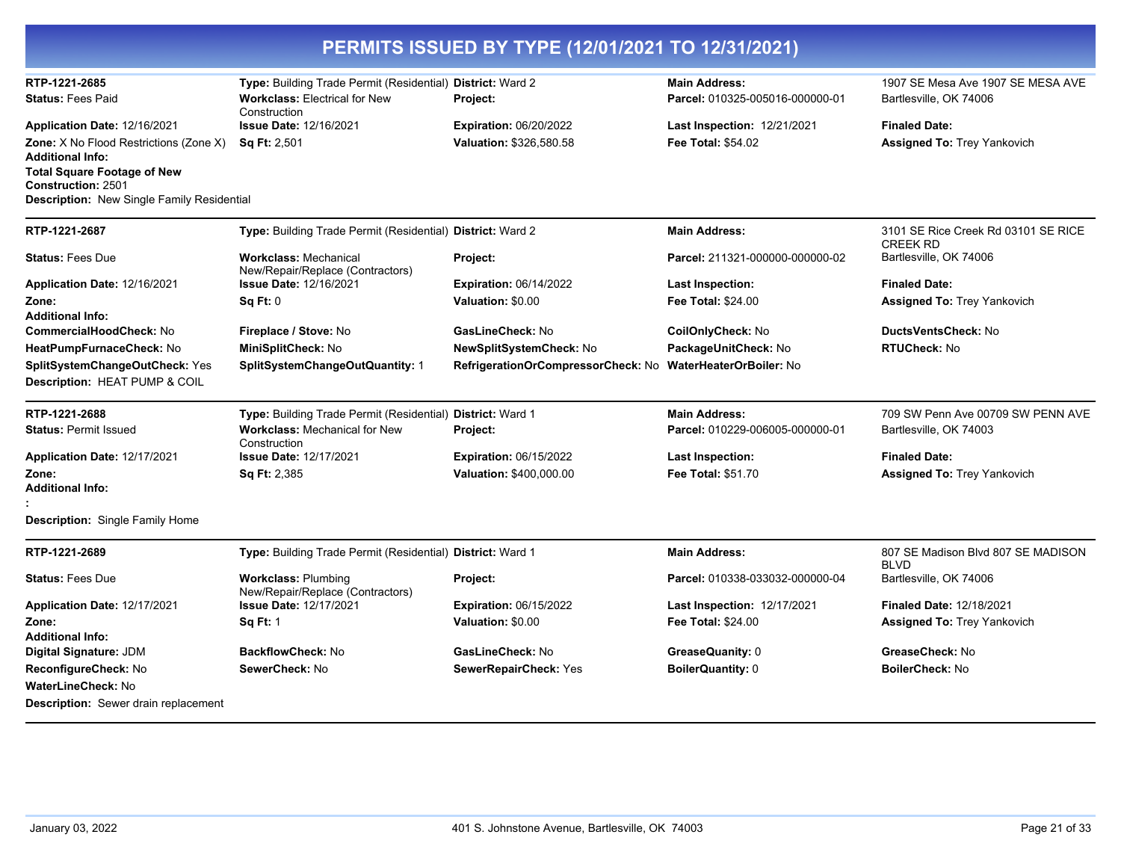| PERMITS ISSUED BY TYPE (12/01/2021 TO 12/31/2021)                                                             |                                                                                                    |                                    |                                                         |                                                             |  |
|---------------------------------------------------------------------------------------------------------------|----------------------------------------------------------------------------------------------------|------------------------------------|---------------------------------------------------------|-------------------------------------------------------------|--|
| RTP-1221-2685<br><b>Status: Fees Paid</b>                                                                     | Type: Building Trade Permit (Residential) District: Ward 2<br><b>Workclass: Electrical for New</b> | Project:                           | <b>Main Address:</b><br>Parcel: 010325-005016-000000-01 | 1907 SE Mesa Ave 1907 SE MESA AVE<br>Bartlesville, OK 74006 |  |
| <b>Application Date: 12/16/2021</b>                                                                           | Construction<br><b>Issue Date: 12/16/2021</b>                                                      | <b>Expiration: 06/20/2022</b>      | <b>Last Inspection: 12/21/2021</b>                      | <b>Finaled Date:</b>                                        |  |
| Zone: X No Flood Restrictions (Zone X)<br><b>Additional Info:</b>                                             | <b>Sq Ft: 2,501</b>                                                                                | Valuation: \$326,580.58            | Fee Total: \$54.02                                      | <b>Assigned To: Trey Yankovich</b>                          |  |
| <b>Total Square Footage of New</b><br><b>Construction: 2501</b><br>Description: New Single Family Residential |                                                                                                    |                                    |                                                         |                                                             |  |
| RTP-1221-2687                                                                                                 | Type: Building Trade Permit (Residential) District: Ward 2                                         |                                    | <b>Main Address:</b>                                    | 3101 SE Rice Creek Rd 03101 SE RICE<br><b>CREEK RD</b>      |  |
| <b>Status: Fees Due</b>                                                                                       | <b>Workclass: Mechanical</b><br>New/Repair/Replace (Contractors)                                   | Project:                           | Parcel: 211321-000000-000000-02                         | Bartlesville, OK 74006                                      |  |
| Application Date: 12/16/2021                                                                                  | <b>Issue Date: 12/16/2021</b>                                                                      | <b>Expiration: 06/14/2022</b>      | <b>Last Inspection:</b>                                 | <b>Finaled Date:</b>                                        |  |
| Zone:                                                                                                         | Sq Ft: 0                                                                                           | Valuation: \$0.00                  | <b>Fee Total: \$24.00</b>                               | <b>Assigned To: Trey Yankovich</b>                          |  |
| <b>Additional Info:</b>                                                                                       |                                                                                                    |                                    |                                                         |                                                             |  |
| CommercialHoodCheck: No                                                                                       | Fireplace / Stove: No                                                                              | GasLineCheck: No                   | CoilOnlyCheck: No                                       | DuctsVentsCheck: No                                         |  |
| HeatPumpFurnaceCheck: No                                                                                      | MiniSplitCheck: No                                                                                 | NewSplitSystemCheck: No            | PackageUnitCheck: No                                    | <b>RTUCheck: No</b>                                         |  |
| SplitSystemChangeOutCheck: Yes<br>Description: HEAT PUMP & COIL                                               | SplitSystemChangeOutQuantity: 1                                                                    | RefrigerationOrCompressorCheck: No | <b>WaterHeaterOrBoiler: No</b>                          |                                                             |  |
| RTP-1221-2688                                                                                                 | Type: Building Trade Permit (Residential) District: Ward 1                                         |                                    | <b>Main Address:</b>                                    | 709 SW Penn Ave 00709 SW PENN AVE                           |  |
| <b>Status: Permit Issued</b>                                                                                  | <b>Workclass: Mechanical for New</b><br>Construction                                               | Project:                           | Parcel: 010229-006005-000000-01                         | Bartlesville, OK 74003                                      |  |
| Application Date: 12/17/2021                                                                                  | <b>Issue Date: 12/17/2021</b>                                                                      | <b>Expiration: 06/15/2022</b>      | <b>Last Inspection:</b>                                 | <b>Finaled Date:</b>                                        |  |
| Zone:<br><b>Additional Info:</b>                                                                              | <b>Sq Ft: 2,385</b>                                                                                | Valuation: \$400,000.00            | Fee Total: \$51.70                                      | <b>Assigned To: Trey Yankovich</b>                          |  |
|                                                                                                               |                                                                                                    |                                    |                                                         |                                                             |  |
| <b>Description:</b> Single Family Home                                                                        |                                                                                                    |                                    |                                                         |                                                             |  |
| RTP-1221-2689                                                                                                 | Type: Building Trade Permit (Residential) District: Ward 1                                         |                                    | <b>Main Address:</b>                                    | 807 SE Madison Blvd 807 SE MADISON<br><b>BLVD</b>           |  |
| <b>Status: Fees Due</b>                                                                                       | <b>Workclass: Plumbing</b><br>New/Repair/Replace (Contractors)                                     | Project:                           | Parcel: 010338-033032-000000-04                         | Bartlesville, OK 74006                                      |  |
| Application Date: 12/17/2021                                                                                  | <b>Issue Date: 12/17/2021</b>                                                                      | <b>Expiration: 06/15/2022</b>      | <b>Last Inspection: 12/17/2021</b>                      | <b>Finaled Date: 12/18/2021</b>                             |  |
| Zone:                                                                                                         | <b>Sq Ft: 1</b>                                                                                    | Valuation: \$0.00                  | Fee Total: \$24.00                                      | <b>Assigned To: Trey Yankovich</b>                          |  |
| <b>Additional Info:</b>                                                                                       |                                                                                                    |                                    |                                                         |                                                             |  |
| Digital Signature: JDM                                                                                        | <b>BackflowCheck: No</b>                                                                           | GasLineCheck: No                   | GreaseQuanity: 0                                        | GreaseCheck: No                                             |  |
| ReconfigureCheck: No                                                                                          | SewerCheck: No                                                                                     | SewerRepairCheck: Yes              | <b>BoilerQuantity: 0</b>                                | <b>BoilerCheck: No</b>                                      |  |
| <b>WaterLineCheck: No</b>                                                                                     |                                                                                                    |                                    |                                                         |                                                             |  |
| <b>Description:</b> Sewer drain replacement                                                                   |                                                                                                    |                                    |                                                         |                                                             |  |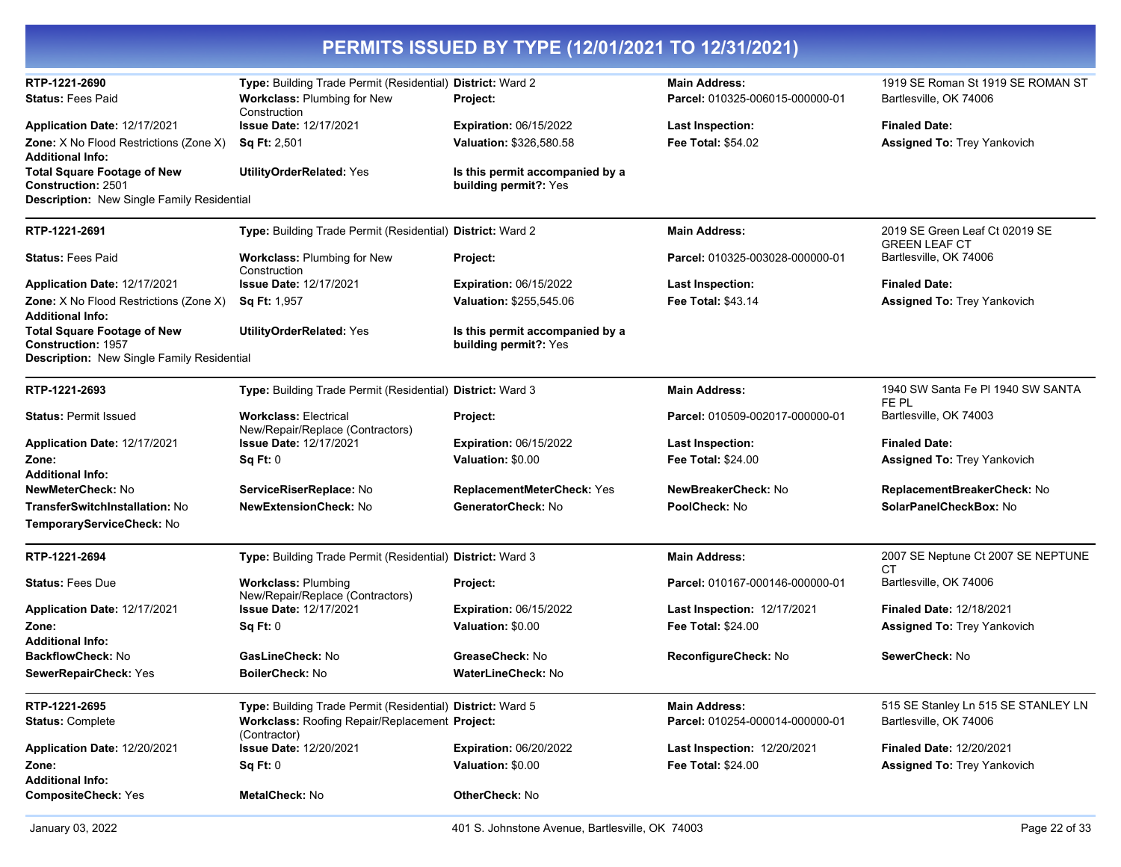| PERMITS ISSUED BY TYPE (12/01/2021 TO 12/31/2021)                        |                                                                  |                                                          |                                    |                                                        |
|--------------------------------------------------------------------------|------------------------------------------------------------------|----------------------------------------------------------|------------------------------------|--------------------------------------------------------|
| RTP-1221-2690                                                            | Type: Building Trade Permit (Residential) District: Ward 2       |                                                          | <b>Main Address:</b>               | 1919 SE Roman St 1919 SE ROMAN ST                      |
| <b>Status: Fees Paid</b>                                                 | Workclass: Plumbing for New<br>Construction                      | Project:                                                 | Parcel: 010325-006015-000000-01    | Bartlesville, OK 74006                                 |
| Application Date: 12/17/2021                                             | <b>Issue Date: 12/17/2021</b>                                    | <b>Expiration: 06/15/2022</b>                            | Last Inspection:                   | <b>Finaled Date:</b>                                   |
| <b>Zone:</b> X No Flood Restrictions (Zone X)<br><b>Additional Info:</b> | Sq Ft: 2,501                                                     | Valuation: \$326,580.58                                  | <b>Fee Total: \$54.02</b>          | <b>Assigned To: Trey Yankovich</b>                     |
| <b>Total Square Footage of New</b><br><b>Construction: 2501</b>          | <b>UtilityOrderRelated: Yes</b>                                  | Is this permit accompanied by a<br>building permit?: Yes |                                    |                                                        |
| Description: New Single Family Residential                               |                                                                  |                                                          |                                    |                                                        |
| RTP-1221-2691                                                            | Type: Building Trade Permit (Residential) District: Ward 2       |                                                          | <b>Main Address:</b>               | 2019 SE Green Leaf Ct 02019 SE<br><b>GREEN LEAF CT</b> |
| <b>Status: Fees Paid</b>                                                 | Workclass: Plumbing for New<br>Construction                      | Project:                                                 | Parcel: 010325-003028-000000-01    | Bartlesville, OK 74006                                 |
| Application Date: 12/17/2021                                             | <b>Issue Date: 12/17/2021</b>                                    | <b>Expiration: 06/15/2022</b>                            | <b>Last Inspection:</b>            | <b>Finaled Date:</b>                                   |
| Zone: X No Flood Restrictions (Zone X)<br><b>Additional Info:</b>        | <b>Sq Ft: 1,957</b>                                              | Valuation: \$255,545.06                                  | <b>Fee Total: \$43.14</b>          | <b>Assigned To: Trey Yankovich</b>                     |
| <b>Total Square Footage of New</b><br><b>Construction: 1957</b>          | <b>UtilityOrderRelated: Yes</b>                                  | Is this permit accompanied by a<br>building permit?: Yes |                                    |                                                        |
| Description: New Single Family Residential                               |                                                                  |                                                          |                                    |                                                        |
| RTP-1221-2693                                                            | Type: Building Trade Permit (Residential) District: Ward 3       |                                                          | <b>Main Address:</b>               | 1940 SW Santa Fe PI 1940 SW SANTA<br>FE PL             |
| <b>Status: Permit Issued</b>                                             | <b>Workclass: Electrical</b><br>New/Repair/Replace (Contractors) | Project:                                                 | Parcel: 010509-002017-000000-01    | Bartlesville, OK 74003                                 |
| Application Date: 12/17/2021                                             | <b>Issue Date: 12/17/2021</b>                                    | <b>Expiration: 06/15/2022</b>                            | <b>Last Inspection:</b>            | <b>Finaled Date:</b>                                   |
| Zone:                                                                    | Sq Ft: 0                                                         | Valuation: \$0.00                                        | <b>Fee Total: \$24.00</b>          | <b>Assigned To: Trey Yankovich</b>                     |
| <b>Additional Info:</b>                                                  |                                                                  |                                                          |                                    |                                                        |
| <b>NewMeterCheck: No</b>                                                 | ServiceRiserReplace: No                                          | ReplacementMeterCheck: Yes                               | NewBreakerCheck: No                | ReplacementBreakerCheck: No                            |
| <b>TransferSwitchInstallation: No</b><br>TemporaryServiceCheck: No       | <b>NewExtensionCheck: No</b>                                     | GeneratorCheck: No                                       | PoolCheck: No                      | SolarPanelCheckBox: No                                 |
| RTP-1221-2694                                                            | Type: Building Trade Permit (Residential) District: Ward 3       |                                                          | <b>Main Address:</b>               | 2007 SE Neptune Ct 2007 SE NEPTUNE<br>СT               |
| <b>Status: Fees Due</b>                                                  | <b>Workclass: Plumbing</b><br>New/Repair/Replace (Contractors)   | Project:                                                 | Parcel: 010167-000146-000000-01    | Bartlesville, OK 74006                                 |
| Application Date: 12/17/2021                                             | <b>Issue Date: 12/17/2021</b>                                    | <b>Expiration: 06/15/2022</b>                            | Last Inspection: 12/17/2021        | <b>Finaled Date: 12/18/2021</b>                        |
| Zone:                                                                    | Sq Ft: 0                                                         | Valuation: \$0.00                                        | <b>Fee Total: \$24.00</b>          | Assigned To: Trey Yankovich                            |
| <b>Additional Info:</b>                                                  |                                                                  |                                                          |                                    |                                                        |
| BackflowCheck: No                                                        | GasLineCheck: No                                                 | GreaseCheck: No                                          | ReconfigureCheck: No               | SewerCheck: No                                         |
| SewerRepairCheck: Yes                                                    | BoilerCheck: No                                                  | WaterLineCheck: No                                       |                                    |                                                        |
| RTP-1221-2695                                                            | Type: Building Trade Permit (Residential) District: Ward 5       |                                                          | <b>Main Address:</b>               | 515 SE Stanley Ln 515 SE STANLEY LN                    |
| <b>Status: Complete</b>                                                  | Workclass: Roofing Repair/Replacement Project:<br>(Contractor)   |                                                          | Parcel: 010254-000014-000000-01    | Bartlesville, OK 74006                                 |
| Application Date: 12/20/2021                                             | <b>Issue Date: 12/20/2021</b>                                    | <b>Expiration: 06/20/2022</b>                            | <b>Last Inspection: 12/20/2021</b> | <b>Finaled Date: 12/20/2021</b>                        |
| Zone:<br><b>Additional Info:</b>                                         | Sq Ft: 0                                                         | Valuation: \$0.00                                        | Fee Total: \$24.00                 | Assigned To: Trey Yankovich                            |
| <b>CompositeCheck: Yes</b>                                               | <b>MetalCheck: No</b>                                            | OtherCheck: No                                           |                                    |                                                        |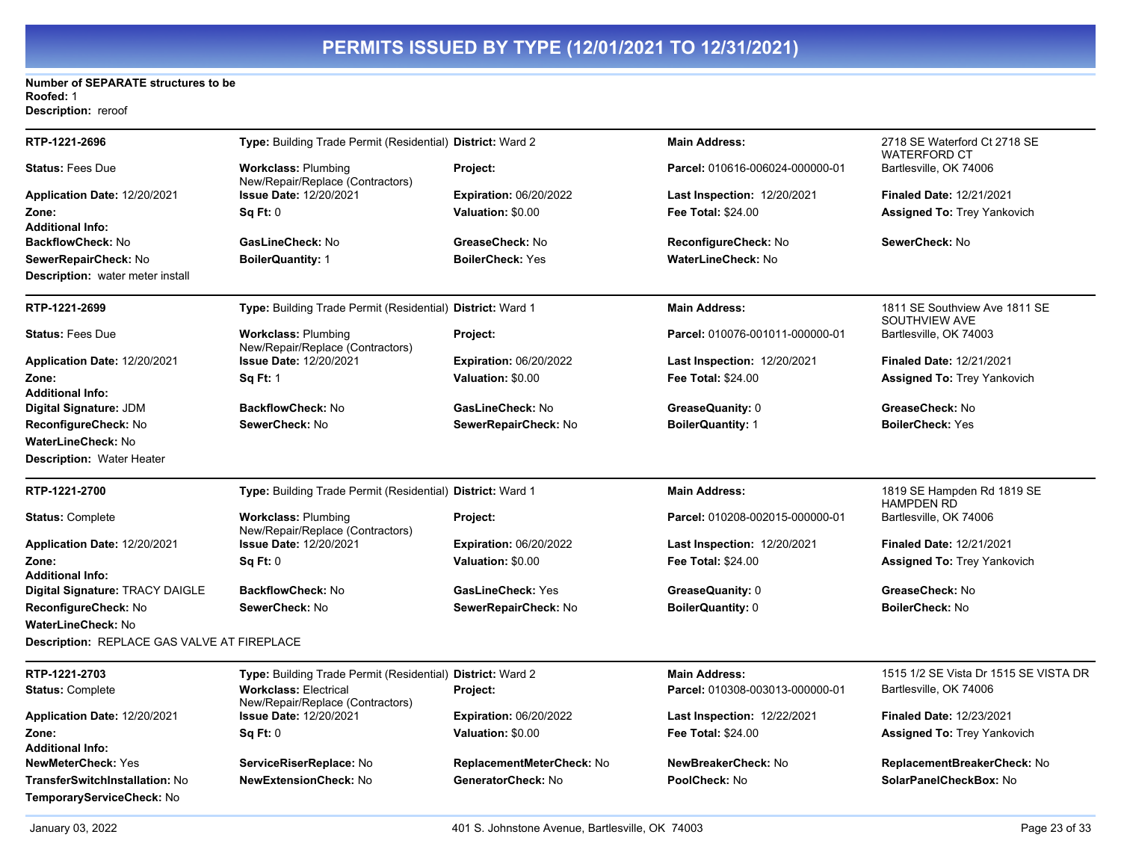#### **Number of SEPARATE structures to be Roofed:** 1 **Description:** reroof

| RTP-1221-2696                               | Type: Building Trade Permit (Residential) District: Ward 2       |                               | <b>Main Address:</b>               | 2718 SE Waterford Ct 2718 SE<br>WATERFORD CT    |
|---------------------------------------------|------------------------------------------------------------------|-------------------------------|------------------------------------|-------------------------------------------------|
| <b>Status: Fees Due</b>                     | <b>Workclass: Plumbing</b><br>New/Repair/Replace (Contractors)   | Project:                      | Parcel: 010616-006024-000000-01    | Bartlesville, OK 74006                          |
| Application Date: 12/20/2021                | <b>Issue Date: 12/20/2021</b>                                    | <b>Expiration: 06/20/2022</b> | Last Inspection: 12/20/2021        | <b>Finaled Date: 12/21/2021</b>                 |
| Zone:                                       | Sq Ft: 0                                                         | Valuation: \$0.00             | <b>Fee Total: \$24.00</b>          | <b>Assigned To: Trey Yankovich</b>              |
| <b>Additional Info:</b>                     |                                                                  |                               |                                    |                                                 |
| <b>BackflowCheck: No</b>                    | GasLineCheck: No                                                 | GreaseCheck: No               | ReconfigureCheck: No               | SewerCheck: No                                  |
| SewerRepairCheck: No                        | <b>BoilerQuantity: 1</b>                                         | <b>BoilerCheck: Yes</b>       | <b>WaterLineCheck: No</b>          |                                                 |
| Description: water meter install            |                                                                  |                               |                                    |                                                 |
| RTP-1221-2699                               | Type: Building Trade Permit (Residential) District: Ward 1       |                               | <b>Main Address:</b>               | 1811 SE Southview Ave 1811 SE<br>SOUTHVIEW AVE  |
| <b>Status: Fees Due</b>                     | <b>Workclass: Plumbing</b><br>New/Repair/Replace (Contractors)   | Project:                      | Parcel: 010076-001011-000000-01    | Bartlesville, OK 74003                          |
| <b>Application Date: 12/20/2021</b>         | <b>Issue Date: 12/20/2021</b>                                    | <b>Expiration: 06/20/2022</b> | <b>Last Inspection: 12/20/2021</b> | <b>Finaled Date: 12/21/2021</b>                 |
| Zone:                                       | <b>Sq Ft: 1</b>                                                  | Valuation: \$0.00             | <b>Fee Total: \$24.00</b>          | <b>Assigned To: Trey Yankovich</b>              |
| <b>Additional Info:</b>                     |                                                                  |                               |                                    |                                                 |
| Digital Signature: JDM                      | <b>BackflowCheck: No</b>                                         | GasLineCheck: No              | GreaseQuanity: 0                   | GreaseCheck: No                                 |
| <b>ReconfigureCheck:</b> No                 | SewerCheck: No                                                   | SewerRepairCheck: No          | <b>BoilerQuantity: 1</b>           | <b>BoilerCheck: Yes</b>                         |
| WaterLineCheck: No                          |                                                                  |                               |                                    |                                                 |
| <b>Description: Water Heater</b>            |                                                                  |                               |                                    |                                                 |
| RTP-1221-2700                               | Type: Building Trade Permit (Residential) District: Ward 1       |                               | <b>Main Address:</b>               | 1819 SE Hampden Rd 1819 SE<br><b>HAMPDEN RD</b> |
| <b>Status: Complete</b>                     | <b>Workclass: Plumbing</b><br>New/Repair/Replace (Contractors)   | Project:                      | Parcel: 010208-002015-000000-01    | Bartlesville, OK 74006                          |
| <b>Application Date: 12/20/2021</b>         | <b>Issue Date: 12/20/2021</b>                                    | <b>Expiration: 06/20/2022</b> | <b>Last Inspection: 12/20/2021</b> | <b>Finaled Date: 12/21/2021</b>                 |
| Zone:                                       | Sq Ft: 0                                                         | Valuation: \$0.00             | <b>Fee Total: \$24.00</b>          | <b>Assigned To: Trey Yankovich</b>              |
| <b>Additional Info:</b>                     |                                                                  |                               |                                    |                                                 |
| Digital Signature: TRACY DAIGLE             | <b>BackflowCheck: No</b>                                         | GasLineCheck: Yes             | GreaseQuanity: 0                   | GreaseCheck: No                                 |
| ReconfigureCheck: No                        | SewerCheck: No                                                   | SewerRepairCheck: No          | <b>BoilerQuantity: 0</b>           | <b>BoilerCheck: No</b>                          |
| WaterLineCheck: No                          |                                                                  |                               |                                    |                                                 |
| Description: REPLACE GAS VALVE AT FIREPLACE |                                                                  |                               |                                    |                                                 |
| RTP-1221-2703                               | Type: Building Trade Permit (Residential) District: Ward 2       |                               | <b>Main Address:</b>               | 1515 1/2 SE Vista Dr 1515 SE VISTA DR           |
| <b>Status: Complete</b>                     | <b>Workclass: Electrical</b><br>New/Repair/Replace (Contractors) | Project:                      | Parcel: 010308-003013-000000-01    | Bartlesville, OK 74006                          |
| Application Date: 12/20/2021                | Issue Date: 12/20/2021                                           | <b>Expiration: 06/20/2022</b> | Last Inspection: 12/22/2021        | <b>Finaled Date: 12/23/2021</b>                 |
| Zone:                                       | Sq Ft: 0                                                         | Valuation: \$0.00             | Fee Total: \$24.00                 | Assigned To: Trey Yankovich                     |
| <b>Additional Info:</b>                     |                                                                  |                               |                                    |                                                 |
| NewMeterCheck: Yes                          | ServiceRiserReplace: No                                          | ReplacementMeterCheck: No     | NewBreakerCheck: No                | ReplacementBreakerCheck: No                     |
| TransferSwitchInstallation: No              | <b>NewExtensionCheck: No</b>                                     | GeneratorCheck: No            | PoolCheck: No                      | SolarPanelCheckBox: No                          |
| TemporaryServiceCheck: No                   |                                                                  |                               |                                    |                                                 |
|                                             |                                                                  |                               |                                    |                                                 |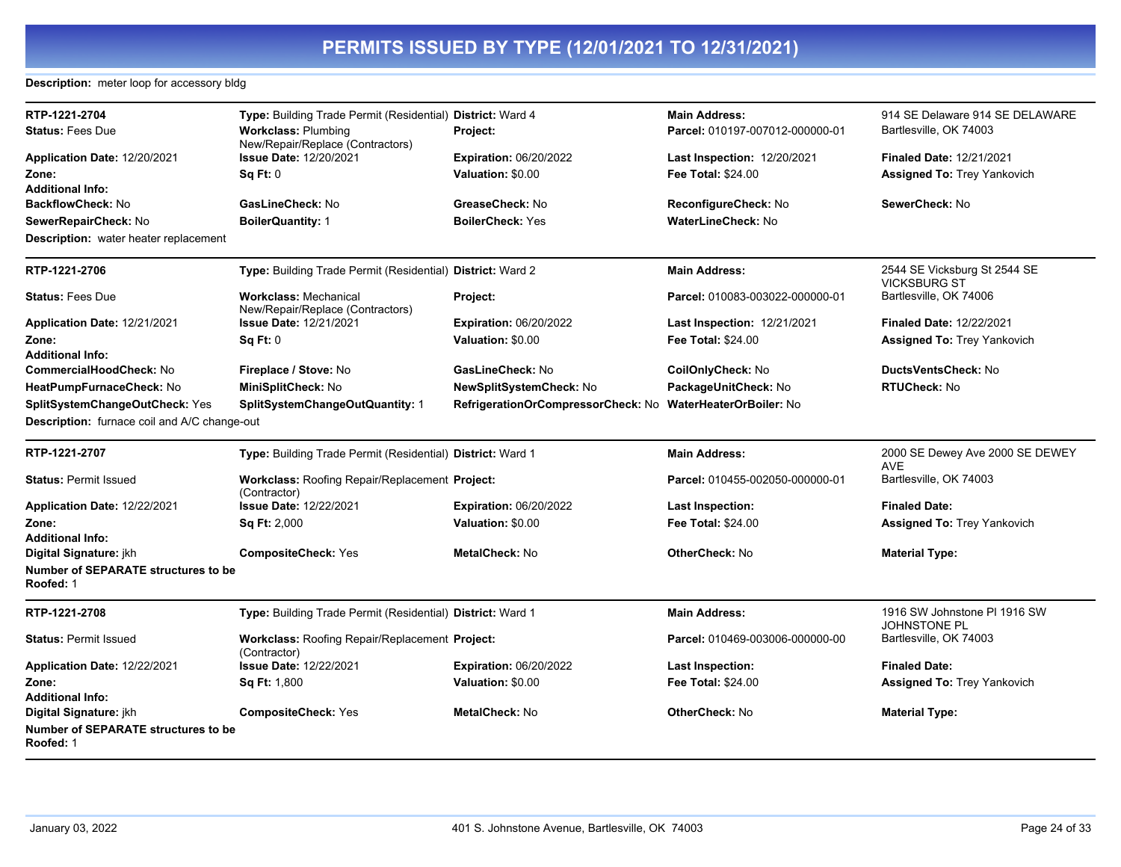## **Description:** meter loop for accessory bldg

| RTP-1221-2704                                           | Type: Building Trade Permit (Residential) District: Ward 4            |                                    | <b>Main Address:</b>               | 914 SE Delaware 914 SE DELAWARE                     |
|---------------------------------------------------------|-----------------------------------------------------------------------|------------------------------------|------------------------------------|-----------------------------------------------------|
| <b>Status: Fees Due</b>                                 | <b>Workclass: Plumbing</b><br>New/Repair/Replace (Contractors)        | Project:                           | Parcel: 010197-007012-000000-01    | Bartlesville, OK 74003                              |
| Application Date: 12/20/2021                            | <b>Issue Date: 12/20/2021</b>                                         | <b>Expiration: 06/20/2022</b>      | Last Inspection: 12/20/2021        | <b>Finaled Date: 12/21/2021</b>                     |
| Zone:                                                   | Sq Ft: 0                                                              | Valuation: \$0.00                  | <b>Fee Total: \$24.00</b>          | <b>Assigned To: Trey Yankovich</b>                  |
| <b>Additional Info:</b>                                 |                                                                       |                                    |                                    |                                                     |
| BackflowCheck: No                                       | GasLineCheck: No                                                      | GreaseCheck: No                    | ReconfigureCheck: No               | SewerCheck: No                                      |
| SewerRepairCheck: No                                    | <b>BoilerQuantity: 1</b>                                              | <b>BoilerCheck: Yes</b>            | WaterLineCheck: No                 |                                                     |
| <b>Description:</b> water heater replacement            |                                                                       |                                    |                                    |                                                     |
| RTP-1221-2706                                           | Type: Building Trade Permit (Residential) District: Ward 2            |                                    | <b>Main Address:</b>               | 2544 SE Vicksburg St 2544 SE<br><b>VICKSBURG ST</b> |
| <b>Status: Fees Due</b>                                 | <b>Workclass: Mechanical</b><br>New/Repair/Replace (Contractors)      | Project:                           | Parcel: 010083-003022-000000-01    | Bartlesville, OK 74006                              |
| Application Date: 12/21/2021                            | <b>Issue Date: 12/21/2021</b>                                         | <b>Expiration: 06/20/2022</b>      | <b>Last Inspection: 12/21/2021</b> | <b>Finaled Date: 12/22/2021</b>                     |
| Zone:                                                   | Sq Ft: 0                                                              | Valuation: \$0.00                  | Fee Total: \$24.00                 | <b>Assigned To: Trey Yankovich</b>                  |
| <b>Additional Info:</b>                                 |                                                                       |                                    |                                    |                                                     |
| CommercialHoodCheck: No                                 | Fireplace / Stove: No                                                 | GasLineCheck: No                   | CoilOnlyCheck: No                  | DuctsVentsCheck: No                                 |
| HeatPumpFurnaceCheck: No                                | MiniSplitCheck: No                                                    | NewSplitSystemCheck: No            | PackageUnitCheck: No               | <b>RTUCheck: No</b>                                 |
| SplitSystemChangeOutCheck: Yes                          | SplitSystemChangeOutQuantity: 1                                       | RefrigerationOrCompressorCheck: No | <b>WaterHeaterOrBoiler: No</b>     |                                                     |
| <b>Description:</b> furnace coil and A/C change-out     |                                                                       |                                    |                                    |                                                     |
|                                                         |                                                                       |                                    |                                    |                                                     |
| RTP-1221-2707                                           | Type: Building Trade Permit (Residential) District: Ward 1            |                                    | <b>Main Address:</b>               | 2000 SE Dewey Ave 2000 SE DEWEY<br><b>AVE</b>       |
| <b>Status: Permit Issued</b>                            | Workclass: Roofing Repair/Replacement Project:<br>(Contractor)        |                                    | Parcel: 010455-002050-000000-01    | Bartlesville, OK 74003                              |
| Application Date: 12/22/2021                            | <b>Issue Date: 12/22/2021</b>                                         | <b>Expiration: 06/20/2022</b>      | Last Inspection:                   | <b>Finaled Date:</b>                                |
| Zone:                                                   | <b>Sq Ft: 2,000</b>                                                   | Valuation: \$0.00                  | Fee Total: \$24.00                 | Assigned To: Trey Yankovich                         |
| <b>Additional Info:</b>                                 |                                                                       |                                    |                                    |                                                     |
| Digital Signature: jkh                                  | <b>CompositeCheck: Yes</b>                                            | MetalCheck: No                     | <b>OtherCheck: No</b>              | <b>Material Type:</b>                               |
| <b>Number of SEPARATE structures to be</b><br>Roofed: 1 |                                                                       |                                    |                                    |                                                     |
| RTP-1221-2708                                           | Type: Building Trade Permit (Residential) District: Ward 1            |                                    | <b>Main Address:</b>               | 1916 SW Johnstone PI 1916 SW                        |
| <b>Status: Permit Issued</b>                            | <b>Workclass: Roofing Repair/Replacement Project:</b><br>(Contractor) |                                    | Parcel: 010469-003006-000000-00    | <b>JOHNSTONE PL</b><br>Bartlesville, OK 74003       |
| Application Date: 12/22/2021                            | <b>Issue Date: 12/22/2021</b>                                         | <b>Expiration: 06/20/2022</b>      | <b>Last Inspection:</b>            | <b>Finaled Date:</b>                                |
| Zone:                                                   | <b>Sq Ft: 1,800</b>                                                   | Valuation: \$0.00                  | <b>Fee Total: \$24.00</b>          | <b>Assigned To: Trey Yankovich</b>                  |
| <b>Additional Info:</b>                                 |                                                                       |                                    |                                    |                                                     |
| Digital Signature: jkh                                  | <b>CompositeCheck: Yes</b>                                            | MetalCheck: No                     | <b>OtherCheck: No</b>              | <b>Material Type:</b>                               |
| <b>Number of SEPARATE structures to be</b><br>Roofed: 1 |                                                                       |                                    |                                    |                                                     |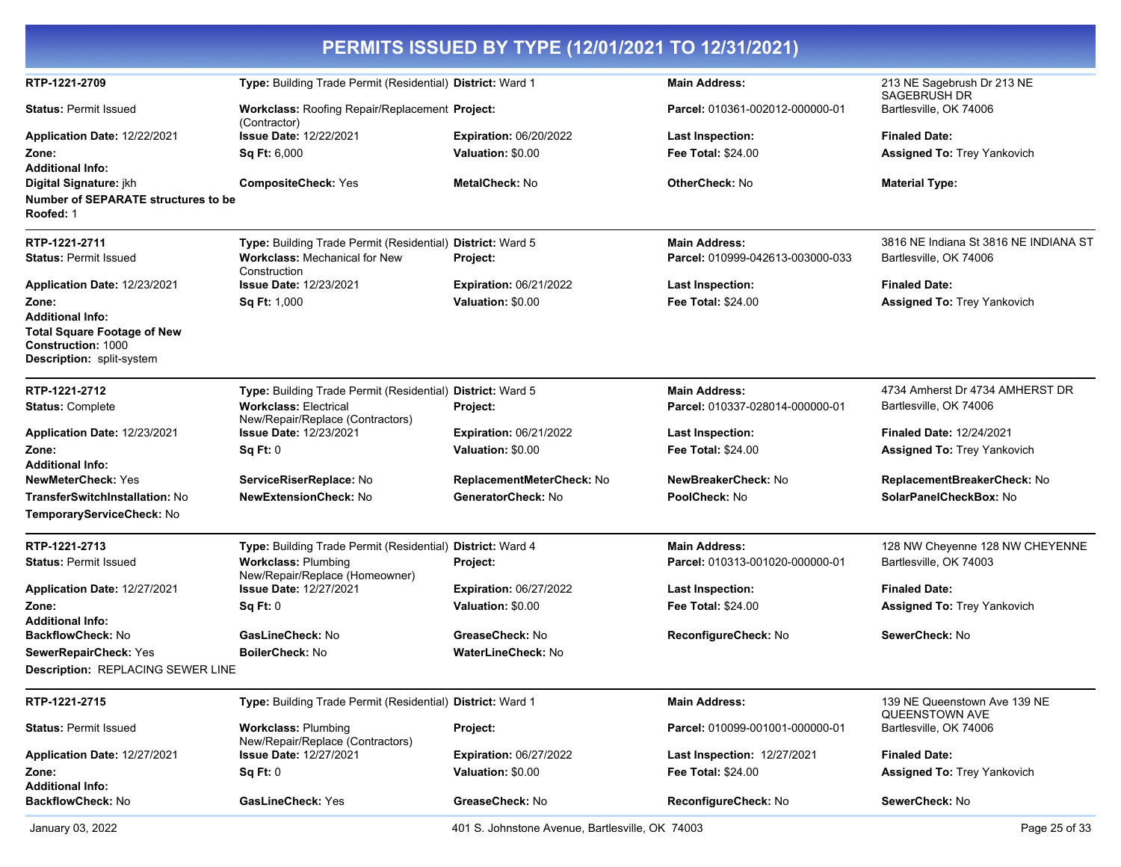|                                                                                                                                                                         |                                                                                                                                | PERMITS ISSUED BY TYPE (12/01/2021 TO 12/31/2021)  |                                                          |                                                                 |
|-------------------------------------------------------------------------------------------------------------------------------------------------------------------------|--------------------------------------------------------------------------------------------------------------------------------|----------------------------------------------------|----------------------------------------------------------|-----------------------------------------------------------------|
| RTP-1221-2709                                                                                                                                                           | Type: Building Trade Permit (Residential) District: Ward 1                                                                     |                                                    | <b>Main Address:</b>                                     | 213 NE Sagebrush Dr 213 NE<br>SAGEBRUSH DR                      |
| <b>Status: Permit Issued</b>                                                                                                                                            | Workclass: Roofing Repair/Replacement Project:                                                                                 |                                                    | Parcel: 010361-002012-000000-01                          | Bartlesville, OK 74006                                          |
| Application Date: 12/22/2021<br>Zone:                                                                                                                                   | (Contractor)<br>Issue Date: 12/22/2021<br>Sq Ft: 6,000                                                                         | <b>Expiration: 06/20/2022</b><br>Valuation: \$0.00 | <b>Last Inspection:</b><br><b>Fee Total: \$24.00</b>     | <b>Finaled Date:</b><br>Assigned To: Trey Yankovich             |
| <b>Additional Info:</b><br>Digital Signature: jkh<br>Number of SEPARATE structures to be<br>Roofed: 1                                                                   | <b>CompositeCheck: Yes</b>                                                                                                     | <b>MetalCheck: No</b>                              | <b>OtherCheck: No</b>                                    | <b>Material Type:</b>                                           |
| RTP-1221-2711<br><b>Status: Permit Issued</b>                                                                                                                           | Type: Building Trade Permit (Residential) District: Ward 5<br><b>Workclass: Mechanical for New</b><br>Construction             | Project:                                           | <b>Main Address:</b><br>Parcel: 010999-042613-003000-033 | 3816 NE Indiana St 3816 NE INDIANA ST<br>Bartlesville, OK 74006 |
| Application Date: 12/23/2021<br>Zone:<br><b>Additional Info:</b><br><b>Total Square Footage of New</b><br><b>Construction: 1000</b><br><b>Description:</b> split-system | <b>Issue Date: 12/23/2021</b><br>Sq Ft: 1,000                                                                                  | <b>Expiration: 06/21/2022</b><br>Valuation: \$0.00 | <b>Last Inspection:</b><br><b>Fee Total: \$24.00</b>     | <b>Finaled Date:</b><br><b>Assigned To: Trey Yankovich</b>      |
| RTP-1221-2712<br><b>Status: Complete</b>                                                                                                                                | Type: Building Trade Permit (Residential) District: Ward 5<br><b>Workclass: Electrical</b><br>New/Repair/Replace (Contractors) | Project:                                           | <b>Main Address:</b><br>Parcel: 010337-028014-000000-01  | 4734 Amherst Dr 4734 AMHERST DR<br>Bartlesville, OK 74006       |
| Application Date: 12/23/2021                                                                                                                                            | <b>Issue Date: 12/23/2021</b>                                                                                                  | <b>Expiration: 06/21/2022</b>                      | <b>Last Inspection:</b>                                  | <b>Finaled Date: 12/24/2021</b>                                 |
| Zone:<br><b>Additional Info:</b>                                                                                                                                        | Sq Ft: 0                                                                                                                       | Valuation: \$0.00                                  | <b>Fee Total: \$24.00</b>                                | <b>Assigned To: Trey Yankovich</b>                              |
| <b>NewMeterCheck: Yes</b>                                                                                                                                               | ServiceRiserReplace: No                                                                                                        | ReplacementMeterCheck: No                          | NewBreakerCheck: No                                      | ReplacementBreakerCheck: No                                     |
| TransferSwitchInstallation: No<br>TemporaryServiceCheck: No                                                                                                             | <b>NewExtensionCheck: No</b>                                                                                                   | GeneratorCheck: No                                 | PoolCheck: No                                            | SolarPanelCheckBox: No                                          |
| RTP-1221-2713                                                                                                                                                           | Type: Building Trade Permit (Residential) District: Ward 4                                                                     |                                                    | <b>Main Address:</b>                                     | 128 NW Cheyenne 128 NW CHEYENNE                                 |
| <b>Status: Permit Issued</b>                                                                                                                                            | <b>Workclass: Plumbing</b><br>New/Repair/Replace (Homeowner)                                                                   | Project:                                           | Parcel: 010313-001020-000000-01                          | Bartlesville, OK 74003                                          |
| Application Date: 12/27/2021                                                                                                                                            | <b>Issue Date: 12/27/2021</b>                                                                                                  | <b>Expiration: 06/27/2022</b>                      | <b>Last Inspection:</b>                                  | <b>Finaled Date:</b>                                            |
| Zone:<br><b>Additional Info:</b>                                                                                                                                        | Sq Ft: 0                                                                                                                       | Valuation: \$0.00                                  | <b>Fee Total: \$24.00</b>                                | <b>Assigned To: Trey Yankovich</b>                              |
| <b>BackflowCheck: No</b>                                                                                                                                                | GasLineCheck: No                                                                                                               | GreaseCheck: No                                    | ReconfigureCheck: No                                     | SewerCheck: No                                                  |
| SewerRepairCheck: Yes                                                                                                                                                   | BoilerCheck: No                                                                                                                | <b>WaterLineCheck: No</b>                          |                                                          |                                                                 |
| Description: REPLACING SEWER LINE                                                                                                                                       |                                                                                                                                |                                                    |                                                          |                                                                 |
| RTP-1221-2715                                                                                                                                                           | Type: Building Trade Permit (Residential) District: Ward 1                                                                     |                                                    | <b>Main Address:</b>                                     | 139 NE Queenstown Ave 139 NE<br>QUEENSTOWN AVE                  |
| <b>Status: Permit Issued</b>                                                                                                                                            | <b>Workclass: Plumbing</b><br>New/Repair/Replace (Contractors)                                                                 | Project:                                           | Parcel: 010099-001001-000000-01                          | Bartlesville, OK 74006                                          |
| <b>Application Date: 12/27/2021</b>                                                                                                                                     | <b>Issue Date: 12/27/2021</b>                                                                                                  | <b>Expiration: 06/27/2022</b>                      | <b>Last Inspection: 12/27/2021</b>                       | <b>Finaled Date:</b>                                            |
| Zone:                                                                                                                                                                   | Sq Ft: 0                                                                                                                       | Valuation: \$0.00                                  | Fee Total: \$24.00                                       | <b>Assigned To: Trey Yankovich</b>                              |
| <b>Additional Info:</b><br>BackflowCheck: No                                                                                                                            | GasLineCheck: Yes                                                                                                              | GreaseCheck: No                                    | ReconfigureCheck: No                                     | SewerCheck: No                                                  |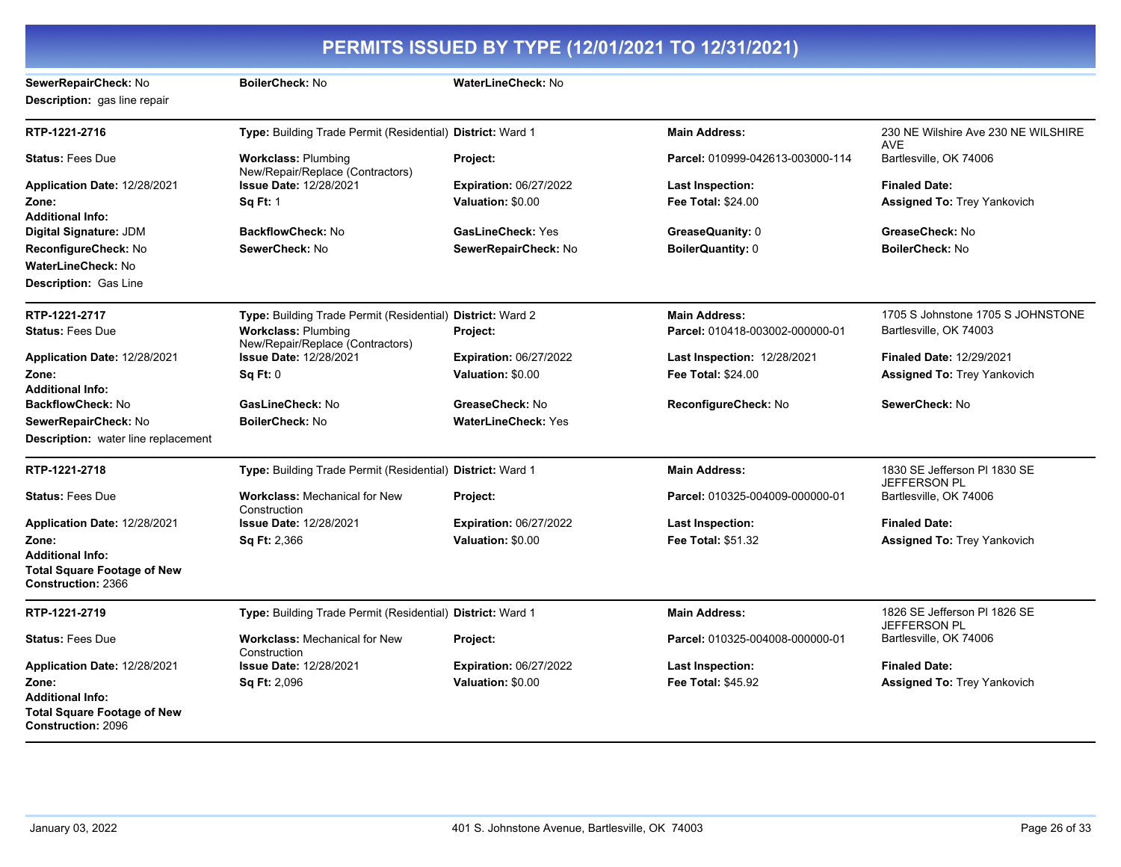|                                                                                            |                                                                |                               | PERMITS ISSUED BY TYPE (12/01/2021 TO 12/31/2021) |                                                     |
|--------------------------------------------------------------------------------------------|----------------------------------------------------------------|-------------------------------|---------------------------------------------------|-----------------------------------------------------|
| SewerRepairCheck: No<br>Description: gas line repair                                       | BoilerCheck: No                                                | WaterLineCheck: No            |                                                   |                                                     |
| RTP-1221-2716                                                                              | Type: Building Trade Permit (Residential) District: Ward 1     |                               | <b>Main Address:</b>                              | 230 NE Wilshire Ave 230 NE WILSHIRE<br><b>AVE</b>   |
| <b>Status: Fees Due</b>                                                                    | <b>Workclass: Plumbing</b><br>New/Repair/Replace (Contractors) | Project:                      | Parcel: 010999-042613-003000-114                  | Bartlesville, OK 74006                              |
| Application Date: 12/28/2021                                                               | <b>Issue Date: 12/28/2021</b>                                  | <b>Expiration: 06/27/2022</b> | Last Inspection:                                  | <b>Finaled Date:</b>                                |
| Zone:<br><b>Additional Info:</b>                                                           | <b>Sq Ft: 1</b>                                                | Valuation: \$0.00             | <b>Fee Total: \$24.00</b>                         | <b>Assigned To: Trey Yankovich</b>                  |
| Digital Signature: JDM                                                                     | <b>BackflowCheck: No</b>                                       | <b>GasLineCheck: Yes</b>      | GreaseQuanity: 0                                  | GreaseCheck: No                                     |
| ReconfigureCheck: No                                                                       | SewerCheck: No                                                 | SewerRepairCheck: No          | <b>BoilerQuantity: 0</b>                          | <b>BoilerCheck: No</b>                              |
| WaterLineCheck: No                                                                         |                                                                |                               |                                                   |                                                     |
| <b>Description: Gas Line</b>                                                               |                                                                |                               |                                                   |                                                     |
| RTP-1221-2717                                                                              | Type: Building Trade Permit (Residential) District: Ward 2     |                               | <b>Main Address:</b>                              | 1705 S Johnstone 1705 S JOHNSTONE                   |
| <b>Status: Fees Due</b>                                                                    | <b>Workclass: Plumbing</b><br>New/Repair/Replace (Contractors) | Project:                      | Parcel: 010418-003002-000000-01                   | Bartlesville, OK 74003                              |
| Application Date: 12/28/2021                                                               | <b>Issue Date: 12/28/2021</b>                                  | <b>Expiration: 06/27/2022</b> | <b>Last Inspection: 12/28/2021</b>                | Finaled Date: 12/29/2021                            |
| Zone:                                                                                      | Sq Ft: 0                                                       | Valuation: \$0.00             | Fee Total: \$24.00                                | <b>Assigned To: Trey Yankovich</b>                  |
| <b>Additional Info:</b>                                                                    |                                                                |                               |                                                   |                                                     |
| <b>BackflowCheck: No</b>                                                                   | GasLineCheck: No                                               | GreaseCheck: No               | ReconfigureCheck: No                              | SewerCheck: No                                      |
| SewerRepairCheck: No                                                                       | <b>BoilerCheck: No</b>                                         | <b>WaterLineCheck: Yes</b>    |                                                   |                                                     |
| <b>Description:</b> water line replacement                                                 |                                                                |                               |                                                   |                                                     |
| RTP-1221-2718                                                                              | Type: Building Trade Permit (Residential) District: Ward 1     |                               | <b>Main Address:</b>                              | 1830 SE Jefferson PI 1830 SE<br><b>JEFFERSON PL</b> |
| <b>Status: Fees Due</b>                                                                    | <b>Workclass: Mechanical for New</b><br>Construction           | Project:                      | Parcel: 010325-004009-000000-01                   | Bartlesville, OK 74006                              |
| Application Date: 12/28/2021                                                               | <b>Issue Date: 12/28/2021</b>                                  | <b>Expiration: 06/27/2022</b> | Last Inspection:                                  | <b>Finaled Date:</b>                                |
| Zone:                                                                                      | <b>Sq Ft: 2,366</b>                                            | Valuation: \$0.00             | Fee Total: \$51.32                                | <b>Assigned To: Trey Yankovich</b>                  |
| <b>Additional Info:</b><br><b>Total Square Footage of New</b><br><b>Construction: 2366</b> |                                                                |                               |                                                   |                                                     |
| RTP-1221-2719                                                                              | Type: Building Trade Permit (Residential) District: Ward 1     |                               | <b>Main Address:</b>                              | 1826 SE Jefferson PI 1826 SE                        |
| <b>Status: Fees Due</b>                                                                    | <b>Workclass: Mechanical for New</b><br>Construction           | Project:                      | Parcel: 010325-004008-000000-01                   | JEFFERSON PL<br>Bartlesville, OK 74006              |
| Application Date: 12/28/2021                                                               | <b>Issue Date: 12/28/2021</b>                                  | <b>Expiration: 06/27/2022</b> | Last Inspection:                                  | <b>Finaled Date:</b>                                |
| Zone:                                                                                      | <b>Sq Ft: 2,096</b>                                            | Valuation: \$0.00             | Fee Total: \$45.92                                | <b>Assigned To: Trey Yankovich</b>                  |
| <b>Additional Info:</b><br><b>Total Square Footage of New</b><br><b>Construction: 2096</b> |                                                                |                               |                                                   |                                                     |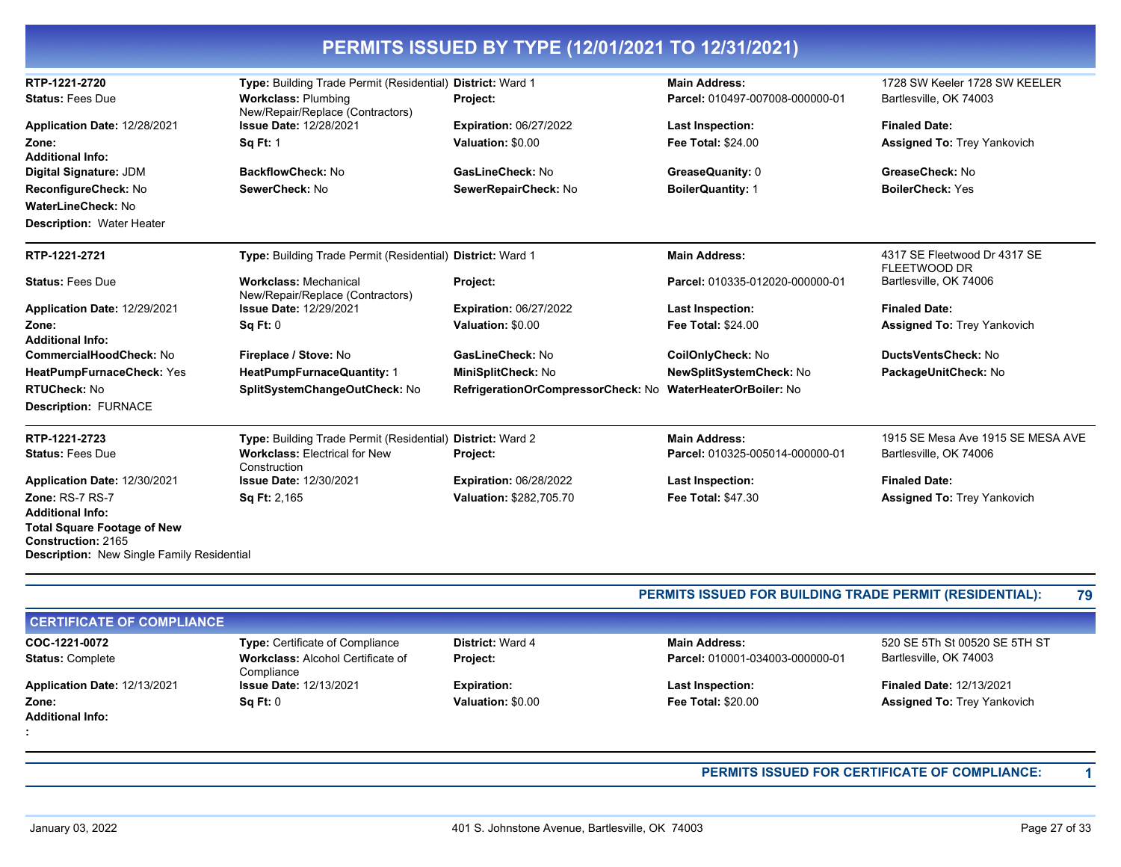| RTP-1221-2720                                                           | Type: Building Trade Permit (Residential)                        | <b>District: Ward 1</b>            | <b>Main Address:</b>            | 1728 SW Keeler 1728 SW KEELER                       |
|-------------------------------------------------------------------------|------------------------------------------------------------------|------------------------------------|---------------------------------|-----------------------------------------------------|
| <b>Status: Fees Due</b>                                                 | <b>Workclass: Plumbing</b><br>New/Repair/Replace (Contractors)   | Project:                           | Parcel: 010497-007008-000000-01 | Bartlesville, OK 74003                              |
| Application Date: 12/28/2021                                            | <b>Issue Date: 12/28/2021</b>                                    | <b>Expiration: 06/27/2022</b>      | <b>Last Inspection:</b>         | <b>Finaled Date:</b>                                |
| Zone:                                                                   | <b>Sq Ft: 1</b>                                                  | Valuation: \$0.00                  | <b>Fee Total: \$24.00</b>       | <b>Assigned To: Trey Yankovich</b>                  |
| <b>Additional Info:</b>                                                 |                                                                  |                                    |                                 |                                                     |
| Digital Signature: JDM                                                  | BackflowCheck: No                                                | GasLineCheck: No                   | GreaseQuanity: 0                | GreaseCheck: No                                     |
| ReconfigureCheck: No                                                    | SewerCheck: No                                                   | SewerRepairCheck: No               | <b>BoilerQuantity: 1</b>        | <b>BoilerCheck: Yes</b>                             |
| <b>WaterLineCheck: No</b>                                               |                                                                  |                                    |                                 |                                                     |
| <b>Description: Water Heater</b>                                        |                                                                  |                                    |                                 |                                                     |
| RTP-1221-2721                                                           | Type: Building Trade Permit (Residential) District: Ward 1       |                                    | <b>Main Address:</b>            | 4317 SE Fleetwood Dr 4317 SE<br><b>FLEETWOOD DR</b> |
| <b>Status: Fees Due</b>                                                 | <b>Workclass: Mechanical</b><br>New/Repair/Replace (Contractors) | Project:                           | Parcel: 010335-012020-000000-01 | Bartlesville, OK 74006                              |
| Application Date: 12/29/2021                                            | <b>Issue Date: 12/29/2021</b>                                    | <b>Expiration: 06/27/2022</b>      | <b>Last Inspection:</b>         | <b>Finaled Date:</b>                                |
| Zone:                                                                   | <b>Sq Ft: 0</b>                                                  | Valuation: \$0.00                  | <b>Fee Total: \$24.00</b>       | <b>Assigned To: Trey Yankovich</b>                  |
| <b>Additional Info:</b>                                                 |                                                                  |                                    |                                 |                                                     |
| CommercialHoodCheck: No                                                 | Fireplace / Stove: No                                            | GasLineCheck: No                   | CoilOnlyCheck: No               | DuctsVentsCheck: No                                 |
| HeatPumpFurnaceCheck: Yes                                               | HeatPumpFurnaceQuantity: 1                                       | MiniSplitCheck: No                 | NewSplitSystemCheck: No         | PackageUnitCheck: No                                |
| <b>RTUCheck: No</b>                                                     | SplitSystemChangeOutCheck: No                                    | RefrigerationOrCompressorCheck: No | <b>WaterHeaterOrBoiler: No</b>  |                                                     |
| <b>Description: FURNACE</b>                                             |                                                                  |                                    |                                 |                                                     |
| RTP-1221-2723                                                           | Type: Building Trade Permit (Residential) District: Ward 2       |                                    | <b>Main Address:</b>            | 1915 SE Mesa Ave 1915 SE MESA AVE                   |
| <b>Status: Fees Due</b>                                                 | <b>Workclass: Electrical for New</b><br>Construction             | Project:                           | Parcel: 010325-005014-000000-01 | Bartlesville, OK 74006                              |
| Application Date: 12/30/2021                                            | <b>Issue Date: 12/30/2021</b>                                    | <b>Expiration: 06/28/2022</b>      | <b>Last Inspection:</b>         | <b>Finaled Date:</b>                                |
| Zone: RS-7 RS-7                                                         | Sq Ft: 2,165                                                     | Valuation: \$282,705.70            | Fee Total: \$47.30              | <b>Assigned To: Trey Yankovich</b>                  |
| <b>Additional Info:</b>                                                 |                                                                  |                                    |                                 |                                                     |
| <b>Total Square Footage of New</b>                                      |                                                                  |                                    |                                 |                                                     |
| Construction: 2165<br><b>Description:</b> New Single Family Residential |                                                                  |                                    |                                 |                                                     |

## **PERMITS ISSUED FOR BUILDING TRADE PERMIT (RESIDENTIAL): 79**

| <b>CERTIFICATE OF COMPLIANCE</b> |                                                        |                         |                                 |                                    |
|----------------------------------|--------------------------------------------------------|-------------------------|---------------------------------|------------------------------------|
| COC-1221-0072                    | <b>Type: Certificate of Compliance</b>                 | <b>District: Ward 4</b> | <b>Main Address:</b>            | 520 SE 5Th St 00520 SE 5TH ST      |
| <b>Status: Complete</b>          | <b>Workclass: Alcohol Certificate of</b><br>Compliance | <b>Project:</b>         | Parcel: 010001-034003-000000-01 | Bartlesville, OK 74003             |
| Application Date: 12/13/2021     | <b>Issue Date: 12/13/2021</b>                          | <b>Expiration:</b>      | <b>Last Inspection:</b>         | <b>Finaled Date: 12/13/2021</b>    |
| Zone:                            | Sq Ft: 0                                               | Valuation: \$0.00       | <b>Fee Total: \$20.00</b>       | <b>Assigned To: Trey Yankovich</b> |
| <b>Additional Info:</b>          |                                                        |                         |                                 |                                    |
|                                  |                                                        |                         |                                 |                                    |

**PERMITS ISSUED FOR CERTIFICATE OF COMPLIANCE: 1**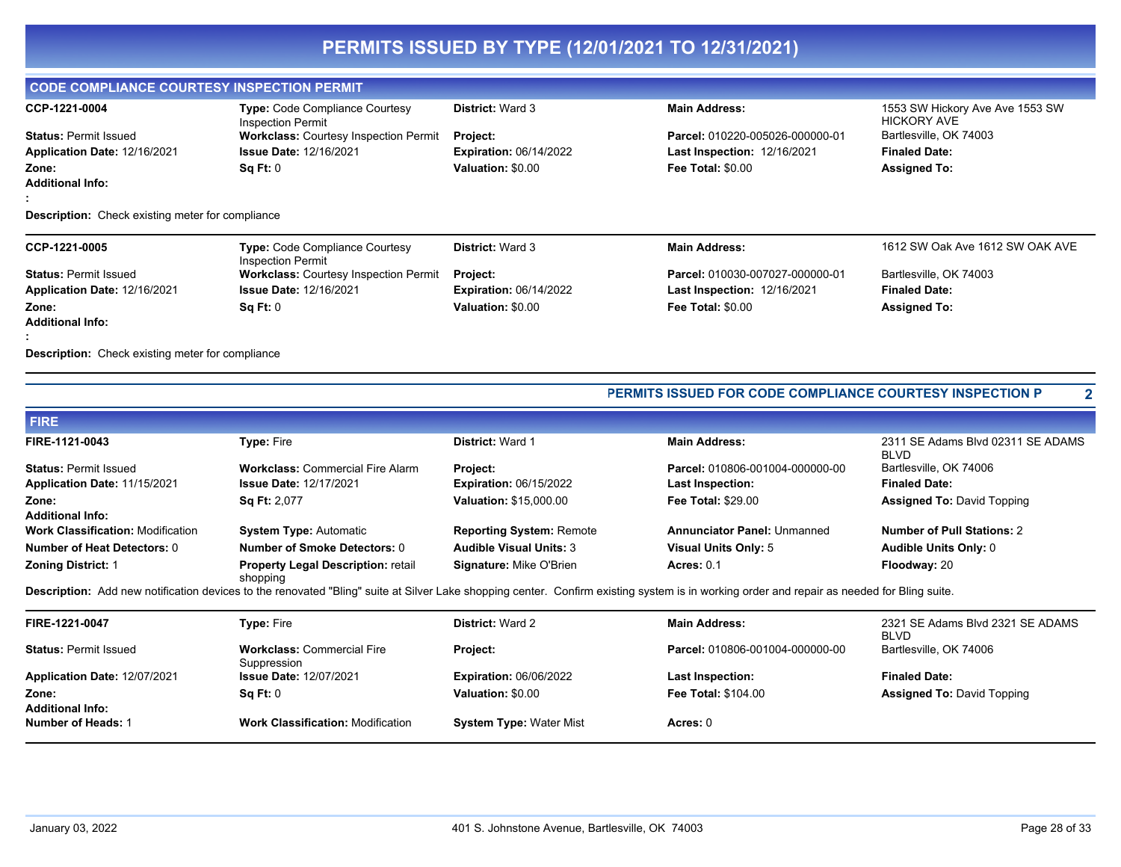## **CODE COMPLIANCE COURTESY INSPECTION PERMIT**

| CCP-1221-0004                | <b>Type: Code Compliance Courtesy</b><br>Inspection Permit | <b>District: Ward 3</b>       | <b>Main Address:</b>               | 1553 SW Hickory Ave Ave 1553 SW<br>HICKORY AVE |
|------------------------------|------------------------------------------------------------|-------------------------------|------------------------------------|------------------------------------------------|
| <b>Status: Permit Issued</b> | <b>Workclass: Courtesy Inspection Permit</b>               | <b>Project:</b>               | Parcel: 010220-005026-000000-01    | Bartlesville, OK 74003                         |
| Application Date: 12/16/2021 | <b>Issue Date: 12/16/2021</b>                              | <b>Expiration: 06/14/2022</b> | <b>Last Inspection: 12/16/2021</b> | <b>Finaled Date:</b>                           |
| Zone:                        | Sq Ft: 0                                                   | Valuation: \$0.00             | <b>Fee Total: \$0.00</b>           | <b>Assigned To:</b>                            |
| <b>Additional Info:</b>      |                                                            |                               |                                    |                                                |
|                              |                                                            |                               |                                    |                                                |

#### **Description:** Check existing meter for compliance

| CCP-1221-0005                | <b>Type: Code Compliance Courtesy</b><br><b>Inspection Permit</b> | <b>District: Ward 3</b>       | <b>Main Address:</b>               | 1612 SW Oak Ave 1612 SW OAK AVE |
|------------------------------|-------------------------------------------------------------------|-------------------------------|------------------------------------|---------------------------------|
| <b>Status: Permit Issued</b> | <b>Workclass: Courtesy Inspection Permit</b>                      | <b>Project:</b>               | Parcel: 010030-007027-000000-01    | Bartlesville, OK 74003          |
| Application Date: 12/16/2021 | <b>Issue Date: 12/16/2021</b>                                     | <b>Expiration: 06/14/2022</b> | <b>Last Inspection: 12/16/2021</b> | <b>Finaled Date:</b>            |
| Zone:                        | SqFt:0                                                            | Valuation: \$0.00             | <b>Fee Total: \$0.00</b>           | <b>Assigned To:</b>             |
| <b>Additional Info:</b>      |                                                                   |                               |                                    |                                 |
|                              |                                                                   |                               |                                    |                                 |

**Description:** Check existing meter for compliance

#### **PERMITS ISSUED FOR CODE COMPLIANCE COURTESY INSPECTION P 2**

| <b>FIRE</b>                              |                                                       |                                 |                                    |                                                  |
|------------------------------------------|-------------------------------------------------------|---------------------------------|------------------------------------|--------------------------------------------------|
| FIRE-1121-0043                           | <b>Type: Fire</b>                                     | <b>District: Ward 1</b>         | <b>Main Address:</b>               | 2311 SE Adams Blvd 02311 SE ADAMS<br><b>BLVD</b> |
| <b>Status: Permit Issued</b>             | <b>Workclass: Commercial Fire Alarm</b>               | <b>Project:</b>                 | Parcel: 010806-001004-000000-00    | Bartlesville, OK 74006                           |
| Application Date: 11/15/2021             | <b>Issue Date: 12/17/2021</b>                         | <b>Expiration: 06/15/2022</b>   | <b>Last Inspection:</b>            | <b>Finaled Date:</b>                             |
| Zone:                                    | <b>Sq Ft: 2,077</b>                                   | <b>Valuation: \$15,000.00</b>   | <b>Fee Total: \$29.00</b>          | <b>Assigned To: David Topping</b>                |
| <b>Additional Info:</b>                  |                                                       |                                 |                                    |                                                  |
| <b>Work Classification: Modification</b> | <b>System Type: Automatic</b>                         | <b>Reporting System: Remote</b> | <b>Annunciator Panel: Unmanned</b> | <b>Number of Pull Stations: 2</b>                |
| <b>Number of Heat Detectors: 0</b>       | Number of Smoke Detectors: 0                          | <b>Audible Visual Units: 3</b>  | Visual Units Only: 5               | <b>Audible Units Only: 0</b>                     |
| <b>Zoning District: 1</b>                | <b>Property Legal Description: retail</b><br>shopping | <b>Signature: Mike O'Brien</b>  | <b>Acres: 0.1</b>                  | Floodway: 20                                     |

Description: Add new notification devices to the renovated "Bling" suite at Silver Lake shopping center. Confirm existing system is in working order and repair as needed for Bling suite.

| FIRE-1221-0047                   | <b>Type: Fire</b>                                | <b>District: Ward 2</b>        | <b>Main Address:</b>            | 2321 SE Adams Blvd 2321 SE ADAMS<br><b>BLVD</b> |
|----------------------------------|--------------------------------------------------|--------------------------------|---------------------------------|-------------------------------------------------|
| <b>Status: Permit Issued</b>     | <b>Workclass: Commercial Fire</b><br>Suppression | <b>Project:</b>                | Parcel: 010806-001004-000000-00 | Bartlesville, OK 74006                          |
| Application Date: 12/07/2021     | <b>Issue Date: 12/07/2021</b>                    | <b>Expiration: 06/06/2022</b>  | <b>Last Inspection:</b>         | <b>Finaled Date:</b>                            |
| Zone:<br><b>Additional Info:</b> | Sq Ft: 0                                         | Valuation: \$0.00              | <b>Fee Total: \$104.00</b>      | <b>Assigned To: David Topping</b>               |
| Number of Heads: 1               | <b>Work Classification: Modification</b>         | <b>System Type: Water Mist</b> | Acres: 0                        |                                                 |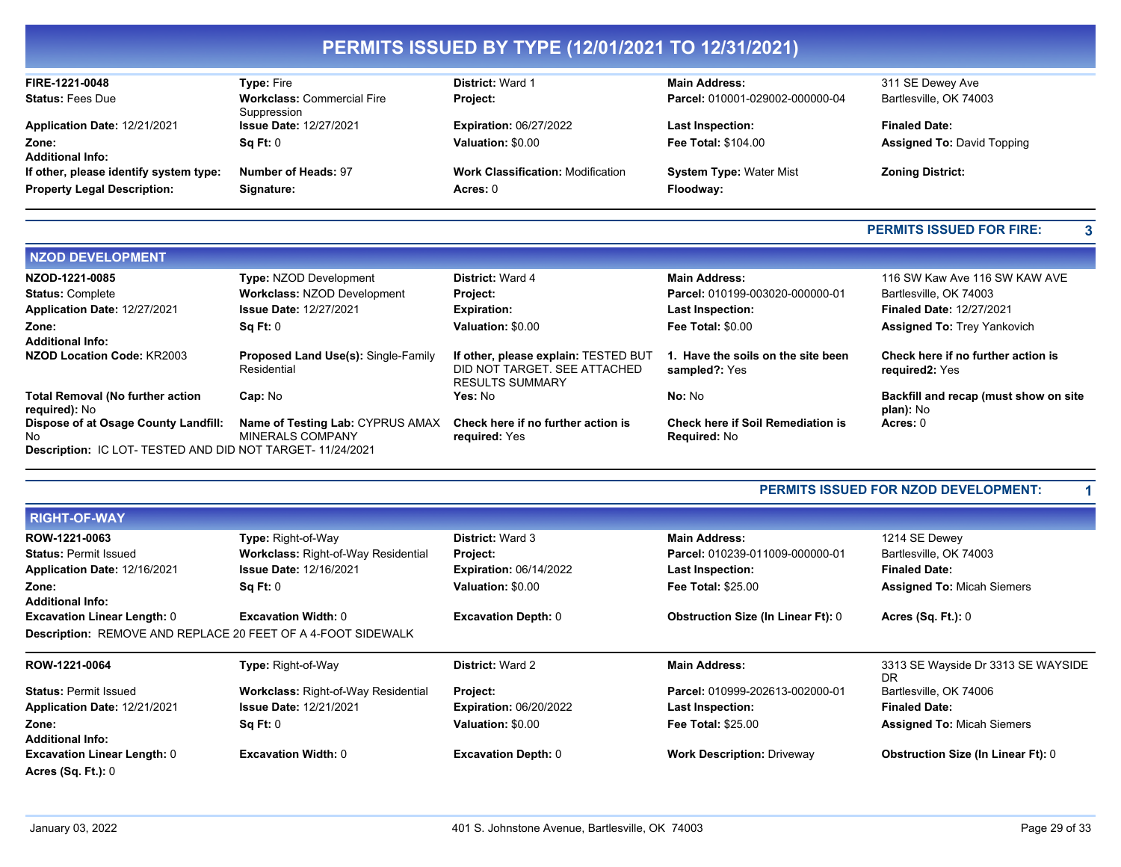| FIRE-1221-0048                         | <b>Type: Fire</b>                                | <b>District: Ward 1</b>                  | <b>Main Address:</b>            | 311 SE Dewey Ave                  |
|----------------------------------------|--------------------------------------------------|------------------------------------------|---------------------------------|-----------------------------------|
| <b>Status: Fees Due</b>                | <b>Workclass: Commercial Fire</b><br>Suppression | Project:                                 | Parcel: 010001-029002-000000-04 | Bartlesville, OK 74003            |
| Application Date: 12/21/2021           | <b>Issue Date: 12/27/2021</b>                    | <b>Expiration: 06/27/2022</b>            | <b>Last Inspection:</b>         | <b>Finaled Date:</b>              |
| Zone:<br><b>Additional Info:</b>       | Sq Ft: 0                                         | Valuation: \$0.00                        | <b>Fee Total: \$104.00</b>      | <b>Assigned To: David Topping</b> |
| If other, please identify system type: | Number of Heads: 97                              | <b>Work Classification: Modification</b> | <b>System Type: Water Mist</b>  | <b>Zoning District:</b>           |
| <b>Property Legal Description:</b>     | Signature:                                       | Acres: 0                                 | Floodway:                       |                                   |

## **PERMITS ISSUED FOR FIRE: 3**

| <b>NZOD DEVELOPMENT</b>                                                                                   |                                                             |                                                                                                |                                                                 |                                                      |
|-----------------------------------------------------------------------------------------------------------|-------------------------------------------------------------|------------------------------------------------------------------------------------------------|-----------------------------------------------------------------|------------------------------------------------------|
| NZOD-1221-0085                                                                                            | <b>Type: NZOD Development</b>                               | <b>District: Ward 4</b>                                                                        | <b>Main Address:</b>                                            | 116 SW Kaw Ave 116 SW KAW AVE                        |
| <b>Status: Complete</b>                                                                                   | <b>Workclass: NZOD Development</b>                          | Project:                                                                                       | Parcel: 010199-003020-000000-01                                 | Bartlesville, OK 74003                               |
| Application Date: 12/27/2021                                                                              | <b>Issue Date: 12/27/2021</b>                               | <b>Expiration:</b>                                                                             | <b>Last Inspection:</b>                                         | <b>Finaled Date: 12/27/2021</b>                      |
| Zone:<br><b>Additional Info:</b>                                                                          | Sq Ft: 0                                                    | Valuation: \$0.00                                                                              | Fee Total: \$0.00                                               | <b>Assigned To: Trey Yankovich</b>                   |
| NZOD Location Code: KR2003                                                                                | <b>Proposed Land Use(s): Single-Family</b><br>Residential   | If other, please explain: TESTED BUT<br>DID NOT TARGET. SEE ATTACHED<br><b>RESULTS SUMMARY</b> | 1. Have the soils on the site been<br>sampled?: Yes             | Check here if no further action is<br>required2: Yes |
| <b>Total Removal (No further action</b><br>required): No                                                  | Cap: No                                                     | Yes: No                                                                                        | No: No                                                          | Backfill and recap (must show on site<br>plan): No   |
| Dispose of at Osage County Landfill:<br>No.<br>Description: IC LOT- TESTED AND DID NOT TARGET- 11/24/2021 | Name of Testing Lab: CYPRUS AMAX<br><b>MINERALS COMPANY</b> | Check here if no further action is<br>required: Yes                                            | <b>Check here if Soil Remediation is</b><br><b>Required: No</b> | Acres: 0                                             |

## **PERMITS ISSUED FOR NZOD DEVELOPMENT: 1**

| <b>RIGHT-OF-WAY</b>                |                                                                     |                               |                                           |                                                 |
|------------------------------------|---------------------------------------------------------------------|-------------------------------|-------------------------------------------|-------------------------------------------------|
| ROW-1221-0063                      | Type: Right-of-Way                                                  | <b>District: Ward 3</b>       | <b>Main Address:</b>                      | 1214 SE Dewey                                   |
| <b>Status: Permit Issued</b>       | <b>Workclass: Right-of-Way Residential</b>                          | <b>Project:</b>               | Parcel: 010239-011009-000000-01           | Bartlesville, OK 74003                          |
| Application Date: 12/16/2021       | <b>Issue Date: 12/16/2021</b>                                       | <b>Expiration: 06/14/2022</b> | <b>Last Inspection:</b>                   | <b>Finaled Date:</b>                            |
| Zone:                              | Sq Ft: 0                                                            | <b>Valuation: \$0.00</b>      | <b>Fee Total: \$25.00</b>                 | <b>Assigned To: Micah Siemers</b>               |
| <b>Additional Info:</b>            |                                                                     |                               |                                           |                                                 |
| <b>Excavation Linear Length: 0</b> | <b>Excavation Width: 0</b>                                          | <b>Excavation Depth: 0</b>    | <b>Obstruction Size (In Linear Ft): 0</b> | Acres $(Sq. Ft.): 0$                            |
|                                    | <b>Description: REMOVE AND REPLACE 20 FEET OF A 4-FOOT SIDEWALK</b> |                               |                                           |                                                 |
|                                    |                                                                     |                               |                                           |                                                 |
| ROW-1221-0064                      | Type: Right-of-Way                                                  | <b>District: Ward 2</b>       | <b>Main Address:</b>                      | 3313 SE Wayside Dr 3313 SE WAYSIDE<br><b>DR</b> |
| <b>Status: Permit Issued</b>       | <b>Workclass: Right-of-Way Residential</b>                          | <b>Project:</b>               | Parcel: 010999-202613-002000-01           | Bartlesville, OK 74006                          |
| Application Date: 12/21/2021       | <b>Issue Date: 12/21/2021</b>                                       | <b>Expiration: 06/20/2022</b> | <b>Last Inspection:</b>                   | <b>Finaled Date:</b>                            |
| Zone:                              | SqFt:0                                                              | <b>Valuation: \$0.00</b>      | <b>Fee Total: \$25.00</b>                 | <b>Assigned To: Micah Siemers</b>               |
| <b>Additional Info:</b>            |                                                                     |                               |                                           |                                                 |
| <b>Excavation Linear Length: 0</b> | <b>Excavation Width: 0</b>                                          | <b>Excavation Depth: 0</b>    | <b>Work Description: Driveway</b>         | <b>Obstruction Size (In Linear Ft): 0</b>       |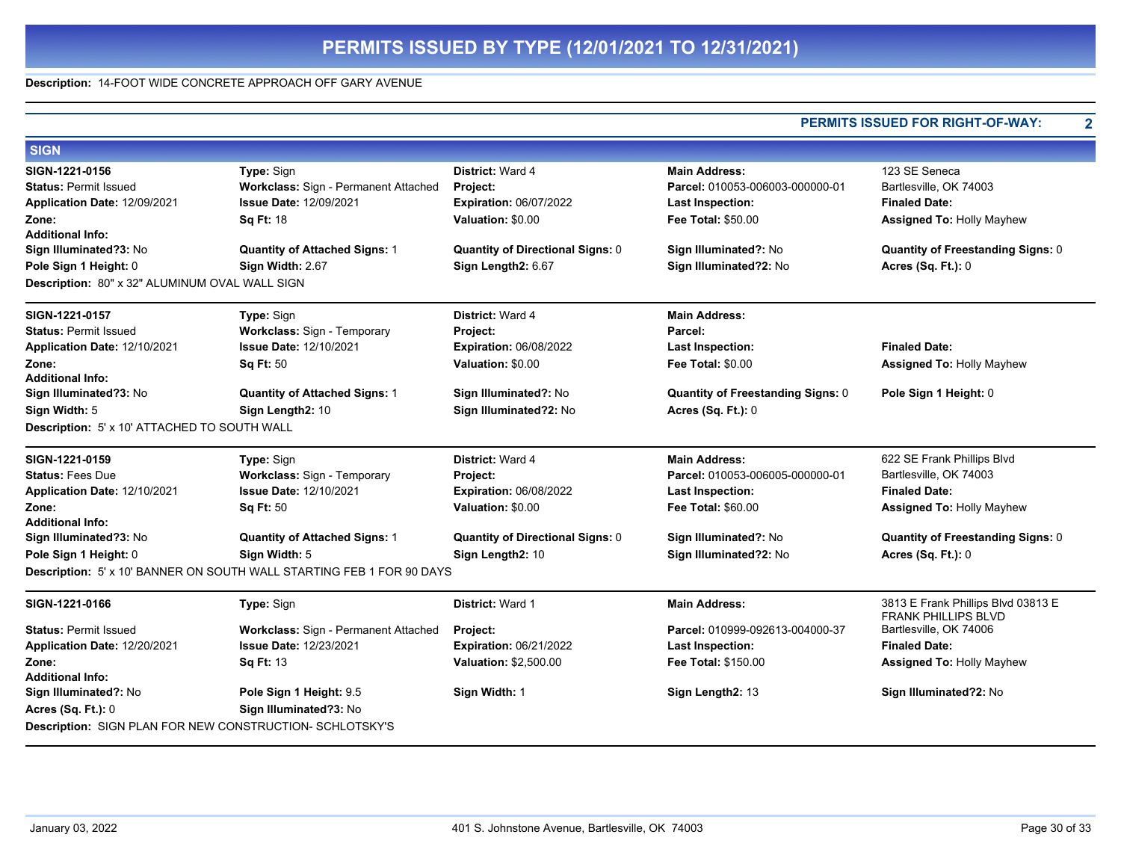#### **Description:** 14-FOOT WIDE CONCRETE APPROACH OFF GARY AVENUE

#### **PERMITS ISSUED FOR RIGHT-OF-WAY: 2 SIGN SIGN-1221-0156 Type:** Sign **District:** Ward 4 **Main Address:** 123 SE Seneca Status: Permit Issued **Workclass: Sign - Permanent Attached Project:** Protect: Parcel: 010053-006003-00000-01 Bartlesville, OK 74003 **Application Date:** 12/09/2021 **Zone: Issue Date:** 12/09/2021 **Sq Ft:** 18 **Expiration:** 06/07/2022 **Valuation:** \$0.00 **Last Inspection: Fee Total:** \$50.00 **Finaled Date: Assigned To:** Holly Mayhew **Additional Info: Sign Illuminated?3:** No **Quantity of Attached Signs:** 1 **Quantity of Directional Signs:** 0 **Sign Illuminated?:** No **Quantity of Freestanding Signs:** 0 **Pole Sign 1 Height:** 0 **Sign Width:** 2.67 **Sign Length2:** 6.67 **Sign Illuminated?2:** No **Acres (Sq. Ft.):** 0 **Description:** 80" x 32" ALUMINUM OVAL WALL SIGN **SIGN-1221-0157 Type:** Sign **District:** Ward 4 **Main Address: Status:** Permit Issued **Workclass:** Sign - Temporary **Project: Parcel: Application Date:** 12/10/2021 **Zone: Issue Date:** 12/10/2021 **Sq Ft:** 50 **Expiration:** 06/08/2022 **Valuation:** \$0.00 **Last Inspection: Fee Total:** \$0.00 **Finaled Date: Assigned To:** Holly Mayhew **Additional Info: Sign Illuminated?3:** No **Quantity of Attached Signs:** 1 **Sign Illuminated?:** No **Quantity of Freestanding Signs:** 0 **Pole Sign 1 Height:** 0 **Sign Width:** 5 **Sign Length2:** 10 **Sign Illuminated?2:** No **Acres (Sq. Ft.):** 0 **Description:** 5' x 10' ATTACHED TO SOUTH WALL **SIGN-1221-0159 Type:** Sign **District:** Ward 4 **Main Address:** 622 SE Frank Phillips Blvd Status: Fees Due **Workclass: Sign - Temporary Project:** Protect: Parcel: 010053-006005-000000-01 Bartlesville, OK 74003 **Application Date:** 12/10/2021 **Zone: Issue Date:** 12/10/2021 **Sq Ft:** 50 **Expiration:** 06/08/2022 **Valuation:** \$0.00 **Last Inspection: Fee Total:** \$60.00 **Finaled Date: Assigned To:** Holly Mayhew **Additional Info: Sign Illuminated?3:** No **Quantity of Attached Signs:** 1 **Quantity of Directional Signs:** 0 **Sign Illuminated?:** No **Quantity of Freestanding Signs:** 0 **Pole Sign 1 Height:** 0 **Sign Width:** 5 **Sign Length2:** 10 **Sign Illuminated?2:** No **Acres (Sq. Ft.):** 0 **Description:** 5' x 10' BANNER ON SOUTH WALL STARTING FEB 1 FOR 90 DAYS **SIGN-1221-0166 Type:** Sign **District:** Ward 1 **Main Address:** 3813 E Frank Phillips Blvd 03813 E FRANK PHILLIPS BLVD **Status:** Permit Issued **Workclass:** Sign - Permanent Attached **Project: Parcel:** 010999-092613-004000-37 Bartlesville, OK 74006 **Application Date:** 12/20/2021 **Zone: Issue Date:** 12/23/2021 **Sq Ft:** 13 **Expiration:** 06/21/2022 **Valuation:** \$2,500.00 **Last Inspection: Fee Total:** \$150.00 **Finaled Date: Assigned To:** Holly Mayhew **Additional Info: Sign Illuminated?:** No **Pole Sign 1 Height:** 9.5 **Sign Width:** 1 **Sign Length2:** 13 **Sign Illuminated?2:** No **Acres (Sq. Ft.):** 0 **Sign Illuminated?3:** No **Description:** SIGN PLAN FOR NEW CONSTRUCTION- SCHLOTSKY'S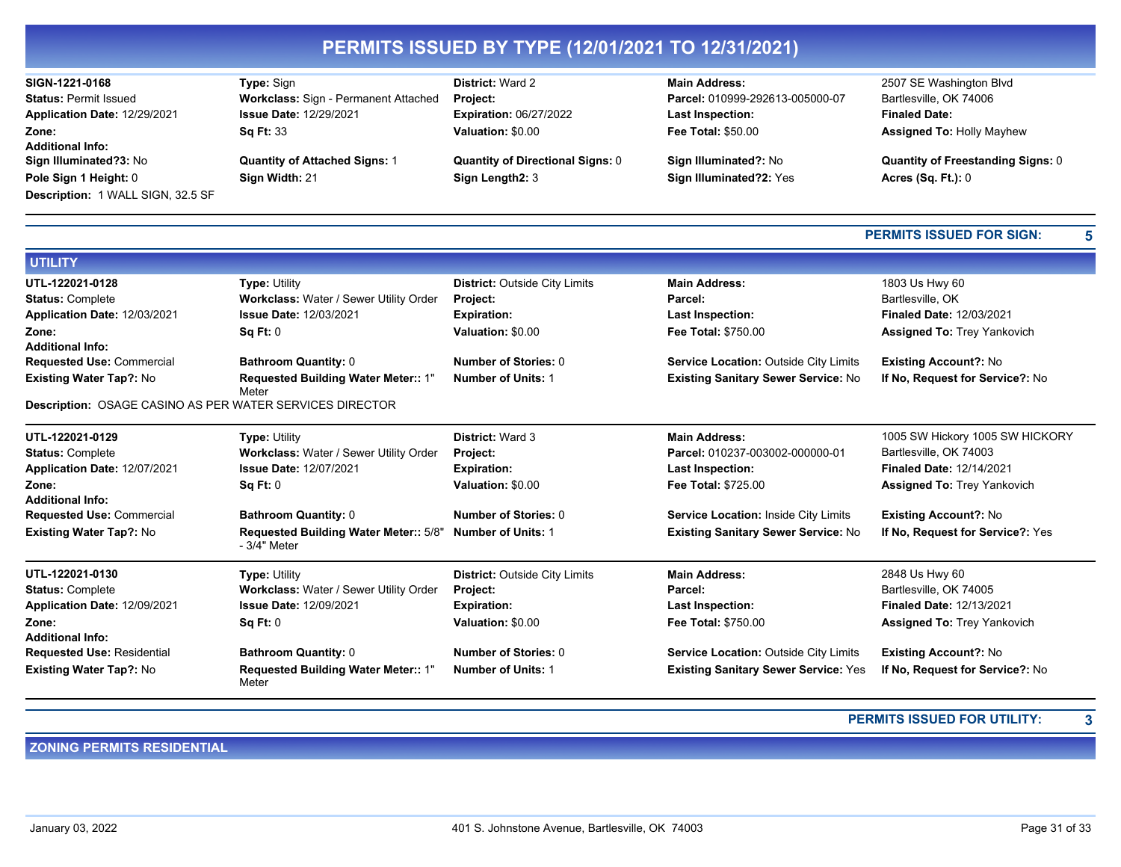| SIGN-1221-0168                    | <b>Type: Sign</b>                             | <b>District: Ward 2</b>                 | <b>Main Address:</b>                         | 2507 SE Washington Blvd                  |
|-----------------------------------|-----------------------------------------------|-----------------------------------------|----------------------------------------------|------------------------------------------|
| <b>Status: Permit Issued</b>      | Workclass: Sign - Permanent Attached          | Project:                                | Parcel: 010999-292613-005000-07              | Bartlesville, OK 74006                   |
| Application Date: 12/29/2021      | <b>Issue Date: 12/29/2021</b>                 | <b>Expiration: 06/27/2022</b>           | <b>Last Inspection:</b>                      | <b>Finaled Date:</b>                     |
| Zone:                             | <b>Sq Ft: 33</b>                              | Valuation: \$0.00                       | <b>Fee Total: \$50.00</b>                    | <b>Assigned To: Holly Mayhew</b>         |
| <b>Additional Info:</b>           |                                               |                                         |                                              |                                          |
| Sign Illuminated?3: No            | <b>Quantity of Attached Signs: 1</b>          | <b>Quantity of Directional Signs: 0</b> | Sign Illuminated?: No                        | <b>Quantity of Freestanding Signs: 0</b> |
| Pole Sign 1 Height: 0             | Sign Width: 21                                | Sign Length2: 3                         | Sign Illuminated?2: Yes                      | Acres $(Sq. Ft.): 0$                     |
| Description: 1 WALL SIGN, 32.5 SF |                                               |                                         |                                              |                                          |
|                                   |                                               |                                         |                                              |                                          |
|                                   |                                               |                                         |                                              | <b>PERMITS ISSUED FOR SIGN:</b><br>5     |
| <b>UTILITY</b>                    |                                               |                                         |                                              |                                          |
| UTL-122021-0128                   | <b>Type: Utility</b>                          | <b>District: Outside City Limits</b>    | <b>Main Address:</b>                         | 1803 Us Hwy 60                           |
| <b>Status: Complete</b>           | <b>Workclass: Water / Sewer Utility Order</b> | Project:                                | Parcel:                                      | Bartlesville, OK                         |
| Application Date: 12/03/2021      | <b>Issue Date: 12/03/2021</b>                 | <b>Expiration:</b>                      | <b>Last Inspection:</b>                      | <b>Finaled Date: 12/03/2021</b>          |
| Zone:                             | Sq Ft: 0                                      | Valuation: \$0.00                       | <b>Fee Total: \$750.00</b>                   | <b>Assigned To: Trey Yankovich</b>       |
| <b>Additional Info:</b>           |                                               |                                         |                                              |                                          |
| <b>Requested Use: Commercial</b>  | <b>Bathroom Quantity: 0</b>                   | Number of Stories: 0                    | <b>Service Location: Outside City Limits</b> | <b>Existing Account?: No</b>             |
| <b>Existing Water Tap?: No</b>    | Requested Building Water Meter:: 1"<br>Meter  | <b>Number of Units: 1</b>               | <b>Existing Sanitary Sewer Service: No</b>   | If No. Request for Service?: No          |

**Description:** OSAGE CASINO AS PER WATER SERVICES DIRECTOR

| UTL-122021-0129                   | <b>Type: Utility</b>                                         | <b>District: Ward 3</b>              | <b>Main Address:</b>                         | 1005 SW Hickory 1005 SW HICKORY    |
|-----------------------------------|--------------------------------------------------------------|--------------------------------------|----------------------------------------------|------------------------------------|
| <b>Status: Complete</b>           | Workclass: Water / Sewer Utility Order                       | <b>Project:</b>                      | Parcel: 010237-003002-000000-01              | Bartlesville, OK 74003             |
| Application Date: 12/07/2021      | <b>Issue Date: 12/07/2021</b>                                | <b>Expiration:</b>                   | <b>Last Inspection:</b>                      | <b>Finaled Date: 12/14/2021</b>    |
| Zone:                             | Sq Ft: 0                                                     | Valuation: \$0.00                    | <b>Fee Total: \$725.00</b>                   | <b>Assigned To: Trey Yankovich</b> |
| <b>Additional Info:</b>           |                                                              |                                      |                                              |                                    |
| <b>Requested Use: Commercial</b>  | <b>Bathroom Quantity: 0</b>                                  | Number of Stories: 0                 | <b>Service Location: Inside City Limits</b>  | <b>Existing Account?: No</b>       |
| <b>Existing Water Tap?: No</b>    | <b>Requested Building Water Meter:: 5/8"</b><br>- 3/4" Meter | <b>Number of Units: 1</b>            | <b>Existing Sanitary Sewer Service: No</b>   | If No. Request for Service?: Yes   |
| UTL-122021-0130                   | <b>Type: Utility</b>                                         | <b>District: Outside City Limits</b> | <b>Main Address:</b>                         | 2848 Us Hwy 60                     |
| <b>Status: Complete</b>           | <b>Workclass: Water / Sewer Utility Order</b>                | <b>Project:</b>                      | Parcel:                                      | Bartlesville, OK 74005             |
| Application Date: 12/09/2021      | <b>Issue Date: 12/09/2021</b>                                | <b>Expiration:</b>                   | <b>Last Inspection:</b>                      | <b>Finaled Date: 12/13/2021</b>    |
| Zone:                             | Sq Ft: 0                                                     | Valuation: \$0.00                    | <b>Fee Total: \$750.00</b>                   | <b>Assigned To: Trey Yankovich</b> |
| <b>Additional Info:</b>           |                                                              |                                      |                                              |                                    |
| <b>Requested Use: Residential</b> | <b>Bathroom Quantity: 0</b>                                  | Number of Stories: 0                 | <b>Service Location: Outside City Limits</b> | <b>Existing Account?: No</b>       |
| <b>Existing Water Tap?: No</b>    | Requested Building Water Meter:: 1"<br>Meter                 | <b>Number of Units: 1</b>            | <b>Existing Sanitary Sewer Service: Yes</b>  | If No, Request for Service?: No    |

## **PERMITS ISSUED FOR UTILITY: 3**

## **ZONING PERMITS RESIDENTIAL**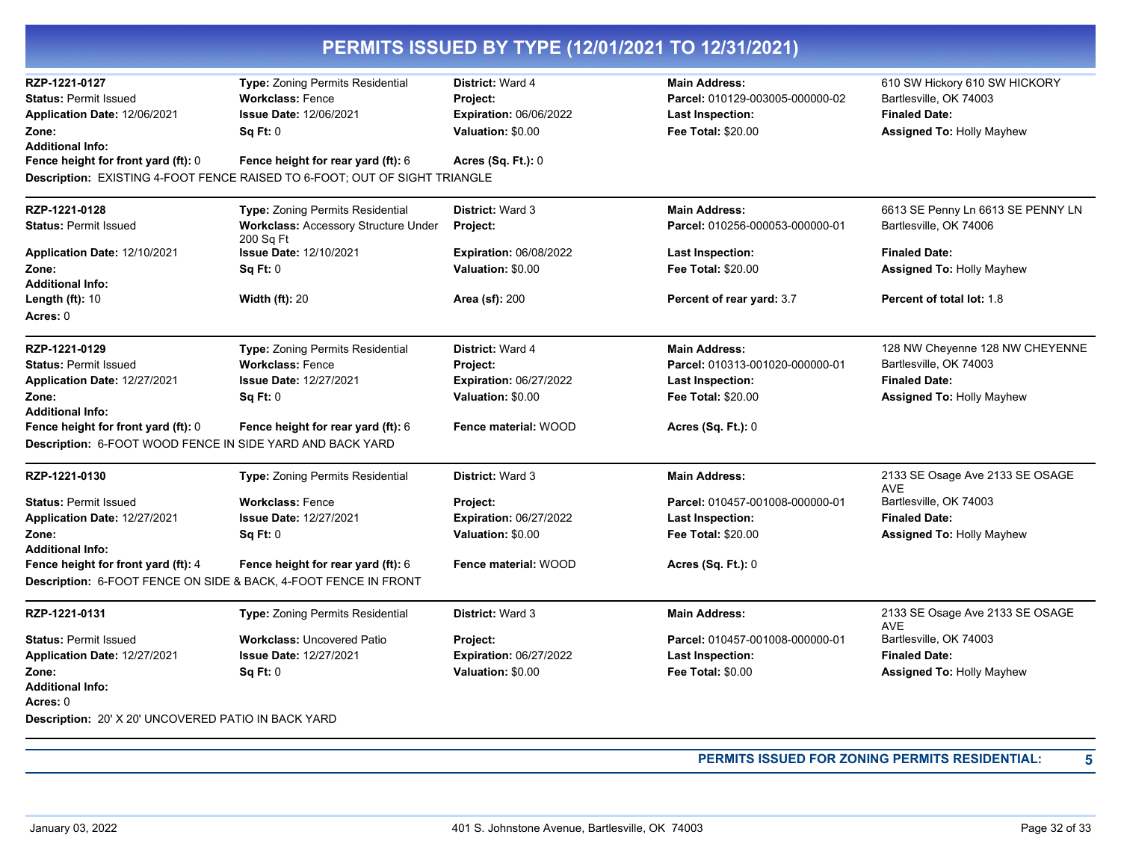| RZP-1221-0127                                             | Type: Zoning Permits Residential                                           | District: Ward 4              | <b>Main Address:</b>            | 610 SW Hickory 610 SW HICKORY                 |
|-----------------------------------------------------------|----------------------------------------------------------------------------|-------------------------------|---------------------------------|-----------------------------------------------|
| <b>Status: Permit Issued</b>                              | <b>Workclass: Fence</b>                                                    | Project:                      | Parcel: 010129-003005-000000-02 | Bartlesville, OK 74003                        |
| Application Date: 12/06/2021                              | <b>Issue Date: 12/06/2021</b>                                              | <b>Expiration: 06/06/2022</b> | <b>Last Inspection:</b>         | <b>Finaled Date:</b>                          |
| Zone:                                                     | Sq Ft: 0                                                                   | Valuation: \$0.00             | <b>Fee Total: \$20.00</b>       | <b>Assigned To: Holly Mayhew</b>              |
| <b>Additional Info:</b>                                   |                                                                            |                               |                                 |                                               |
| Fence height for front yard (ft): 0                       | Fence height for rear yard (ft): 6                                         | <b>Acres (Sq. Ft.): 0</b>     |                                 |                                               |
|                                                           | Description: EXISTING 4-FOOT FENCE RAISED TO 6-FOOT; OUT OF SIGHT TRIANGLE |                               |                                 |                                               |
| RZP-1221-0128                                             | Type: Zoning Permits Residential                                           | <b>District: Ward 3</b>       | <b>Main Address:</b>            | 6613 SE Penny Ln 6613 SE PENNY LN             |
| <b>Status: Permit Issued</b>                              | <b>Workclass: Accessory Structure Under</b><br>200 Sq Ft                   | Project:                      | Parcel: 010256-000053-000000-01 | Bartlesville, OK 74006                        |
| Application Date: 12/10/2021                              | <b>Issue Date: 12/10/2021</b>                                              | <b>Expiration: 06/08/2022</b> | <b>Last Inspection:</b>         | <b>Finaled Date:</b>                          |
| Zone:                                                     | Sq Ft: 0                                                                   | Valuation: \$0.00             | Fee Total: \$20.00              | <b>Assigned To: Holly Mayhew</b>              |
| <b>Additional Info:</b>                                   |                                                                            |                               |                                 |                                               |
| Length (ft): 10                                           | <b>Width (ft): 20</b>                                                      | <b>Area (sf): 200</b>         | Percent of rear yard: 3.7       | Percent of total lot: 1.8                     |
| Acres: 0                                                  |                                                                            |                               |                                 |                                               |
| RZP-1221-0129                                             | Type: Zoning Permits Residential                                           | District: Ward 4              | <b>Main Address:</b>            | 128 NW Cheyenne 128 NW CHEYENNE               |
| <b>Status: Permit Issued</b>                              | <b>Workclass: Fence</b>                                                    | Project:                      | Parcel: 010313-001020-000000-01 | Bartlesville, OK 74003                        |
| Application Date: 12/27/2021                              | <b>Issue Date: 12/27/2021</b>                                              | Expiration: 06/27/2022        | Last Inspection:                | <b>Finaled Date:</b>                          |
| Zone:                                                     | Sq Ft: 0                                                                   | Valuation: \$0.00             | Fee Total: \$20.00              | <b>Assigned To: Holly Mayhew</b>              |
| <b>Additional Info:</b>                                   |                                                                            |                               |                                 |                                               |
| Fence height for front yard (ft): 0                       | Fence height for rear yard (ft): 6                                         | Fence material: WOOD          | <b>Acres (Sq. Ft.): 0</b>       |                                               |
| Description: 6-FOOT WOOD FENCE IN SIDE YARD AND BACK YARD |                                                                            |                               |                                 |                                               |
| RZP-1221-0130                                             | Type: Zoning Permits Residential                                           | District: Ward 3              | <b>Main Address:</b>            | 2133 SE Osage Ave 2133 SE OSAGE<br><b>AVE</b> |
| <b>Status: Permit Issued</b>                              | <b>Workclass: Fence</b>                                                    | Project:                      | Parcel: 010457-001008-000000-01 | Bartlesville, OK 74003                        |
| Application Date: 12/27/2021                              | <b>Issue Date: 12/27/2021</b>                                              | <b>Expiration: 06/27/2022</b> | <b>Last Inspection:</b>         | <b>Finaled Date:</b>                          |
| Zone:                                                     | Sq Ft: 0                                                                   | Valuation: \$0.00             | <b>Fee Total: \$20.00</b>       | <b>Assigned To: Holly Mayhew</b>              |
| Additional Info:                                          |                                                                            |                               |                                 |                                               |
| Fence height for front yard (ft): 4                       | Fence height for rear yard (ft): 6                                         | Fence material: WOOD          | Acres (Sq. Ft.): 0              |                                               |
|                                                           | Description: 6-FOOT FENCE ON SIDE & BACK, 4-FOOT FENCE IN FRONT            |                               |                                 |                                               |
| RZP-1221-0131                                             | Type: Zoning Permits Residential                                           | <b>District: Ward 3</b>       | <b>Main Address:</b>            | 2133 SE Osage Ave 2133 SE OSAGE<br><b>AVE</b> |
| <b>Status: Permit Issued</b>                              | <b>Workclass: Uncovered Patio</b>                                          | Project:                      | Parcel: 010457-001008-000000-01 | Bartlesville, OK 74003                        |
| Application Date: 12/27/2021                              | <b>Issue Date: 12/27/2021</b>                                              | <b>Expiration: 06/27/2022</b> | <b>Last Inspection:</b>         | <b>Finaled Date:</b>                          |
| Zone:                                                     | Sq Ft: 0                                                                   | Valuation: \$0.00             | <b>Fee Total: \$0.00</b>        | <b>Assigned To: Holly Mayhew</b>              |
| <b>Additional Info:</b>                                   |                                                                            |                               |                                 |                                               |
| Acres: 0                                                  |                                                                            |                               |                                 |                                               |
| Description: 20' X 20' UNCOVERED PATIO IN BACK YARD       |                                                                            |                               |                                 |                                               |
|                                                           |                                                                            |                               |                                 |                                               |

**PERMITS ISSUED FOR ZONING PERMITS RESIDENTIAL: 5**